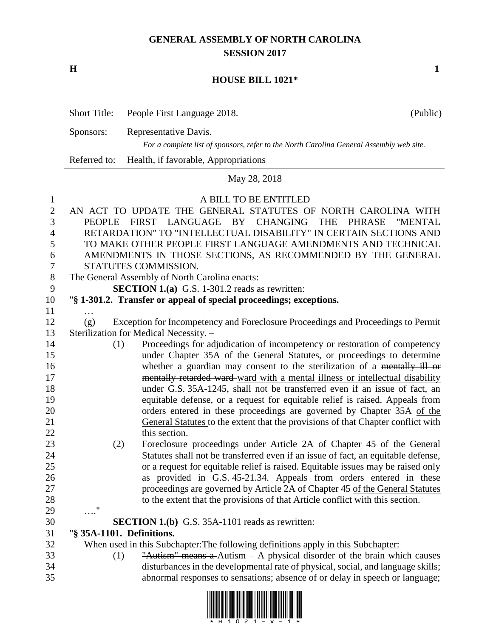## **GENERAL ASSEMBLY OF NORTH CAROLINA SESSION 2017**

**H 1**

#### **HOUSE BILL 1021\***

|                                                                | <b>Short Title:</b>                            | People First Language 2018.                                                                                                                                                                                                                                                                                                                                                                                                                                                                                                                                                                                                                                                                                             | (Public) |
|----------------------------------------------------------------|------------------------------------------------|-------------------------------------------------------------------------------------------------------------------------------------------------------------------------------------------------------------------------------------------------------------------------------------------------------------------------------------------------------------------------------------------------------------------------------------------------------------------------------------------------------------------------------------------------------------------------------------------------------------------------------------------------------------------------------------------------------------------------|----------|
|                                                                | Sponsors:                                      | Representative Davis.                                                                                                                                                                                                                                                                                                                                                                                                                                                                                                                                                                                                                                                                                                   |          |
|                                                                |                                                | For a complete list of sponsors, refer to the North Carolina General Assembly web site.                                                                                                                                                                                                                                                                                                                                                                                                                                                                                                                                                                                                                                 |          |
|                                                                | Referred to:                                   | Health, if favorable, Appropriations                                                                                                                                                                                                                                                                                                                                                                                                                                                                                                                                                                                                                                                                                    |          |
|                                                                |                                                | May 28, 2018                                                                                                                                                                                                                                                                                                                                                                                                                                                                                                                                                                                                                                                                                                            |          |
| $\mathbf{1}$                                                   |                                                | A BILL TO BE ENTITLED                                                                                                                                                                                                                                                                                                                                                                                                                                                                                                                                                                                                                                                                                                   |          |
| $\overline{2}$                                                 |                                                | AN ACT TO UPDATE THE GENERAL STATUTES OF NORTH CAROLINA WITH                                                                                                                                                                                                                                                                                                                                                                                                                                                                                                                                                                                                                                                            |          |
| 3                                                              | <b>PEOPLE</b>                                  | BY CHANGING<br>LANGUAGE<br><b>PHRASE</b><br><b>FIRST</b><br><b>THE</b>                                                                                                                                                                                                                                                                                                                                                                                                                                                                                                                                                                                                                                                  | "MENTAL  |
| 4                                                              |                                                | RETARDATION" TO "INTELLECTUAL DISABILITY" IN CERTAIN SECTIONS AND                                                                                                                                                                                                                                                                                                                                                                                                                                                                                                                                                                                                                                                       |          |
| 5                                                              |                                                | TO MAKE OTHER PEOPLE FIRST LANGUAGE AMENDMENTS AND TECHNICAL                                                                                                                                                                                                                                                                                                                                                                                                                                                                                                                                                                                                                                                            |          |
| 6                                                              |                                                | AMENDMENTS IN THOSE SECTIONS, AS RECOMMENDED BY THE GENERAL                                                                                                                                                                                                                                                                                                                                                                                                                                                                                                                                                                                                                                                             |          |
| 7                                                              |                                                | STATUTES COMMISSION.                                                                                                                                                                                                                                                                                                                                                                                                                                                                                                                                                                                                                                                                                                    |          |
| $8\,$                                                          |                                                | The General Assembly of North Carolina enacts:                                                                                                                                                                                                                                                                                                                                                                                                                                                                                                                                                                                                                                                                          |          |
| 9                                                              |                                                | <b>SECTION 1.(a)</b> G.S. 1-301.2 reads as rewritten:                                                                                                                                                                                                                                                                                                                                                                                                                                                                                                                                                                                                                                                                   |          |
| 10                                                             |                                                | "§ 1-301.2. Transfer or appeal of special proceedings; exceptions.                                                                                                                                                                                                                                                                                                                                                                                                                                                                                                                                                                                                                                                      |          |
| 11                                                             |                                                |                                                                                                                                                                                                                                                                                                                                                                                                                                                                                                                                                                                                                                                                                                                         |          |
| 12                                                             | (g)                                            | Exception for Incompetency and Foreclosure Proceedings and Proceedings to Permit                                                                                                                                                                                                                                                                                                                                                                                                                                                                                                                                                                                                                                        |          |
| 13                                                             |                                                | Sterilization for Medical Necessity. -                                                                                                                                                                                                                                                                                                                                                                                                                                                                                                                                                                                                                                                                                  |          |
| 14                                                             | (1)                                            | Proceedings for adjudication of incompetency or restoration of competency                                                                                                                                                                                                                                                                                                                                                                                                                                                                                                                                                                                                                                               |          |
| 15                                                             |                                                | under Chapter 35A of the General Statutes, or proceedings to determine                                                                                                                                                                                                                                                                                                                                                                                                                                                                                                                                                                                                                                                  |          |
| 16                                                             |                                                | whether a guardian may consent to the sterilization of a mentally ill or                                                                                                                                                                                                                                                                                                                                                                                                                                                                                                                                                                                                                                                |          |
| 17                                                             |                                                | mentally retarded ward-ward with a mental illness or intellectual disability                                                                                                                                                                                                                                                                                                                                                                                                                                                                                                                                                                                                                                            |          |
| 18                                                             |                                                | under G.S. 35A-1245, shall not be transferred even if an issue of fact, an                                                                                                                                                                                                                                                                                                                                                                                                                                                                                                                                                                                                                                              |          |
| 19                                                             |                                                | equitable defense, or a request for equitable relief is raised. Appeals from                                                                                                                                                                                                                                                                                                                                                                                                                                                                                                                                                                                                                                            |          |
| 20                                                             |                                                | orders entered in these proceedings are governed by Chapter 35A of the                                                                                                                                                                                                                                                                                                                                                                                                                                                                                                                                                                                                                                                  |          |
| 21                                                             |                                                | General Statutes to the extent that the provisions of that Chapter conflict with                                                                                                                                                                                                                                                                                                                                                                                                                                                                                                                                                                                                                                        |          |
| 22                                                             |                                                | this section.                                                                                                                                                                                                                                                                                                                                                                                                                                                                                                                                                                                                                                                                                                           |          |
| 23                                                             | (2)                                            | Foreclosure proceedings under Article 2A of Chapter 45 of the General                                                                                                                                                                                                                                                                                                                                                                                                                                                                                                                                                                                                                                                   |          |
| 24                                                             |                                                | Statutes shall not be transferred even if an issue of fact, an equitable defense,                                                                                                                                                                                                                                                                                                                                                                                                                                                                                                                                                                                                                                       |          |
|                                                                |                                                |                                                                                                                                                                                                                                                                                                                                                                                                                                                                                                                                                                                                                                                                                                                         |          |
|                                                                |                                                |                                                                                                                                                                                                                                                                                                                                                                                                                                                                                                                                                                                                                                                                                                                         |          |
|                                                                |                                                |                                                                                                                                                                                                                                                                                                                                                                                                                                                                                                                                                                                                                                                                                                                         |          |
|                                                                |                                                |                                                                                                                                                                                                                                                                                                                                                                                                                                                                                                                                                                                                                                                                                                                         |          |
|                                                                |                                                |                                                                                                                                                                                                                                                                                                                                                                                                                                                                                                                                                                                                                                                                                                                         |          |
|                                                                |                                                |                                                                                                                                                                                                                                                                                                                                                                                                                                                                                                                                                                                                                                                                                                                         |          |
|                                                                |                                                |                                                                                                                                                                                                                                                                                                                                                                                                                                                                                                                                                                                                                                                                                                                         |          |
|                                                                |                                                |                                                                                                                                                                                                                                                                                                                                                                                                                                                                                                                                                                                                                                                                                                                         |          |
|                                                                |                                                |                                                                                                                                                                                                                                                                                                                                                                                                                                                                                                                                                                                                                                                                                                                         |          |
|                                                                |                                                |                                                                                                                                                                                                                                                                                                                                                                                                                                                                                                                                                                                                                                                                                                                         |          |
| 25<br>26<br>27<br>28<br>29<br>30<br>31<br>32<br>33<br>34<br>35 | $\ldots$ "<br>"§ 35A-1101. Definitions.<br>(1) | or a request for equitable relief is raised. Equitable issues may be raised only<br>as provided in G.S. 45-21.34. Appeals from orders entered in these<br>proceedings are governed by Article 2A of Chapter 45 of the General Statutes<br>to the extent that the provisions of that Article conflict with this section.<br><b>SECTION 1.(b)</b> G.S. 35A-1101 reads as rewritten:<br>When used in this Subchapter: The following definitions apply in this Subchapter:<br>"Autism" means a Autism $- A$ physical disorder of the brain which causes<br>disturbances in the developmental rate of physical, social, and language skills;<br>abnormal responses to sensations; absence of or delay in speech or language; |          |

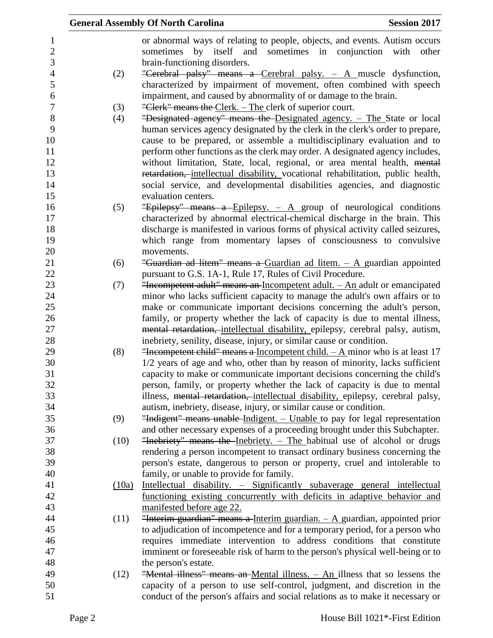|                                 |       | <b>General Assembly Of North Carolina</b><br><b>Session 2017</b>                                                                                                                                            |       |
|---------------------------------|-------|-------------------------------------------------------------------------------------------------------------------------------------------------------------------------------------------------------------|-------|
| $\mathbf{1}$<br>$\sqrt{2}$<br>3 |       | or abnormal ways of relating to people, objects, and events. Autism occurs<br>sometimes by itself and sometimes in conjunction with<br>brain-functioning disorders.                                         | other |
| $\overline{4}$                  |       |                                                                                                                                                                                                             |       |
| 5<br>$\boldsymbol{6}$           | (2)   | "Cerebral palsy" means a Cerebral palsy. - A muscle dysfunction,<br>characterized by impairment of movement, often combined with speech<br>impairment, and caused by abnormality of or damage to the brain. |       |
| $\boldsymbol{7}$                | (3)   | "Clerk" means the Clerk. - The clerk of superior court.                                                                                                                                                     |       |
| $8\,$                           | (4)   | "Designated agency" means the Designated agency. - The State or local                                                                                                                                       |       |
| 9<br>10                         |       | human services agency designated by the clerk in the clerk's order to prepare,<br>cause to be prepared, or assemble a multidisciplinary evaluation and to                                                   |       |
| 11                              |       | perform other functions as the clerk may order. A designated agency includes,                                                                                                                               |       |
| 12                              |       | without limitation, State, local, regional, or area mental health, mental                                                                                                                                   |       |
| 13                              |       | retardation, intellectual disability, vocational rehabilitation, public health,                                                                                                                             |       |
| 14                              |       | social service, and developmental disabilities agencies, and diagnostic                                                                                                                                     |       |
| 15                              |       | evaluation centers.                                                                                                                                                                                         |       |
| 16<br>17                        | (5)   | "Epilepsy" means a Epilepsy. $-$ A group of neurological conditions<br>characterized by abnormal electrical-chemical discharge in the brain. This                                                           |       |
| 18                              |       |                                                                                                                                                                                                             |       |
|                                 |       | discharge is manifested in various forms of physical activity called seizures,                                                                                                                              |       |
| 19                              |       | which range from momentary lapses of consciousness to convulsive                                                                                                                                            |       |
| 20                              |       | movements.                                                                                                                                                                                                  |       |
| 21                              | (6)   | "Guardian ad litem" means a Guardian ad litem. - A guardian appointed                                                                                                                                       |       |
| 22                              |       | pursuant to G.S. 1A-1, Rule 17, Rules of Civil Procedure.                                                                                                                                                   |       |
| 23                              | (7)   | "Incompetent adult" means an Incompetent adult. - An adult or emancipated                                                                                                                                   |       |
| $24\,$                          |       | minor who lacks sufficient capacity to manage the adult's own affairs or to                                                                                                                                 |       |
| 25                              |       | make or communicate important decisions concerning the adult's person,                                                                                                                                      |       |
| 26                              |       | family, or property whether the lack of capacity is due to mental illness,                                                                                                                                  |       |
| 27                              |       | mental retardation, intellectual disability, epilepsy, cerebral palsy, autism,                                                                                                                              |       |
| 28                              |       | inebriety, senility, disease, injury, or similar cause or condition.                                                                                                                                        |       |
| 29                              | (8)   | "Incompetent child" means a Incompetent child. $- A$ minor who is at least 17                                                                                                                               |       |
| 30                              |       | 1/2 years of age and who, other than by reason of minority, lacks sufficient                                                                                                                                |       |
| 31                              |       | capacity to make or communicate important decisions concerning the child's                                                                                                                                  |       |
| 32                              |       | person, family, or property whether the lack of capacity is due to mental                                                                                                                                   |       |
| 33                              |       | illness, mental retardation, intellectual disability, epilepsy, cerebral palsy,                                                                                                                             |       |
| 34                              |       | autism, inebriety, disease, injury, or similar cause or condition.                                                                                                                                          |       |
| 35                              | (9)   | "Indigent" means unable Indigent. - Unable to pay for legal representation                                                                                                                                  |       |
| 36                              |       | and other necessary expenses of a proceeding brought under this Subchapter.                                                                                                                                 |       |
| 37                              | (10)  | "Inebriety" means the Inebriety. - The habitual use of alcohol or drugs                                                                                                                                     |       |
| 38                              |       | rendering a person incompetent to transact ordinary business concerning the                                                                                                                                 |       |
| 39                              |       | person's estate, dangerous to person or property, cruel and intolerable to                                                                                                                                  |       |
| 40                              |       | family, or unable to provide for family.                                                                                                                                                                    |       |
| 41                              | (10a) | Intellectual disability. - Significantly subaverage general intellectual                                                                                                                                    |       |
| 42                              |       | functioning existing concurrently with deficits in adaptive behavior and                                                                                                                                    |       |
| 43                              |       | manifested before age 22.                                                                                                                                                                                   |       |
| 44                              | (11)  | "Interim guardian" means a Interim guardian. $-$ A guardian, appointed prior                                                                                                                                |       |
| 45                              |       | to adjudication of incompetence and for a temporary period, for a person who                                                                                                                                |       |
| 46                              |       | requires immediate intervention to address conditions that constitute                                                                                                                                       |       |
| 47                              |       | imminent or foreseeable risk of harm to the person's physical well-being or to                                                                                                                              |       |
| $\sqrt{48}$                     |       | the person's estate.                                                                                                                                                                                        |       |
| 49                              | (12)  | "Mental illness" means an Mental illness. - An illness that so lessens the                                                                                                                                  |       |
| 50                              |       | capacity of a person to use self-control, judgment, and discretion in the                                                                                                                                   |       |
| 51                              |       | conduct of the person's affairs and social relations as to make it necessary or                                                                                                                             |       |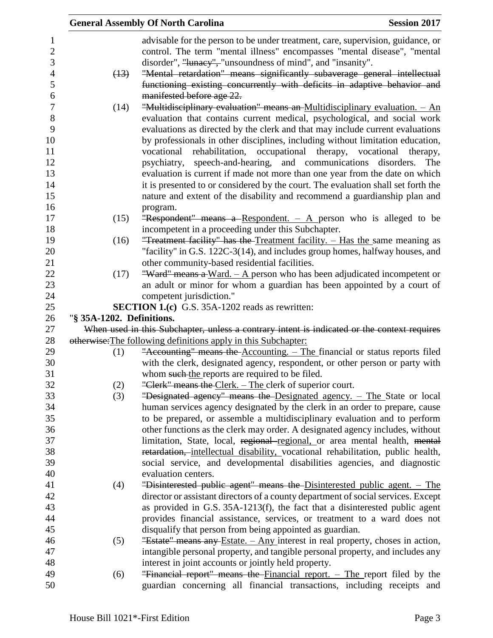|                                    |                           | <b>General Assembly Of North Carolina</b>                                                                                                                                                                                                                                                              | <b>Session 2017</b> |
|------------------------------------|---------------------------|--------------------------------------------------------------------------------------------------------------------------------------------------------------------------------------------------------------------------------------------------------------------------------------------------------|---------------------|
| 1<br>$\overline{2}$<br>3           |                           | advisable for the person to be under treatment, care, supervision, guidance, or<br>control. The term "mental illness" encompasses "mental disease", "mental<br>disorder", "lunaey", "unsoundness of mind", and "insanity".                                                                             |                     |
| $\overline{\mathcal{L}}$<br>5<br>6 | (13)                      | "Mental retardation" means significantly subaverage general intellectual<br>functioning existing concurrently with deficits in adaptive behavior and<br>manifested before age 22.                                                                                                                      |                     |
| $\boldsymbol{7}$<br>8<br>9         | (14)                      | "Multidisciplinary evaluation" means an Multidisciplinary evaluation. - An<br>evaluation that contains current medical, psychological, and social work<br>evaluations as directed by the clerk and that may include current evaluations                                                                |                     |
| 10<br>11<br>12<br>13               |                           | by professionals in other disciplines, including without limitation education,<br>vocational rehabilitation, occupational therapy, vocational therapy,<br>psychiatry, speech-and-hearing, and communications disorders.<br>evaluation is current if made not more than one year from the date on which | The                 |
| 14<br>15<br>16                     |                           | it is presented to or considered by the court. The evaluation shall set forth the<br>nature and extent of the disability and recommend a guardianship plan and<br>program.                                                                                                                             |                     |
| 17<br>18                           | (15)                      | "Respondent" means a Respondent. $-$ A person who is alleged to be<br>incompetent in a proceeding under this Subchapter.                                                                                                                                                                               |                     |
| 19<br>20                           | (16)                      | "Treatment facility" has the Treatment facility. - Has the same meaning as<br>"facility" in G.S. 122C-3(14), and includes group homes, halfway houses, and                                                                                                                                             |                     |
| 21<br>22                           | (17)                      | other community-based residential facilities.<br>"Ward" means a Ward. $- A$ person who has been adjudicated incompetent or                                                                                                                                                                             |                     |
| 23<br>24                           |                           | an adult or minor for whom a guardian has been appointed by a court of<br>competent jurisdiction."                                                                                                                                                                                                     |                     |
| 25                                 |                           | <b>SECTION 1.(c)</b> G.S. 35A-1202 reads as rewritten:                                                                                                                                                                                                                                                 |                     |
| 26                                 | "§ 35A-1202. Definitions. |                                                                                                                                                                                                                                                                                                        |                     |
| 27                                 |                           | When used in this Subchapter, unless a contrary intent is indicated or the context requires                                                                                                                                                                                                            |                     |
| 28                                 |                           | otherwise: The following definitions apply in this Subchapter:                                                                                                                                                                                                                                         |                     |
| 29                                 | (1)                       | "Accounting" means the Accounting. – The financial or status reports filed                                                                                                                                                                                                                             |                     |
| 30<br>31                           |                           | with the clerk, designated agency, respondent, or other person or party with<br>whom such the reports are required to be filed.                                                                                                                                                                        |                     |
| 32                                 | (2)                       | "Clerk" means the Clerk. – The clerk of superior court.                                                                                                                                                                                                                                                |                     |
| 33                                 | (3)                       | "Designated agency" means the Designated agency. - The State or local                                                                                                                                                                                                                                  |                     |
| 34                                 |                           | human services agency designated by the clerk in an order to prepare, cause                                                                                                                                                                                                                            |                     |
| 35                                 |                           | to be prepared, or assemble a multidisciplinary evaluation and to perform                                                                                                                                                                                                                              |                     |
| 36                                 |                           | other functions as the clerk may order. A designated agency includes, without                                                                                                                                                                                                                          |                     |
| 37                                 |                           | limitation, State, local, regional-regional, or area mental health, mental                                                                                                                                                                                                                             |                     |
| 38                                 |                           | retardation, intellectual disability, vocational rehabilitation, public health,                                                                                                                                                                                                                        |                     |
| 39<br>40                           |                           | social service, and developmental disabilities agencies, and diagnostic<br>evaluation centers.                                                                                                                                                                                                         |                     |
| 41                                 | (4)                       | "Disinterested public agent" means the Disinterested public agent. - The                                                                                                                                                                                                                               |                     |
| 42                                 |                           | director or assistant directors of a county department of social services. Except                                                                                                                                                                                                                      |                     |
| 43                                 |                           | as provided in G.S. 35A-1213(f), the fact that a disinterested public agent                                                                                                                                                                                                                            |                     |
| 44                                 |                           | provides financial assistance, services, or treatment to a ward does not                                                                                                                                                                                                                               |                     |
| 45                                 |                           | disqualify that person from being appointed as guardian.                                                                                                                                                                                                                                               |                     |
| 46                                 | (5)                       | "Estate" means any Estate. - Any interest in real property, choses in action,                                                                                                                                                                                                                          |                     |
| 47                                 |                           | intangible personal property, and tangible personal property, and includes any                                                                                                                                                                                                                         |                     |
| 48                                 |                           | interest in joint accounts or jointly held property.                                                                                                                                                                                                                                                   |                     |
| 49                                 | (6)                       | "Financial report" means the Financial report. - The report filed by the                                                                                                                                                                                                                               |                     |
| 50                                 |                           | guardian concerning all financial transactions, including receipts and                                                                                                                                                                                                                                 |                     |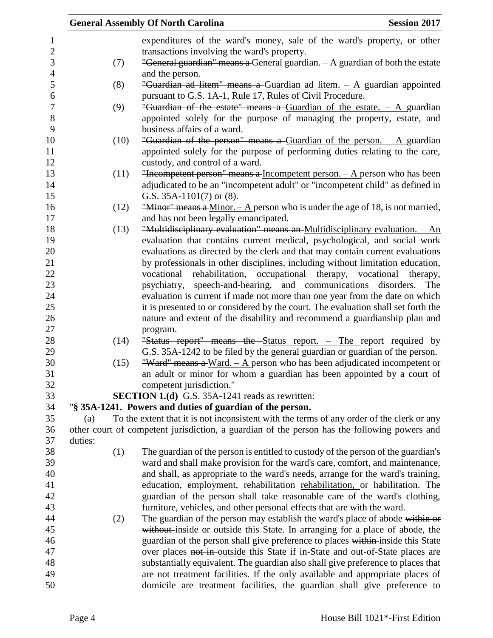|         |      | <b>General Assembly Of North Carolina</b><br><b>Session 2017</b>                                               |  |
|---------|------|----------------------------------------------------------------------------------------------------------------|--|
|         |      | expenditures of the ward's money, sale of the ward's property, or other                                        |  |
|         |      | transactions involving the ward's property.                                                                    |  |
|         | (7)  | "General guardian" means a General guardian. $-A$ guardian of both the estate                                  |  |
|         |      | and the person.                                                                                                |  |
|         | (8)  | "Guardian ad litem" means a Guardian ad litem. - A guardian appointed                                          |  |
|         |      | pursuant to G.S. 1A-1, Rule 17, Rules of Civil Procedure.                                                      |  |
|         | (9)  | "Guardian of the estate" means a Guardian of the estate. $-$ A guardian                                        |  |
|         |      | appointed solely for the purpose of managing the property, estate, and                                         |  |
|         |      | business affairs of a ward.                                                                                    |  |
|         | (10) | "Guardian of the person" means a Guardian of the person. $-$ A guardian                                        |  |
|         |      | appointed solely for the purpose of performing duties relating to the care,<br>custody, and control of a ward. |  |
|         | (11) | "Incompetent person" means a Incompetent person. $- A$ person who has been                                     |  |
|         |      | adjudicated to be an "incompetent adult" or "incompetent child" as defined in<br>G.S. $35A-1101(7)$ or $(8)$ . |  |
|         |      | "Minor" means a Minor. $- A$ person who is under the age of 18, is not married,                                |  |
|         | (12) |                                                                                                                |  |
|         |      | and has not been legally emancipated.                                                                          |  |
|         | (13) | "Multidisciplinary evaluation" means an Multidisciplinary evaluation. - An                                     |  |
|         |      | evaluation that contains current medical, psychological, and social work                                       |  |
|         |      | evaluations as directed by the clerk and that may contain current evaluations                                  |  |
|         |      | by professionals in other disciplines, including without limitation education,                                 |  |
|         |      | vocational rehabilitation, occupational therapy, vocational therapy,                                           |  |
|         |      | psychiatry, speech-and-hearing, and communications disorders. The                                              |  |
|         |      | evaluation is current if made not more than one year from the date on which                                    |  |
|         |      | it is presented to or considered by the court. The evaluation shall set forth the                              |  |
|         |      | nature and extent of the disability and recommend a guardianship plan and                                      |  |
|         |      | program.                                                                                                       |  |
|         | (14) | "Status report" means the Status report. - The report required by                                              |  |
|         |      | G.S. 35A-1242 to be filed by the general guardian or guardian of the person.                                   |  |
|         | (15) | "Ward" means a Ward. $- A$ person who has been adjudicated incompetent or                                      |  |
|         |      | an adult or minor for whom a guardian has been appointed by a court of                                         |  |
|         |      | competent jurisdiction."                                                                                       |  |
|         |      | SECTION 1.(d) G.S. 35A-1241 reads as rewritten:                                                                |  |
|         |      | "§ 35A-1241. Powers and duties of guardian of the person.                                                      |  |
| (a)     |      | To the extent that it is not inconsistent with the terms of any order of the clerk or any                      |  |
|         |      | other court of competent jurisdiction, a guardian of the person has the following powers and                   |  |
| duties: |      |                                                                                                                |  |
|         | (1)  | The guardian of the person is entitled to custody of the person of the guardian's                              |  |
|         |      | ward and shall make provision for the ward's care, comfort, and maintenance,                                   |  |
|         |      | and shall, as appropriate to the ward's needs, arrange for the ward's training,                                |  |
|         |      | education, employment, rehabilitation-rehabilitation, or habilitation. The                                     |  |
|         |      | guardian of the person shall take reasonable care of the ward's clothing,                                      |  |
|         |      | furniture, vehicles, and other personal effects that are with the ward.                                        |  |
|         | (2)  | The guardian of the person may establish the ward's place of abode within or                                   |  |
|         |      | without inside or outside this State. In arranging for a place of abode, the                                   |  |
|         |      | guardian of the person shall give preference to places within inside this State                                |  |
|         |      | over places not in outside this State if in-State and out-of-State places are                                  |  |
|         |      |                                                                                                                |  |
|         |      | substantially equivalent. The guardian also shall give preference to places that                               |  |
|         |      | are not treatment facilities. If the only available and appropriate places of                                  |  |
|         |      | domicile are treatment facilities, the guardian shall give preference to                                       |  |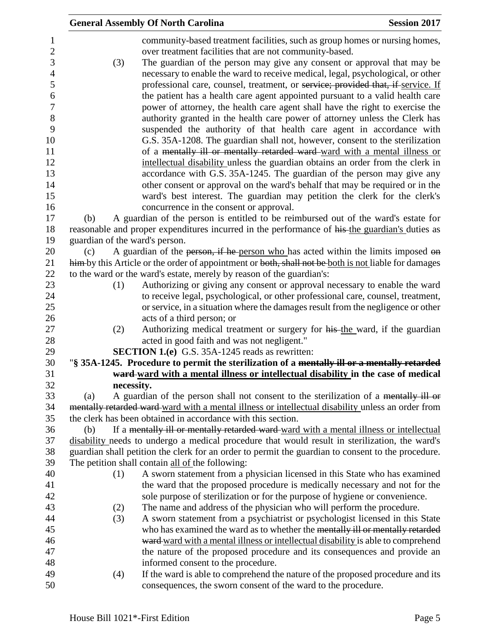|                                | <b>General Assembly Of North Carolina</b>                                                                                                                 | <b>Session 2017</b> |
|--------------------------------|-----------------------------------------------------------------------------------------------------------------------------------------------------------|---------------------|
|                                | community-based treatment facilities, such as group homes or nursing homes,<br>over treatment facilities that are not community-based.                    |                     |
| (3)                            | The guardian of the person may give any consent or approval that may be                                                                                   |                     |
|                                | necessary to enable the ward to receive medical, legal, psychological, or other                                                                           |                     |
|                                | professional care, counsel, treatment, or service; provided that, if service. If                                                                          |                     |
|                                | the patient has a health care agent appointed pursuant to a valid health care                                                                             |                     |
|                                | power of attorney, the health care agent shall have the right to exercise the                                                                             |                     |
|                                | authority granted in the health care power of attorney unless the Clerk has<br>suspended the authority of that health care agent in accordance with       |                     |
|                                | G.S. 35A-1208. The guardian shall not, however, consent to the sterilization                                                                              |                     |
|                                | of a mentally ill or mentally retarded ward-ward with a mental illness or                                                                                 |                     |
|                                | intellectual disability unless the guardian obtains an order from the clerk in                                                                            |                     |
|                                | accordance with G.S. 35A-1245. The guardian of the person may give any                                                                                    |                     |
|                                | other consent or approval on the ward's behalf that may be required or in the                                                                             |                     |
|                                | ward's best interest. The guardian may petition the clerk for the clerk's                                                                                 |                     |
|                                | concurrence in the consent or approval.                                                                                                                   |                     |
| (b)                            | A guardian of the person is entitled to be reimbursed out of the ward's estate for                                                                        |                     |
|                                | reasonable and proper expenditures incurred in the performance of his-the guardian's duties as                                                            |                     |
| guardian of the ward's person. |                                                                                                                                                           |                     |
| (c)                            | A guardian of the person, if he person who has acted within the limits imposed on                                                                         |                     |
|                                | him-by this Article or the order of appointment or both, shall not be both is not liable for damages                                                      |                     |
|                                | to the ward or the ward's estate, merely by reason of the guardian's:                                                                                     |                     |
| (1)                            | Authorizing or giving any consent or approval necessary to enable the ward                                                                                |                     |
|                                | to receive legal, psychological, or other professional care, counsel, treatment,                                                                          |                     |
|                                | or service, in a situation where the damages result from the negligence or other<br>acts of a third person; or                                            |                     |
| (2)                            | Authorizing medical treatment or surgery for his the ward, if the guardian                                                                                |                     |
|                                | acted in good faith and was not negligent."                                                                                                               |                     |
|                                | <b>SECTION 1.(e)</b> G.S. 35A-1245 reads as rewritten:                                                                                                    |                     |
|                                | "§ 35A-1245. Procedure to permit the sterilization of a mentally ill or a mentally retarded                                                               |                     |
|                                | ward-ward with a mental illness or intellectual disability in the case of medical                                                                         |                     |
|                                | necessity.                                                                                                                                                |                     |
| (a)                            | A guardian of the person shall not consent to the sterilization of a mentally ill or                                                                      |                     |
|                                | mentally retarded ward-ward with a mental illness or intellectual disability unless an order from                                                         |                     |
|                                | the clerk has been obtained in accordance with this section.                                                                                              |                     |
| (b)                            | If a mentally ill or mentally retarded ward-ward with a mental illness or intellectual                                                                    |                     |
|                                | disability needs to undergo a medical procedure that would result in sterilization, the ward's                                                            |                     |
|                                | guardian shall petition the clerk for an order to permit the guardian to consent to the procedure.                                                        |                     |
|                                | The petition shall contain all of the following:                                                                                                          |                     |
| (1)                            | A sworn statement from a physician licensed in this State who has examined<br>the ward that the proposed procedure is medically necessary and not for the |                     |
|                                | sole purpose of sterilization or for the purpose of hygiene or convenience.                                                                               |                     |
| (2)                            | The name and address of the physician who will perform the procedure.                                                                                     |                     |
| (3)                            | A sworn statement from a psychiatrist or psychologist licensed in this State                                                                              |                     |
|                                | who has examined the ward as to whether the mentally ill or mentally retarded                                                                             |                     |
|                                | ward ward with a mental illness or intellectual disability is able to comprehend                                                                          |                     |
|                                | the nature of the proposed procedure and its consequences and provide an                                                                                  |                     |
|                                | informed consent to the procedure.                                                                                                                        |                     |
| (4)                            | If the ward is able to comprehend the nature of the proposed procedure and its                                                                            |                     |
|                                | consequences, the sworn consent of the ward to the procedure.                                                                                             |                     |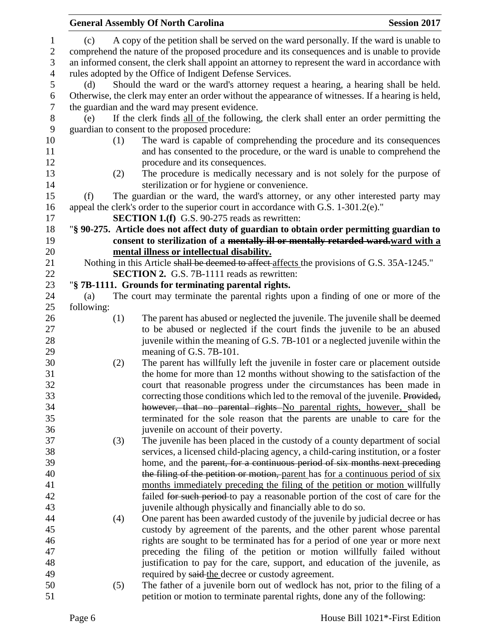|                |            | <b>General Assembly Of North Carolina</b><br><b>Session 2017</b>                                   |  |
|----------------|------------|----------------------------------------------------------------------------------------------------|--|
| 1              | (c)        | A copy of the petition shall be served on the ward personally. If the ward is unable to            |  |
| $\sqrt{2}$     |            | comprehend the nature of the proposed procedure and its consequences and is unable to provide      |  |
| 3              |            | an informed consent, the clerk shall appoint an attorney to represent the ward in accordance with  |  |
| $\overline{4}$ |            | rules adopted by the Office of Indigent Defense Services.                                          |  |
| 5              | (d)        | Should the ward or the ward's attorney request a hearing, a hearing shall be held.                 |  |
| 6              |            | Otherwise, the clerk may enter an order without the appearance of witnesses. If a hearing is held, |  |
| 7              |            | the guardian and the ward may present evidence.                                                    |  |
| 8              | (e)        | If the clerk finds all of the following, the clerk shall enter an order permitting the             |  |
| 9              |            | guardian to consent to the proposed procedure:                                                     |  |
| 10             | (1)        | The ward is capable of comprehending the procedure and its consequences                            |  |
| 11             |            | and has consented to the procedure, or the ward is unable to comprehend the                        |  |
| 12             |            | procedure and its consequences.                                                                    |  |
| 13             | (2)        | The procedure is medically necessary and is not solely for the purpose of                          |  |
| 14             |            | sterilization or for hygiene or convenience.                                                       |  |
| 15             | (f)        | The guardian or the ward, the ward's attorney, or any other interested party may                   |  |
| 16             |            | appeal the clerk's order to the superior court in accordance with G.S. 1-301.2(e)."                |  |
| 17             |            | <b>SECTION 1.(f)</b> G.S. 90-275 reads as rewritten:                                               |  |
| 18             |            | "§ 90-275. Article does not affect duty of guardian to obtain order permitting guardian to         |  |
| 19             |            | consent to sterilization of a mentally ill or mentally retarded ward-ward with a                   |  |
| 20             |            | mental illness or intellectual disability.                                                         |  |
| 21             |            | Nothing in this Article shall be deemed to affect affects the provisions of G.S. 35A-1245."        |  |
| 22             |            | <b>SECTION 2.</b> G.S. 7B-1111 reads as rewritten:                                                 |  |
| 23             |            | "§ 7B-1111. Grounds for terminating parental rights.                                               |  |
| 24             | (a)        | The court may terminate the parental rights upon a finding of one or more of the                   |  |
| 25             | following: |                                                                                                    |  |
| 26             | (1)        | The parent has abused or neglected the juvenile. The juvenile shall be deemed                      |  |
| 27             |            | to be abused or neglected if the court finds the juvenile to be an abused                          |  |
| 28             |            | juvenile within the meaning of G.S. 7B-101 or a neglected juvenile within the                      |  |
| 29             |            | meaning of G.S. 7B-101.                                                                            |  |
| 30             | (2)        | The parent has willfully left the juvenile in foster care or placement outside                     |  |
| 31             |            | the home for more than 12 months without showing to the satisfaction of the                        |  |
| 32             |            | court that reasonable progress under the circumstances has been made in                            |  |
| 33             |            | correcting those conditions which led to the removal of the juvenile. Provided,                    |  |
| 34             |            | however, that no parental rights No parental rights, however, shall be                             |  |
| 35             |            | terminated for the sole reason that the parents are unable to care for the                         |  |
| 36             |            | juvenile on account of their poverty.                                                              |  |
| 37             | (3)        | The juvenile has been placed in the custody of a county department of social                       |  |
| 38             |            | services, a licensed child-placing agency, a child-caring institution, or a foster                 |  |
| 39             |            | home, and the parent, for a continuous period of six months next preceding                         |  |
| 40             |            | the filing of the petition or motion, parent has for a continuous period of six                    |  |
| 41             |            | months immediately preceding the filing of the petition or motion willfully                        |  |
| 42             |            | failed for such period to pay a reasonable portion of the cost of care for the                     |  |
| 43             |            | juvenile although physically and financially able to do so.                                        |  |
| 44             | (4)        | One parent has been awarded custody of the juvenile by judicial decree or has                      |  |
| 45             |            | custody by agreement of the parents, and the other parent whose parental                           |  |
| 46             |            | rights are sought to be terminated has for a period of one year or more next                       |  |
| 47             |            | preceding the filing of the petition or motion willfully failed without                            |  |
| 48             |            | justification to pay for the care, support, and education of the juvenile, as                      |  |
| 49             |            | required by said-the decree or custody agreement.                                                  |  |
| 50             | (5)        | The father of a juvenile born out of wedlock has not, prior to the filing of a                     |  |
| 51             |            | petition or motion to terminate parental rights, done any of the following:                        |  |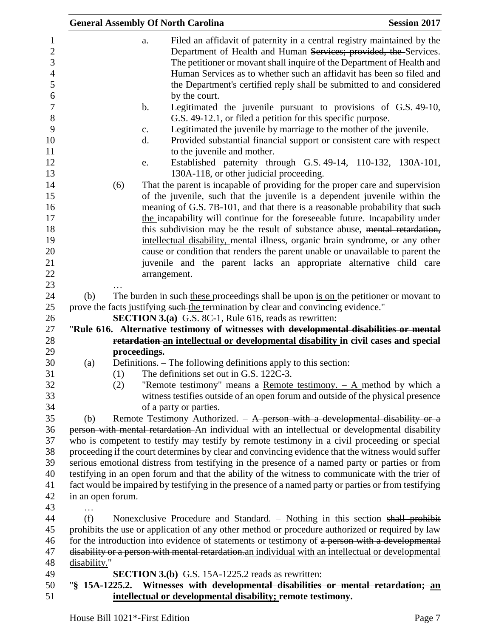|                                                                                                                                       |                   | <b>General Assembly Of North Carolina</b><br><b>Session 2017</b>                                                                                                                                                                                                                                                                                                                                                                                                                                                                                                                                                                                                                                                                                                                                        |
|---------------------------------------------------------------------------------------------------------------------------------------|-------------------|---------------------------------------------------------------------------------------------------------------------------------------------------------------------------------------------------------------------------------------------------------------------------------------------------------------------------------------------------------------------------------------------------------------------------------------------------------------------------------------------------------------------------------------------------------------------------------------------------------------------------------------------------------------------------------------------------------------------------------------------------------------------------------------------------------|
| $\mathbf{1}$<br>$\sqrt{2}$<br>$\overline{3}$<br>$\overline{4}$<br>5<br>$\boldsymbol{6}$<br>$\overline{7}$<br>8<br>9<br>10<br>11<br>12 |                   | Filed an affidavit of paternity in a central registry maintained by the<br>a.<br>Department of Health and Human Services; provided, the Services.<br>The petitioner or movant shall inquire of the Department of Health and<br>Human Services as to whether such an affidavit has been so filed and<br>the Department's certified reply shall be submitted to and considered<br>by the court.<br>Legitimated the juvenile pursuant to provisions of G.S. 49-10,<br>b.<br>G.S. 49-12.1, or filed a petition for this specific purpose.<br>Legitimated the juvenile by marriage to the mother of the juvenile.<br>c.<br>Provided substantial financial support or consistent care with respect<br>d.<br>to the juvenile and mother.<br>Established paternity through G.S. 49-14, 110-132, 130A-101,<br>e. |
| 13                                                                                                                                    |                   | 130A-118, or other judicial proceeding.                                                                                                                                                                                                                                                                                                                                                                                                                                                                                                                                                                                                                                                                                                                                                                 |
| 14<br>15<br>16<br>17<br>18<br>19<br>20<br>21<br>22<br>23                                                                              | (6)               | That the parent is incapable of providing for the proper care and supervision<br>of the juvenile, such that the juvenile is a dependent juvenile within the<br>meaning of G.S. 7B-101, and that there is a reasonable probability that such<br>the incapability will continue for the foreseeable future. Incapability under<br>this subdivision may be the result of substance abuse, mental retardation,<br>intellectual disability, mental illness, organic brain syndrome, or any other<br>cause or condition that renders the parent unable or unavailable to parent the<br>juvenile and the parent lacks an appropriate alternative child care<br>arrangement.                                                                                                                                    |
| 24                                                                                                                                    | (b)               | The burden in such these proceedings shall be upon is on the petitioner or movant to                                                                                                                                                                                                                                                                                                                                                                                                                                                                                                                                                                                                                                                                                                                    |
| 25                                                                                                                                    |                   | prove the facts justifying such the termination by clear and convincing evidence."                                                                                                                                                                                                                                                                                                                                                                                                                                                                                                                                                                                                                                                                                                                      |
| 26                                                                                                                                    |                   | SECTION 3.(a) G.S. 8C-1, Rule 616, reads as rewritten:                                                                                                                                                                                                                                                                                                                                                                                                                                                                                                                                                                                                                                                                                                                                                  |
| 27                                                                                                                                    |                   | "Rule 616. Alternative testimony of witnesses with developmental disabilities or mental                                                                                                                                                                                                                                                                                                                                                                                                                                                                                                                                                                                                                                                                                                                 |
| 28                                                                                                                                    |                   | retardation an intellectual or developmental disability in civil cases and special                                                                                                                                                                                                                                                                                                                                                                                                                                                                                                                                                                                                                                                                                                                      |
| 29                                                                                                                                    |                   | proceedings.                                                                                                                                                                                                                                                                                                                                                                                                                                                                                                                                                                                                                                                                                                                                                                                            |
| 30                                                                                                                                    | (a)               | Definitions. – The following definitions apply to this section:                                                                                                                                                                                                                                                                                                                                                                                                                                                                                                                                                                                                                                                                                                                                         |
| 31                                                                                                                                    | (1)               | The definitions set out in G.S. 122C-3.                                                                                                                                                                                                                                                                                                                                                                                                                                                                                                                                                                                                                                                                                                                                                                 |
| 32                                                                                                                                    | (2)               | "Remote testimony" means a Remote testimony. $-$ A method by which a                                                                                                                                                                                                                                                                                                                                                                                                                                                                                                                                                                                                                                                                                                                                    |
| 33                                                                                                                                    |                   | witness testifies outside of an open forum and outside of the physical presence                                                                                                                                                                                                                                                                                                                                                                                                                                                                                                                                                                                                                                                                                                                         |
| 34                                                                                                                                    |                   | of a party or parties.                                                                                                                                                                                                                                                                                                                                                                                                                                                                                                                                                                                                                                                                                                                                                                                  |
| 35                                                                                                                                    | (b)               | Remote Testimony Authorized. $-$ A person with a developmental disability or a                                                                                                                                                                                                                                                                                                                                                                                                                                                                                                                                                                                                                                                                                                                          |
| 36                                                                                                                                    |                   | person with mental retardation An individual with an intellectual or developmental disability                                                                                                                                                                                                                                                                                                                                                                                                                                                                                                                                                                                                                                                                                                           |
| 37                                                                                                                                    |                   | who is competent to testify may testify by remote testimony in a civil proceeding or special                                                                                                                                                                                                                                                                                                                                                                                                                                                                                                                                                                                                                                                                                                            |
| 38                                                                                                                                    |                   | proceeding if the court determines by clear and convincing evidence that the witness would suffer                                                                                                                                                                                                                                                                                                                                                                                                                                                                                                                                                                                                                                                                                                       |
| 39                                                                                                                                    |                   | serious emotional distress from testifying in the presence of a named party or parties or from                                                                                                                                                                                                                                                                                                                                                                                                                                                                                                                                                                                                                                                                                                          |
| 40                                                                                                                                    |                   | testifying in an open forum and that the ability of the witness to communicate with the trier of                                                                                                                                                                                                                                                                                                                                                                                                                                                                                                                                                                                                                                                                                                        |
| 41                                                                                                                                    |                   | fact would be impaired by testifying in the presence of a named party or parties or from testifying                                                                                                                                                                                                                                                                                                                                                                                                                                                                                                                                                                                                                                                                                                     |
| 42                                                                                                                                    | in an open forum. |                                                                                                                                                                                                                                                                                                                                                                                                                                                                                                                                                                                                                                                                                                                                                                                                         |
| 43                                                                                                                                    |                   |                                                                                                                                                                                                                                                                                                                                                                                                                                                                                                                                                                                                                                                                                                                                                                                                         |
| 44                                                                                                                                    | (f)               | Nonexclusive Procedure and Standard. - Nothing in this section shall prohibit                                                                                                                                                                                                                                                                                                                                                                                                                                                                                                                                                                                                                                                                                                                           |
| 45                                                                                                                                    |                   | prohibits the use or application of any other method or procedure authorized or required by law                                                                                                                                                                                                                                                                                                                                                                                                                                                                                                                                                                                                                                                                                                         |
| 46                                                                                                                                    |                   | for the introduction into evidence of statements or testimony of a person with a developmental                                                                                                                                                                                                                                                                                                                                                                                                                                                                                                                                                                                                                                                                                                          |
| 47                                                                                                                                    |                   | disability or a person with mental retardation an individual with an intellectual or developmental                                                                                                                                                                                                                                                                                                                                                                                                                                                                                                                                                                                                                                                                                                      |
| 48                                                                                                                                    | disability."      |                                                                                                                                                                                                                                                                                                                                                                                                                                                                                                                                                                                                                                                                                                                                                                                                         |
| 49                                                                                                                                    |                   | <b>SECTION 3.(b)</b> G.S. 15A-1225.2 reads as rewritten:                                                                                                                                                                                                                                                                                                                                                                                                                                                                                                                                                                                                                                                                                                                                                |
| 50                                                                                                                                    | "§ 15A-1225.2.    | Witnesses with developmental disabilities or mental retardation; an                                                                                                                                                                                                                                                                                                                                                                                                                                                                                                                                                                                                                                                                                                                                     |
| 51                                                                                                                                    |                   | intellectual or developmental disability; remote testimony.                                                                                                                                                                                                                                                                                                                                                                                                                                                                                                                                                                                                                                                                                                                                             |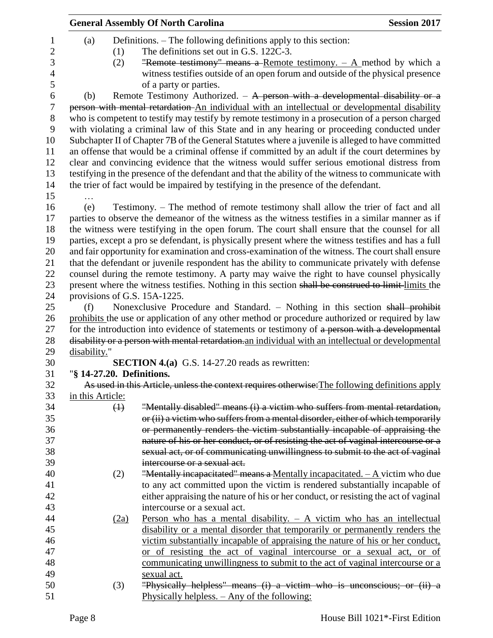|                |                           | <b>General Assembly Of North Carolina</b>                                                            | <b>Session 2017</b> |
|----------------|---------------------------|------------------------------------------------------------------------------------------------------|---------------------|
| 1              | (a)                       | Definitions. – The following definitions apply to this section:                                      |                     |
| $\mathbf{2}$   | (1)                       | The definitions set out in G.S. 122C-3.                                                              |                     |
| 3              | (2)                       | "Remote testimony" means a Remote testimony. $-$ A method by which a                                 |                     |
| $\overline{4}$ |                           | witness testifies outside of an open forum and outside of the physical presence                      |                     |
| 5              |                           | of a party or parties.                                                                               |                     |
| 6              | (b)                       | Remote Testimony Authorized. $-$ A person with a developmental disability or a                       |                     |
| 7              |                           | person with mental retardation An individual with an intellectual or developmental disability        |                     |
| 8              |                           | who is competent to testify may testify by remote testimony in a prosecution of a person charged     |                     |
| 9              |                           | with violating a criminal law of this State and in any hearing or proceeding conducted under         |                     |
| 10             |                           | Subchapter II of Chapter 7B of the General Statutes where a juvenile is alleged to have committed    |                     |
| 11             |                           | an offense that would be a criminal offense if committed by an adult if the court determines by      |                     |
| 12             |                           | clear and convincing evidence that the witness would suffer serious emotional distress from          |                     |
| 13             |                           | testifying in the presence of the defendant and that the ability of the witness to communicate with  |                     |
| 14             |                           | the trier of fact would be impaired by testifying in the presence of the defendant.                  |                     |
| 15             |                           |                                                                                                      |                     |
| 16             | (e)                       | Testimony. – The method of remote testimony shall allow the trier of fact and all                    |                     |
| 17             |                           | parties to observe the demeanor of the witness as the witness testifies in a similar manner as if    |                     |
| 18             |                           | the witness were testifying in the open forum. The court shall ensure that the counsel for all       |                     |
| 19             |                           | parties, except a pro se defendant, is physically present where the witness testifies and has a full |                     |
| 20             |                           | and fair opportunity for examination and cross-examination of the witness. The court shall ensure    |                     |
| 21             |                           | that the defendant or juvenile respondent has the ability to communicate privately with defense      |                     |
| 22             |                           | counsel during the remote testimony. A party may waive the right to have counsel physically          |                     |
| 23             |                           | present where the witness testifies. Nothing in this section shall be construed to limit-limits the  |                     |
| 24             |                           | provisions of G.S. 15A-1225.                                                                         |                     |
| 25             | (f)                       | Nonexclusive Procedure and Standard. - Nothing in this section shall prohibit                        |                     |
| 26             |                           | prohibits the use or application of any other method or procedure authorized or required by law      |                     |
| 27             |                           | for the introduction into evidence of statements or testimony of a person with a developmental       |                     |
| 28             |                           | disability or a person with mental retardation. an individual with an intellectual or developmental  |                     |
| 29             | disability."              |                                                                                                      |                     |
| 30             |                           | <b>SECTION 4.(a)</b> G.S. 14-27.20 reads as rewritten:                                               |                     |
| 31             | "§ 14-27.20. Definitions. |                                                                                                      |                     |
| 32             |                           | As used in this Article, unless the context requires otherwise: The following definitions apply      |                     |
| 33             | in this Article:          |                                                                                                      |                     |
| 34             | $\leftrightarrow$         | "Mentally disabled" means (i) a victim who suffers from mental retardation,                          |                     |
| 35             |                           | or (ii) a victim who suffers from a mental disorder, either of which temporarily                     |                     |
| 36             |                           | or permanently renders the victim substantially incapable of appraising the                          |                     |
| 37             |                           | nature of his or her conduct, or of resisting the act of vaginal intercourse or a                    |                     |
| 38             |                           | sexual act, or of communicating unwillingness to submit to the act of vaginal                        |                     |
| 39             |                           | intercourse or a sexual act.                                                                         |                     |
| 40             | (2)                       | "Mentally incapacitated" means a Mentally incapacitated. $-A$ victim who due                         |                     |
| 41             |                           | to any act committed upon the victim is rendered substantially incapable of                          |                     |
| 42             |                           | either appraising the nature of his or her conduct, or resisting the act of vaginal                  |                     |
| 43             |                           | intercourse or a sexual act.                                                                         |                     |
| 44             | (2a)                      | <u>Person who has a mental disability. <math>-</math> A victim who has an intellectual</u>           |                     |
| 45             |                           | disability or a mental disorder that temporarily or permanently renders the                          |                     |
| 46             |                           | victim substantially incapable of appraising the nature of his or her conduct,                       |                     |
| 47             |                           | or of resisting the act of vaginal intercourse or a sexual act, or of                                |                     |
| 48             |                           | communicating unwillingness to submit to the act of vaginal intercourse or a                         |                     |
| 49             |                           | sexual act.                                                                                          |                     |
| 50             | (3)                       | "Physically helpless" means (i) a victim who is unconscious; or (ii) a                               |                     |
| 51             |                           | Physically helpless. – Any of the following:                                                         |                     |
|                |                           |                                                                                                      |                     |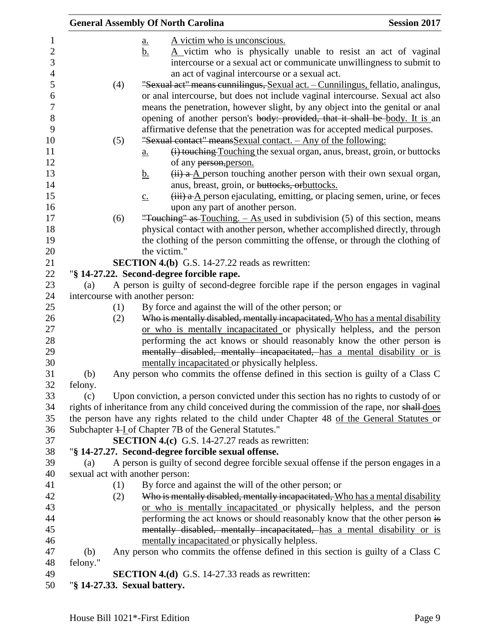|                                 |     |                   | <b>General Assembly Of North Carolina</b>                                                        | <b>Session 2017</b> |
|---------------------------------|-----|-------------------|--------------------------------------------------------------------------------------------------|---------------------|
|                                 |     | <u>a.</u>         | A victim who is unconscious.                                                                     |                     |
|                                 |     | <u>b.</u>         | A victim who is physically unable to resist an act of vaginal                                    |                     |
|                                 |     |                   | intercourse or a sexual act or communicate unwillingness to submit to                            |                     |
|                                 |     |                   | an act of vaginal intercourse or a sexual act.                                                   |                     |
|                                 | (4) |                   | "Sexual act" means cunnilingus, Sexual act. - Cunnilingus, fellatio, analingus,                  |                     |
|                                 |     |                   | or anal intercourse, but does not include vaginal intercourse. Sexual act also                   |                     |
|                                 |     |                   | means the penetration, however slight, by any object into the genital or anal                    |                     |
|                                 |     |                   | opening of another person's body: provided, that it shall be body. It is an                      |                     |
|                                 |     |                   | affirmative defense that the penetration was for accepted medical purposes.                      |                     |
|                                 | (5) |                   | "Sexual contact" means Sexual contact. - Any of the following:                                   |                     |
|                                 |     | <u>a.</u>         | (i) touching Touching the sexual organ, anus, breast, groin, or buttocks                         |                     |
|                                 |     |                   | of any person, person.                                                                           |                     |
|                                 |     | <u>b.</u>         | $(ii)$ a- $A$ person touching another person with their own sexual organ,                        |                     |
|                                 |     |                   | anus, breast, groin, or buttocks, orbuttocks.                                                    |                     |
|                                 |     | $\underline{c}$ . | $(iii)$ a $\triangle$ person ejaculating, emitting, or placing semen, urine, or feces            |                     |
|                                 |     |                   | upon any part of another person.                                                                 |                     |
|                                 | (6) |                   | "Touching" as Touching. $-$ As used in subdivision (5) of this section, means                    |                     |
|                                 |     |                   | physical contact with another person, whether accomplished directly, through                     |                     |
|                                 |     |                   | the clothing of the person committing the offense, or through the clothing of                    |                     |
|                                 |     |                   | the victim."                                                                                     |                     |
|                                 |     |                   | <b>SECTION 4.(b)</b> G.S. 14-27.22 reads as rewritten:                                           |                     |
|                                 |     |                   | "§ 14-27.22. Second-degree forcible rape.                                                        |                     |
| (a)                             |     |                   | A person is guilty of second-degree forcible rape if the person engages in vaginal               |                     |
|                                 |     |                   | intercourse with another person:                                                                 |                     |
|                                 | (1) |                   | By force and against the will of the other person; or                                            |                     |
|                                 | (2) |                   | Who is mentally disabled, mentally incapacitated, Who has a mental disability                    |                     |
|                                 |     |                   | or who is mentally incapacitated or physically helpless, and the person                          |                     |
|                                 |     |                   | performing the act knows or should reasonably know the other person is                           |                     |
|                                 |     |                   | mentally disabled, mentally incapacitated, has a mental disability or is                         |                     |
|                                 |     |                   | mentally incapacitated or physically helpless.                                                   |                     |
| (b)                             |     |                   | Any person who commits the offense defined in this section is guilty of a Class C                |                     |
| felony.                         |     |                   |                                                                                                  |                     |
| (c)                             |     |                   | Upon conviction, a person convicted under this section has no rights to custody of or            |                     |
|                                 |     |                   | rights of inheritance from any child conceived during the commission of the rape, nor shall-does |                     |
|                                 |     |                   | the person have any rights related to the child under Chapter 48 of the General Statutes or      |                     |
|                                 |     |                   | Subchapter 4-I of Chapter 7B of the General Statutes."                                           |                     |
|                                 |     |                   | <b>SECTION 4.(c)</b> G.S. 14-27.27 reads as rewritten:                                           |                     |
|                                 |     |                   | "§ 14-27.27. Second-degree forcible sexual offense.                                              |                     |
| (a)                             |     |                   | A person is guilty of second degree forcible sexual offense if the person engages in a           |                     |
| sexual act with another person: |     |                   |                                                                                                  |                     |
|                                 | (1) |                   | By force and against the will of the other person; or                                            |                     |
|                                 | (2) |                   | Who is mentally disabled, mentally incapacitated, Who has a mental disability                    |                     |
|                                 |     |                   | or who is mentally incapacitated or physically helpless, and the person                          |                     |
|                                 |     |                   | performing the act knows or should reasonably know that the other person is                      |                     |
|                                 |     |                   | mentally disabled, mentally incapacitated, has a mental disability or is                         |                     |
|                                 |     |                   | mentally incapacitated or physically helpless.                                                   |                     |
| (b)                             |     |                   | Any person who commits the offense defined in this section is guilty of a Class C                |                     |
| felony."                        |     |                   |                                                                                                  |                     |
|                                 |     |                   | <b>SECTION 4.(d)</b> G.S. 14-27.33 reads as rewritten:                                           |                     |

"**§ 14-27.33. Sexual battery.**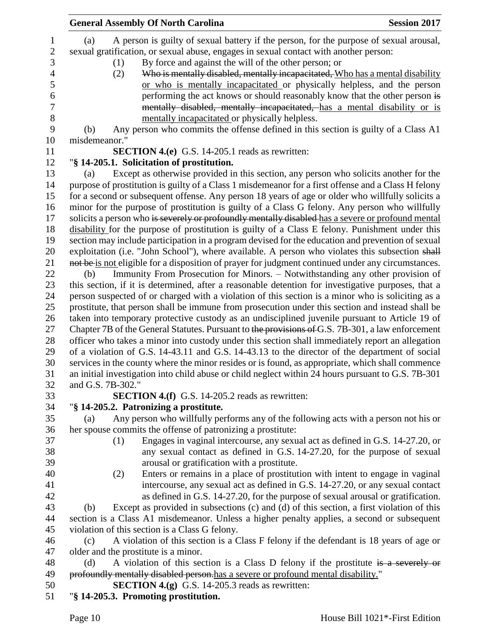|                | <b>General Assembly Of North Carolina</b>                                                           | <b>Session 2017</b> |
|----------------|-----------------------------------------------------------------------------------------------------|---------------------|
| $\mathbf{1}$   | A person is guilty of sexual battery if the person, for the purpose of sexual arousal,<br>(a)       |                     |
| $\overline{c}$ | sexual gratification, or sexual abuse, engages in sexual contact with another person:               |                     |
| 3              | By force and against the will of the other person; or<br>(1)                                        |                     |
| 4              | Who is mentally disabled, mentally incapacitated, Who has a mental disability<br>(2)                |                     |
| 5              | or who is mentally incapacitated or physically helpless, and the person                             |                     |
| 6              | performing the act knows or should reasonably know that the other person is                         |                     |
| 7              | mentally disabled, mentally incapacitated, has a mental disability or is                            |                     |
| $8\,$          | mentally incapacitated or physically helpless.                                                      |                     |
| 9              | Any person who commits the offense defined in this section is guilty of a Class A1<br>(b)           |                     |
| 10             | misdemeanor."                                                                                       |                     |
| 11             | <b>SECTION 4.(e)</b> G.S. 14-205.1 reads as rewritten:                                              |                     |
| 12             | "§ 14-205.1. Solicitation of prostitution.                                                          |                     |
| 13             | Except as otherwise provided in this section, any person who solicits another for the<br>(a)        |                     |
| 14             | purpose of prostitution is guilty of a Class 1 misdemeanor for a first offense and a Class H felony |                     |
| 15             |                                                                                                     |                     |
|                | for a second or subsequent offense. Any person 18 years of age or older who willfully solicits a    |                     |
| 16             | minor for the purpose of prostitution is guilty of a Class G felony. Any person who willfully       |                     |
| 17             | solicits a person who is severely or profoundly mentally disabled has a severe or profound mental   |                     |
| 18             | disability for the purpose of prostitution is guilty of a Class E felony. Punishment under this     |                     |
| 19             | section may include participation in a program devised for the education and prevention of sexual   |                     |
| 20             | exploitation (i.e. "John School"), where available. A person who violates this subsection shall     |                     |
| 21             | not be is not eligible for a disposition of prayer for judgment continued under any circumstances.  |                     |
| 22             | Immunity From Prosecution for Minors. - Notwithstanding any other provision of<br>(b)               |                     |
| 23             | this section, if it is determined, after a reasonable detention for investigative purposes, that a  |                     |
| 24             | person suspected of or charged with a violation of this section is a minor who is soliciting as a   |                     |
| 25             | prostitute, that person shall be immune from prosecution under this section and instead shall be    |                     |
| 26             | taken into temporary protective custody as an undisciplined juvenile pursuant to Article 19 of      |                     |
| 27             | Chapter 7B of the General Statutes. Pursuant to the provisions of G.S. 7B-301, a law enforcement    |                     |
| 28             | officer who takes a minor into custody under this section shall immediately report an allegation    |                     |
| 29             | of a violation of G.S. 14-43.11 and G.S. 14-43.13 to the director of the department of social       |                     |
| 30             | services in the county where the minor resides or is found, as appropriate, which shall commence    |                     |
| 31             | an initial investigation into child abuse or child neglect within 24 hours pursuant to G.S. 7B-301  |                     |
| 32             | and G.S. 7B-302."                                                                                   |                     |
| 33             | <b>SECTION 4.(f)</b> G.S. 14-205.2 reads as rewritten:                                              |                     |
| 34             | "§ 14-205.2. Patronizing a prostitute.                                                              |                     |
| 35             | Any person who willfully performs any of the following acts with a person not his or<br>(a)         |                     |
| 36             | her spouse commits the offense of patronizing a prostitute:                                         |                     |
| 37             | Engages in vaginal intercourse, any sexual act as defined in G.S. 14-27.20, or<br>(1)               |                     |
| 38             | any sexual contact as defined in G.S. 14-27.20, for the purpose of sexual                           |                     |
| 39             | arousal or gratification with a prostitute.                                                         |                     |
| 40             | Enters or remains in a place of prostitution with intent to engage in vaginal<br>(2)                |                     |
| 41             | intercourse, any sexual act as defined in G.S. 14-27.20, or any sexual contact                      |                     |
| 42             | as defined in G.S. 14-27.20, for the purpose of sexual arousal or gratification.                    |                     |
| 43             | Except as provided in subsections (c) and (d) of this section, a first violation of this<br>(b)     |                     |
| 44             | section is a Class A1 misdemeanor. Unless a higher penalty applies, a second or subsequent          |                     |
| 45             | violation of this section is a Class G felony.                                                      |                     |
| 46             | A violation of this section is a Class F felony if the defendant is 18 years of age or<br>(c)       |                     |
| 47             | older and the prostitute is a minor.                                                                |                     |
| 48             | A violation of this section is a Class D felony if the prostitute is a severely or<br>(d)           |                     |
| 49             | profoundly mentally disabled person.has a severe or profound mental disability."                    |                     |
| 50             | <b>SECTION 4.(g)</b> G.S. 14-205.3 reads as rewritten:                                              |                     |
| 51             | "§ 14-205.3. Promoting prostitution.                                                                |                     |
|                |                                                                                                     |                     |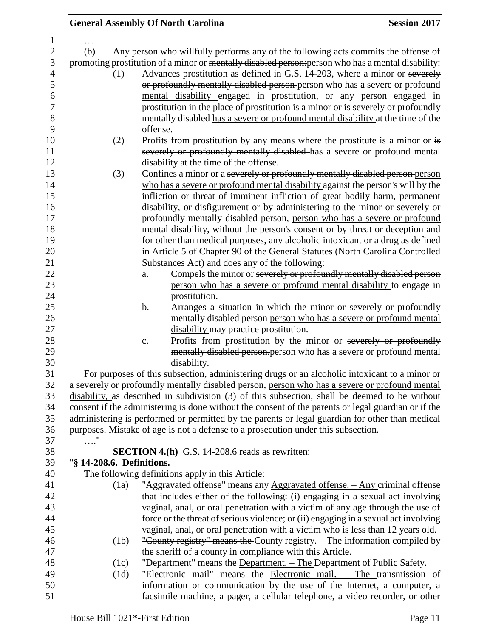| $\mathbf{1}$   | .                         |                                                                                                               |
|----------------|---------------------------|---------------------------------------------------------------------------------------------------------------|
| $\mathbf{2}$   | (b)                       | Any person who willfully performs any of the following acts commits the offense of                            |
| $\mathfrak{Z}$ |                           | promoting prostitution of a minor or <del>mentally disabled person:</del> person who has a mental disability: |
| $\overline{4}$ | (1)                       | Advances prostitution as defined in G.S. 14-203, where a minor or severely                                    |
| 5              |                           | or profoundly mentally disabled person-person who has a severe or profound                                    |
| 6              |                           | mental disability engaged in prostitution, or any person engaged in                                           |
| $\overline{7}$ |                           | prostitution in the place of prostitution is a minor or is severely or profoundly                             |
| 8              |                           | mentally disabled has a severe or profound mental disability at the time of the                               |
| 9              |                           | offense.                                                                                                      |
| 10             | (2)                       | Profits from prostitution by any means where the prostitute is a minor or is                                  |
| 11             |                           | severely or profoundly mentally disabled-has a severe or profound mental                                      |
| 12             |                           | disability at the time of the offense.                                                                        |
| 13             | (3)                       | Confines a minor or a severely or profoundly mentally disabled person-person                                  |
| 14             |                           | who has a severe or profound mental disability against the person's will by the                               |
| 15             |                           | infliction or threat of imminent infliction of great bodily harm, permanent                                   |
| 16             |                           | disability, or disfigurement or by administering to the minor or severely or                                  |
| 17             |                           | profoundly mentally disabled person, person who has a severe or profound                                      |
| 18             |                           | mental disability, without the person's consent or by threat or deception and                                 |
| 19             |                           | for other than medical purposes, any alcoholic intoxicant or a drug as defined                                |
| 20             |                           | in Article 5 of Chapter 90 of the General Statutes (North Carolina Controlled                                 |
| 21             |                           | Substances Act) and does any of the following:                                                                |
| 22             |                           | Compels the minor or severely or profoundly mentally disabled person<br>a.                                    |
| 23             |                           | person who has a severe or profound mental disability to engage in                                            |
| 24             |                           | prostitution.                                                                                                 |
| 25             |                           | Arranges a situation in which the minor or severely or profoundly<br>b.                                       |
| 26             |                           | mentally disabled person-person who has a severe or profound mental                                           |
| 27             |                           | disability may practice prostitution.                                                                         |
| 28             |                           | Profits from prostitution by the minor or severely or profoundly<br>c.                                        |
| 29             |                           | mentally disabled person.person who has a severe or profound mental                                           |
| 30             |                           | disability.                                                                                                   |
| 31             |                           | For purposes of this subsection, administering drugs or an alcoholic intoxicant to a minor or                 |
| 32             |                           | a severely or profoundly mentally disabled person, person who has a severe or profound mental                 |
| 33             |                           | disability, as described in subdivision (3) of this subsection, shall be deemed to be without                 |
| 34             |                           | consent if the administering is done without the consent of the parents or legal guardian or if the           |
| 35             |                           | administering is performed or permitted by the parents or legal guardian for other than medical               |
| 36             |                           | purposes. Mistake of age is not a defense to a prosecution under this subsection.                             |
| 37             | $\ldots$ "                |                                                                                                               |
| 38             |                           | <b>SECTION 4.(h)</b> G.S. 14-208.6 reads as rewritten:                                                        |
| 39             | "§ 14-208.6. Definitions. |                                                                                                               |
| 40             |                           | The following definitions apply in this Article:                                                              |
| 41             | (1a)                      | "Aggravated offense" means any Aggravated offense. - Any criminal offense                                     |
| 42             |                           | that includes either of the following: (i) engaging in a sexual act involving                                 |
| 43             |                           | vaginal, anal, or oral penetration with a victim of any age through the use of                                |
| 44             |                           | force or the threat of serious violence; or (ii) engaging in a sexual act involving                           |
| 45             |                           | vaginal, anal, or oral penetration with a victim who is less than 12 years old.                               |
| 46             | (1b)                      | "County registry" means the County registry. - The information compiled by                                    |
| 47             |                           | the sheriff of a county in compliance with this Article.                                                      |
| 48             | (1c)                      | "Department" means the Department. - The Department of Public Safety.                                         |
| 49             | (1d)                      | "Electronic mail" means the Electronic mail. - The transmission of                                            |
| 50             |                           | information or communication by the use of the Internet, a computer, a                                        |
| 51             |                           | facsimile machine, a pager, a cellular telephone, a video recorder, or other                                  |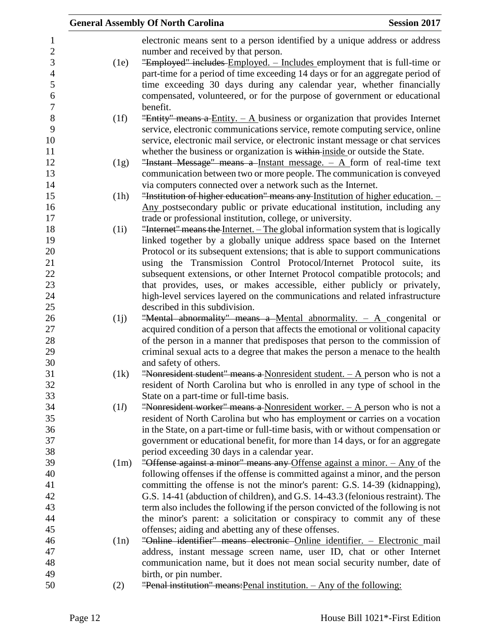|      | <b>General Assembly Of North Carolina</b>                                                                                         | <b>Session 2017</b> |
|------|-----------------------------------------------------------------------------------------------------------------------------------|---------------------|
|      | electronic means sent to a person identified by a unique address or address                                                       |                     |
|      | number and received by that person.                                                                                               |                     |
| (1e) | "Employed" includes Employed. - Includes employment that is full-time or                                                          |                     |
|      | part-time for a period of time exceeding 14 days or for an aggregate period of                                                    |                     |
|      | time exceeding 30 days during any calendar year, whether financially                                                              |                     |
|      | compensated, volunteered, or for the purpose of government or educational                                                         |                     |
|      | benefit.                                                                                                                          |                     |
| (1f) | "Entity" means a Entity. $- A$ business or organization that provides Internet                                                    |                     |
|      | service, electronic communications service, remote computing service, online                                                      |                     |
|      | service, electronic mail service, or electronic instant message or chat services                                                  |                     |
|      | whether the business or organization is within inside or outside the State.                                                       |                     |
| (1g) | "Instant Message" means a Instant message. - A form of real-time text                                                             |                     |
|      | communication between two or more people. The communication is conveyed                                                           |                     |
|      | via computers connected over a network such as the Internet.                                                                      |                     |
| (1h) | "Institution of higher education" means any Institution of higher education. -                                                    |                     |
|      | Any postsecondary public or private educational institution, including any                                                        |                     |
|      | trade or professional institution, college, or university.                                                                        |                     |
| (1i) | "Internet" means the Internet. - The global information system that is logically                                                  |                     |
|      | linked together by a globally unique address space based on the Internet                                                          |                     |
|      | Protocol or its subsequent extensions; that is able to support communications                                                     |                     |
|      | using the Transmission Control Protocol/Internet Protocol suite, its                                                              |                     |
|      | subsequent extensions, or other Internet Protocol compatible protocols; and                                                       |                     |
|      | that provides, uses, or makes accessible, either publicly or privately,                                                           |                     |
|      | high-level services layered on the communications and related infrastructure                                                      |                     |
|      | described in this subdivision.                                                                                                    |                     |
| (1j) | "Mental abnormality" means a Mental abnormality. $-$ A congenital or                                                              |                     |
|      | acquired condition of a person that affects the emotional or volitional capacity                                                  |                     |
|      | of the person in a manner that predisposes that person to the commission of                                                       |                     |
|      | criminal sexual acts to a degree that makes the person a menace to the health                                                     |                     |
|      | and safety of others.                                                                                                             |                     |
| (1k) | "Nonresident student" means a Nonresident student. $- A$ person who is not a                                                      |                     |
|      | resident of North Carolina but who is enrolled in any type of school in the                                                       |                     |
|      | State on a part-time or full-time basis.                                                                                          |                     |
| (1l) | "Nonresident worker" means a Nonresident worker. $- A$ person who is not a                                                        |                     |
|      | resident of North Carolina but who has employment or carries on a vocation                                                        |                     |
|      | in the State, on a part-time or full-time basis, with or without compensation or                                                  |                     |
|      | government or educational benefit, for more than 14 days, or for an aggregate                                                     |                     |
|      | period exceeding 30 days in a calendar year.<br>"Offense against a minor" means any Offense against a minor. - Any of the         |                     |
| (1m) | following offenses if the offense is committed against a minor, and the person                                                    |                     |
|      | committing the offense is not the minor's parent: G.S. 14-39 (kidnapping),                                                        |                     |
|      | G.S. 14-41 (abduction of children), and G.S. 14-43.3 (felonious restraint). The                                                   |                     |
|      | term also includes the following if the person convicted of the following is not                                                  |                     |
|      | the minor's parent: a solicitation or conspiracy to commit any of these                                                           |                     |
|      |                                                                                                                                   |                     |
| (1n) | offenses; aiding and abetting any of these offenses.<br>"Online identifier" means electronic Online identifier. - Electronic mail |                     |
|      | address, instant message screen name, user ID, chat or other Internet                                                             |                     |
|      | communication name, but it does not mean social security number, date of                                                          |                     |
|      | birth, or pin number.                                                                                                             |                     |
| (2)  | "Penal institution" means: Penal institution. - Any of the following:                                                             |                     |
|      |                                                                                                                                   |                     |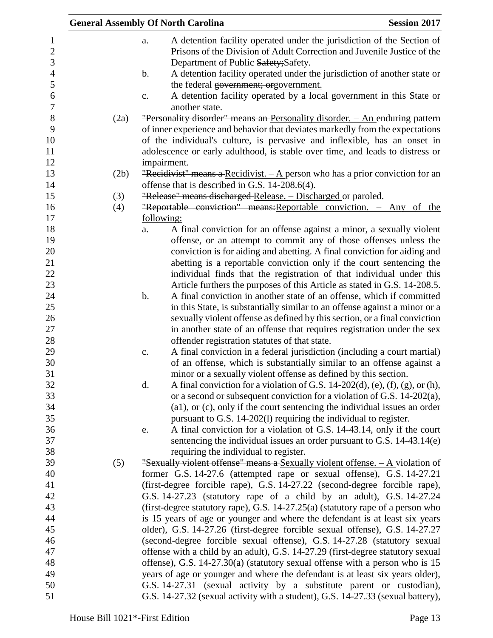|      | <b>General Assembly Of North Carolina</b>                                                                                                         | <b>Session 2017</b> |
|------|---------------------------------------------------------------------------------------------------------------------------------------------------|---------------------|
|      | A detention facility operated under the jurisdiction of the Section of<br>a.                                                                      |                     |
|      | Prisons of the Division of Adult Correction and Juvenile Justice of the                                                                           |                     |
|      | Department of Public Safety; Safety.                                                                                                              |                     |
|      | A detention facility operated under the jurisdiction of another state or<br>b.                                                                    |                     |
|      | the federal government; orgovernment.                                                                                                             |                     |
|      | A detention facility operated by a local government in this State or<br>c.                                                                        |                     |
|      | another state.                                                                                                                                    |                     |
| (2a) | "Personality disorder" means an Personality disorder. - An enduring pattern                                                                       |                     |
|      | of inner experience and behavior that deviates markedly from the expectations                                                                     |                     |
|      | of the individual's culture, is pervasive and inflexible, has an onset in                                                                         |                     |
|      | adolescence or early adulthood, is stable over time, and leads to distress or                                                                     |                     |
|      | impairment.                                                                                                                                       |                     |
| (2b) | "Recidivist" means a Recidivist. $- A$ person who has a prior conviction for an                                                                   |                     |
|      | offense that is described in G.S. 14-208.6(4).                                                                                                    |                     |
| (3)  | "Release" means discharged-Release. - Discharged or paroled.                                                                                      |                     |
| (4)  | "Reportable conviction" means: Reportable conviction. - Any of the                                                                                |                     |
|      | following:                                                                                                                                        |                     |
|      | A final conviction for an offense against a minor, a sexually violent<br>a.                                                                       |                     |
|      | offense, or an attempt to commit any of those offenses unless the                                                                                 |                     |
|      | conviction is for aiding and abetting. A final conviction for aiding and                                                                          |                     |
|      | abetting is a reportable conviction only if the court sentencing the                                                                              |                     |
|      | individual finds that the registration of that individual under this<br>Article furthers the purposes of this Article as stated in G.S. 14-208.5. |                     |
|      | A final conviction in another state of an offense, which if committed<br>$\mathbf b$ .                                                            |                     |
|      | in this State, is substantially similar to an offense against a minor or a                                                                        |                     |
|      | sexually violent offense as defined by this section, or a final conviction                                                                        |                     |
|      | in another state of an offense that requires registration under the sex                                                                           |                     |
|      | offender registration statutes of that state.                                                                                                     |                     |
|      | A final conviction in a federal jurisdiction (including a court martial)<br>c.                                                                    |                     |
|      | of an offense, which is substantially similar to an offense against a                                                                             |                     |
|      | minor or a sexually violent offense as defined by this section.                                                                                   |                     |
|      | d.<br>A final conviction for a violation of G.S. 14-202(d), (e), (f), (g), or (h),                                                                |                     |
|      | or a second or subsequent conviction for a violation of G.S. 14-202(a),                                                                           |                     |
|      | (a1), or (c), only if the court sentencing the individual issues an order                                                                         |                     |
|      | pursuant to G.S. 14-202(l) requiring the individual to register.                                                                                  |                     |
|      | A final conviction for a violation of G.S. 14-43.14, only if the court<br>e.                                                                      |                     |
|      | sentencing the individual issues an order pursuant to G.S. $14-43.14(e)$                                                                          |                     |
|      | requiring the individual to register.                                                                                                             |                     |
| (5)  | "Sexually violent offense" means a Sexually violent offense. - A violation of                                                                     |                     |
|      | former G.S. 14-27.6 (attempted rape or sexual offense), G.S. 14-27.21                                                                             |                     |
|      | (first-degree forcible rape), G.S. 14-27.22 (second-degree forcible rape),                                                                        |                     |
|      | G.S. 14-27.23 (statutory rape of a child by an adult), G.S. 14-27.24                                                                              |                     |
|      | (first-degree statutory rape), G.S. 14-27.25(a) (statutory rape of a person who                                                                   |                     |
|      | is 15 years of age or younger and where the defendant is at least six years                                                                       |                     |
|      | older), G.S. 14-27.26 (first-degree forcible sexual offense), G.S. 14-27.27                                                                       |                     |
|      | (second-degree forcible sexual offense), G.S. 14-27.28 (statutory sexual                                                                          |                     |
|      | offense with a child by an adult), G.S. 14-27.29 (first-degree statutory sexual                                                                   |                     |
|      | offense), G.S. 14-27.30(a) (statutory sexual offense with a person who is 15                                                                      |                     |
|      | years of age or younger and where the defendant is at least six years older),                                                                     |                     |
|      | G.S. 14-27.31 (sexual activity by a substitute parent or custodian),                                                                              |                     |
|      | G.S. 14-27.32 (sexual activity with a student), G.S. 14-27.33 (sexual battery),                                                                   |                     |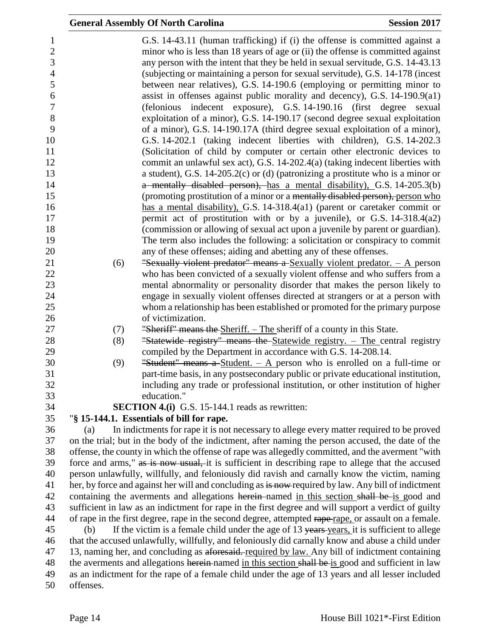|           |            | <b>General Assembly Of North Carolina</b>                                                                                                                                                                                                                                                                                                                                                                                                                                                                                                                                                                                                                                                                                                                                                                                                                                           | <b>Session 2017</b> |
|-----------|------------|-------------------------------------------------------------------------------------------------------------------------------------------------------------------------------------------------------------------------------------------------------------------------------------------------------------------------------------------------------------------------------------------------------------------------------------------------------------------------------------------------------------------------------------------------------------------------------------------------------------------------------------------------------------------------------------------------------------------------------------------------------------------------------------------------------------------------------------------------------------------------------------|---------------------|
|           |            | G.S. 14-43.11 (human trafficking) if (i) the offense is committed against a<br>minor who is less than 18 years of age or (ii) the offense is committed against<br>any person with the intent that they be held in sexual servitude, G.S. 14-43.13<br>(subjecting or maintaining a person for sexual servitude), G.S. 14-178 (incest<br>between near relatives), G.S. 14-190.6 (employing or permitting minor to<br>assist in offenses against public morality and decency), G.S. $14-190.9(a1)$<br>(felonious indecent exposure), G.S. 14-190.16 (first degree<br>exploitation of a minor), G.S. 14-190.17 (second degree sexual exploitation<br>of a minor), G.S. 14-190.17A (third degree sexual exploitation of a minor),<br>G.S. 14-202.1 (taking indecent liberties with children), G.S. 14-202.3<br>(Solicitation of child by computer or certain other electronic devices to | sexual              |
|           |            | commit an unlawful sex act), G.S. 14-202.4(a) (taking indecent liberties with                                                                                                                                                                                                                                                                                                                                                                                                                                                                                                                                                                                                                                                                                                                                                                                                       |                     |
|           |            | a student), G.S. 14-205.2(c) or (d) (patronizing a prostitute who is a minor or                                                                                                                                                                                                                                                                                                                                                                                                                                                                                                                                                                                                                                                                                                                                                                                                     |                     |
|           |            | a mentally disabled person), has a mental disability), G.S. 14-205.3(b)                                                                                                                                                                                                                                                                                                                                                                                                                                                                                                                                                                                                                                                                                                                                                                                                             |                     |
|           |            | (promoting prostitution of a minor or a mentally disabled person), person who                                                                                                                                                                                                                                                                                                                                                                                                                                                                                                                                                                                                                                                                                                                                                                                                       |                     |
|           |            | has a mental disability), G.S. 14-318.4(a1) (parent or caretaker commit or                                                                                                                                                                                                                                                                                                                                                                                                                                                                                                                                                                                                                                                                                                                                                                                                          |                     |
|           |            | permit act of prostitution with or by a juvenile), or G.S. 14-318.4(a2)                                                                                                                                                                                                                                                                                                                                                                                                                                                                                                                                                                                                                                                                                                                                                                                                             |                     |
|           |            | (commission or allowing of sexual act upon a juvenile by parent or guardian).<br>The term also includes the following: a solicitation or conspiracy to commit                                                                                                                                                                                                                                                                                                                                                                                                                                                                                                                                                                                                                                                                                                                       |                     |
|           |            | any of these offenses; aiding and abetting any of these offenses.                                                                                                                                                                                                                                                                                                                                                                                                                                                                                                                                                                                                                                                                                                                                                                                                                   |                     |
|           | (6)        | "Sexually violent predator" means a Sexually violent predator. $-$ A person                                                                                                                                                                                                                                                                                                                                                                                                                                                                                                                                                                                                                                                                                                                                                                                                         |                     |
|           |            | who has been convicted of a sexually violent offense and who suffers from a                                                                                                                                                                                                                                                                                                                                                                                                                                                                                                                                                                                                                                                                                                                                                                                                         |                     |
|           |            | mental abnormality or personality disorder that makes the person likely to                                                                                                                                                                                                                                                                                                                                                                                                                                                                                                                                                                                                                                                                                                                                                                                                          |                     |
|           |            | engage in sexually violent offenses directed at strangers or at a person with                                                                                                                                                                                                                                                                                                                                                                                                                                                                                                                                                                                                                                                                                                                                                                                                       |                     |
|           |            | whom a relationship has been established or promoted for the primary purpose                                                                                                                                                                                                                                                                                                                                                                                                                                                                                                                                                                                                                                                                                                                                                                                                        |                     |
|           |            | of victimization.                                                                                                                                                                                                                                                                                                                                                                                                                                                                                                                                                                                                                                                                                                                                                                                                                                                                   |                     |
|           | (7)<br>(8) | "Sheriff" means the Sheriff. – The sheriff of a county in this State.<br>"Statewide registry" means the Statewide registry. - The central registry                                                                                                                                                                                                                                                                                                                                                                                                                                                                                                                                                                                                                                                                                                                                  |                     |
|           |            | compiled by the Department in accordance with G.S. 14-208.14.                                                                                                                                                                                                                                                                                                                                                                                                                                                                                                                                                                                                                                                                                                                                                                                                                       |                     |
|           | (9)        | "Student" means a Student. $-$ A person who is enrolled on a full-time or                                                                                                                                                                                                                                                                                                                                                                                                                                                                                                                                                                                                                                                                                                                                                                                                           |                     |
|           |            | part-time basis, in any postsecondary public or private educational institution,                                                                                                                                                                                                                                                                                                                                                                                                                                                                                                                                                                                                                                                                                                                                                                                                    |                     |
|           |            | including any trade or professional institution, or other institution of higher                                                                                                                                                                                                                                                                                                                                                                                                                                                                                                                                                                                                                                                                                                                                                                                                     |                     |
|           |            | education."                                                                                                                                                                                                                                                                                                                                                                                                                                                                                                                                                                                                                                                                                                                                                                                                                                                                         |                     |
|           |            | <b>SECTION 4.(i)</b> G.S. 15-144.1 reads as rewritten:                                                                                                                                                                                                                                                                                                                                                                                                                                                                                                                                                                                                                                                                                                                                                                                                                              |                     |
| (a)       |            | "§ 15-144.1. Essentials of bill for rape.<br>In indictments for rape it is not necessary to allege every matter required to be proved                                                                                                                                                                                                                                                                                                                                                                                                                                                                                                                                                                                                                                                                                                                                               |                     |
|           |            | on the trial; but in the body of the indictment, after naming the person accused, the date of the                                                                                                                                                                                                                                                                                                                                                                                                                                                                                                                                                                                                                                                                                                                                                                                   |                     |
|           |            | offense, the county in which the offense of rape was allegedly committed, and the averment "with                                                                                                                                                                                                                                                                                                                                                                                                                                                                                                                                                                                                                                                                                                                                                                                    |                     |
|           |            | force and arms," as is now usual, it is sufficient in describing rape to allege that the accused                                                                                                                                                                                                                                                                                                                                                                                                                                                                                                                                                                                                                                                                                                                                                                                    |                     |
|           |            | person unlawfully, willfully, and feloniously did ravish and carnally know the victim, naming                                                                                                                                                                                                                                                                                                                                                                                                                                                                                                                                                                                                                                                                                                                                                                                       |                     |
|           |            | her, by force and against her will and concluding as is now required by law. Any bill of indictment                                                                                                                                                                                                                                                                                                                                                                                                                                                                                                                                                                                                                                                                                                                                                                                 |                     |
|           |            | containing the averments and allegations herein-named in this section shall be is good and                                                                                                                                                                                                                                                                                                                                                                                                                                                                                                                                                                                                                                                                                                                                                                                          |                     |
|           |            | sufficient in law as an indictment for rape in the first degree and will support a verdict of guilty                                                                                                                                                                                                                                                                                                                                                                                                                                                                                                                                                                                                                                                                                                                                                                                |                     |
| (b)       |            | of rape in the first degree, rape in the second degree, attempted rape rape, or assault on a female.<br>If the victim is a female child under the age of 13 years years, it is sufficient to allege                                                                                                                                                                                                                                                                                                                                                                                                                                                                                                                                                                                                                                                                                 |                     |
|           |            | that the accused unlawfully, willfully, and feloniously did carnally know and abuse a child under                                                                                                                                                                                                                                                                                                                                                                                                                                                                                                                                                                                                                                                                                                                                                                                   |                     |
|           |            | 13, naming her, and concluding as aforesaid. required by law. Any bill of indictment containing                                                                                                                                                                                                                                                                                                                                                                                                                                                                                                                                                                                                                                                                                                                                                                                     |                     |
|           |            | the averments and allegations herein-named in this section shall be is good and sufficient in law                                                                                                                                                                                                                                                                                                                                                                                                                                                                                                                                                                                                                                                                                                                                                                                   |                     |
| offenses. |            | as an indictment for the rape of a female child under the age of 13 years and all lesser included                                                                                                                                                                                                                                                                                                                                                                                                                                                                                                                                                                                                                                                                                                                                                                                   |                     |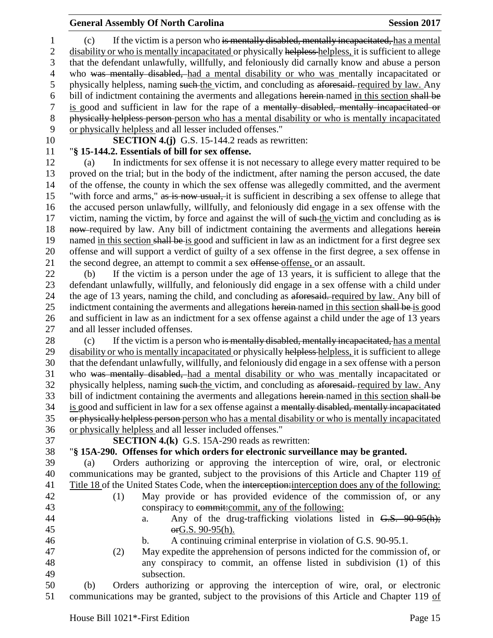1 (c) If the victim is a person who is mentally disabled, mentally incapacitated, has a mental 2 disability or who is mentally incapacitated or physically helpless-helpless, it is sufficient to allege that the defendant unlawfully, willfully, and feloniously did carnally know and abuse a person who was mentally disabled, had a mental disability or who was mentally incapacitated or 5 physically helpless, naming such the victim, and concluding as aforesaid, required by law. Any bill of indictment containing the averments and allegations herein named in this section shall be is good and sufficient in law for the rape of a mentally disabled, mentally incapacitated or physically helpless person person who has a mental disability or who is mentally incapacitated or physically helpless and all lesser included offenses." **SECTION 4.(j)** G.S. 15-144.2 reads as rewritten:

# "**§ 15-144.2. Essentials of bill for sex offense.**

 (a) In indictments for sex offense it is not necessary to allege every matter required to be proved on the trial; but in the body of the indictment, after naming the person accused, the date of the offense, the county in which the sex offense was allegedly committed, and the averment "with force and arms," as is now usual, it is sufficient in describing a sex offense to allege that the accused person unlawfully, willfully, and feloniously did engage in a sex offense with the 17 victim, naming the victim, by force and against the will of such the victim and concluding as is 18 now-required by law. Any bill of indictment containing the averments and allegations herein 19 named in this section shall be is good and sufficient in law as an indictment for a first degree sex offense and will support a verdict of guilty of a sex offense in the first degree, a sex offense in 21 the second degree, an attempt to commit a sex offense offense, or an assault.

 (b) If the victim is a person under the age of 13 years, it is sufficient to allege that the defendant unlawfully, willfully, and feloniously did engage in a sex offense with a child under the age of 13 years, naming the child, and concluding as aforesaid. required by law. Any bill of 25 indictment containing the averments and allegations herein named in this section shall be is good and sufficient in law as an indictment for a sex offense against a child under the age of 13 years 27 and all lesser included offenses.

28 (c) If the victim is a person who is mentally disabled, mentally incapacitated, has a mental 29 disability or who is mentally incapacitated or physically helpless-helpless, it is sufficient to allege that the defendant unlawfully, willfully, and feloniously did engage in a sex offense with a person who was mentally disabled, had a mental disability or who was mentally incapacitated or physically helpless, naming such the victim, and concluding as aforesaid. required by law. Any 33 bill of indictment containing the averments and allegations herein named in this section shall be is good and sufficient in law for a sex offense against a mentally disabled, mentally incapacitated or physically helpless person person who has a mental disability or who is mentally incapacitated or physically helpless and all lesser included offenses."

**SECTION 4.(k)** G.S. 15A-290 reads as rewritten:

"**§ 15A-290. Offenses for which orders for electronic surveillance may be granted.**

 (a) Orders authorizing or approving the interception of wire, oral, or electronic communications may be granted, subject to the provisions of this Article and Chapter 119 of Title 18 of the United States Code, when the interception:interception does any of the following:

- (1) May provide or has provided evidence of the commission of, or any 43 conspiracy to commit: commit, any of the following:
- 
- 44 a. Any of the drug-trafficking violations listed in G.S. 90-95(h); orG.S. 90-95(h).
	-
- b. A continuing criminal enterprise in violation of G.S. 90-95.1. (2) May expedite the apprehension of persons indicted for the commission of, or any conspiracy to commit, an offense listed in subdivision (1) of this subsection.

 (b) Orders authorizing or approving the interception of wire, oral, or electronic communications may be granted, subject to the provisions of this Article and Chapter 119 of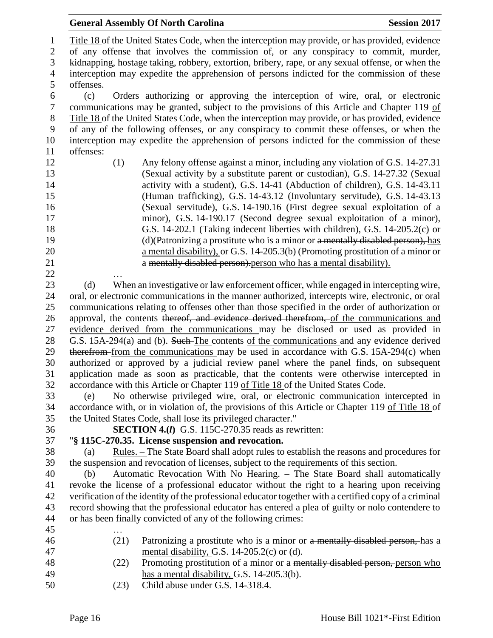|                | <b>General Assembly Of North Carolina</b>                                                                                                                                                       | <b>Session 2017</b> |
|----------------|-------------------------------------------------------------------------------------------------------------------------------------------------------------------------------------------------|---------------------|
| $\mathbf{1}$   | Title 18 of the United States Code, when the interception may provide, or has provided, evidence                                                                                                |                     |
| $\sqrt{2}$     | of any offense that involves the commission of, or any conspiracy to commit, murder,                                                                                                            |                     |
| 3              | kidnapping, hostage taking, robbery, extortion, bribery, rape, or any sexual offense, or when the                                                                                               |                     |
| $\overline{4}$ | interception may expedite the apprehension of persons indicted for the commission of these                                                                                                      |                     |
| 5              | offenses.                                                                                                                                                                                       |                     |
| 6              | Orders authorizing or approving the interception of wire, oral, or electronic<br>(c)                                                                                                            |                     |
| $\tau$         | communications may be granted, subject to the provisions of this Article and Chapter 119 of                                                                                                     |                     |
| $8\,$          | Title 18 of the United States Code, when the interception may provide, or has provided, evidence                                                                                                |                     |
| 9              | of any of the following offenses, or any conspiracy to commit these offenses, or when the                                                                                                       |                     |
| 10             | interception may expedite the apprehension of persons indicted for the commission of these                                                                                                      |                     |
| 11             | offenses:                                                                                                                                                                                       |                     |
| 12             | Any felony offense against a minor, including any violation of G.S. 14-27.31<br>(1)                                                                                                             |                     |
| 13             | (Sexual activity by a substitute parent or custodian), G.S. 14-27.32 (Sexual                                                                                                                    |                     |
| 14             | activity with a student), G.S. 14-41 (Abduction of children), G.S. 14-43.11                                                                                                                     |                     |
| 15             | (Human trafficking), G.S. 14-43.12 (Involuntary servitude), G.S. 14-43.13                                                                                                                       |                     |
| 16             | (Sexual servitude), G.S. 14-190.16 (First degree sexual exploitation of a                                                                                                                       |                     |
| 17             | minor), G.S. 14-190.17 (Second degree sexual exploitation of a minor),                                                                                                                          |                     |
| 18             | G.S. 14-202.1 (Taking indecent liberties with children), G.S. 14-205.2(c) or                                                                                                                    |                     |
| 19             | (d)(Patronizing a prostitute who is a minor or a mentally disabled person), has                                                                                                                 |                     |
| 20             | a mental disability), or G.S. 14-205.3(b) (Promoting prostitution of a minor or                                                                                                                 |                     |
| 21             | a mentally disabled person). person who has a mental disability).                                                                                                                               |                     |
| 22             |                                                                                                                                                                                                 |                     |
| 23             | When an investigative or law enforcement officer, while engaged in intercepting wire,<br>(d)                                                                                                    |                     |
| 24             | oral, or electronic communications in the manner authorized, intercepts wire, electronic, or oral                                                                                               |                     |
| 25             | communications relating to offenses other than those specified in the order of authorization or                                                                                                 |                     |
| 26             | approval, the contents thereof, and evidence derived therefrom, of the communications and                                                                                                       |                     |
| 27             | evidence derived from the communications may be disclosed or used as provided in                                                                                                                |                     |
| 28             | G.S. 15A-294(a) and (b). Such The contents of the communications and any evidence derived                                                                                                       |                     |
| 29             | therefrom from the communications may be used in accordance with G.S. 15A-294(c) when                                                                                                           |                     |
| 30             | authorized or approved by a judicial review panel where the panel finds, on subsequent                                                                                                          |                     |
| 31             | application made as soon as practicable, that the contents were otherwise intercepted in                                                                                                        |                     |
| 32             | accordance with this Article or Chapter 119 of Title 18 of the United States Code.                                                                                                              |                     |
| 33             | No otherwise privileged wire, oral, or electronic communication intercepted in<br>(e)                                                                                                           |                     |
| 34             | accordance with, or in violation of, the provisions of this Article or Chapter 119 of Title 18 of                                                                                               |                     |
| 35             | the United States Code, shall lose its privileged character."                                                                                                                                   |                     |
| 36             | <b>SECTION 4.(I)</b> G.S. 115C-270.35 reads as rewritten:                                                                                                                                       |                     |
| 37<br>38       | "§ 115C-270.35. License suspension and revocation.                                                                                                                                              |                     |
| 39             | <u>Rules. – The State Board shall adopt rules to establish the reasons and procedures for</u><br>(a)<br>the suspension and revocation of licenses, subject to the requirements of this section. |                     |
| 40             | Automatic Revocation With No Hearing. - The State Board shall automatically<br>(b)                                                                                                              |                     |
| 41             | revoke the license of a professional educator without the right to a hearing upon receiving                                                                                                     |                     |
| 42             | verification of the identity of the professional educator together with a certified copy of a criminal                                                                                          |                     |
| 43             | record showing that the professional educator has entered a plea of guilty or nolo contendere to                                                                                                |                     |
| 44             | or has been finally convicted of any of the following crimes:                                                                                                                                   |                     |
| 45             |                                                                                                                                                                                                 |                     |
| 46             | (21)<br>Patronizing a prostitute who is a minor or a mentally disabled person, has a                                                                                                            |                     |
| 47             | mental disability, G.S. 14-205.2(c) or (d).                                                                                                                                                     |                     |
| 48             | Promoting prostitution of a minor or a mentally disabled person, person who<br>(22)                                                                                                             |                     |
| 49             | has a mental disability, G.S. $14-205.3(b)$ .                                                                                                                                                   |                     |
| 50             | Child abuse under G.S. 14-318.4.<br>(23)                                                                                                                                                        |                     |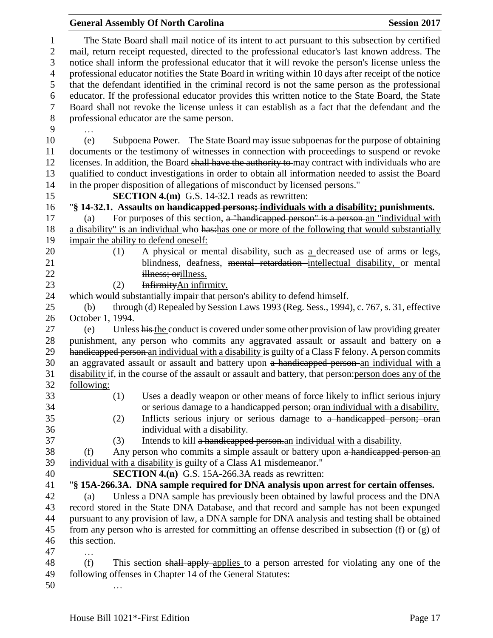|                                                             | <b>General Assembly Of North Carolina</b>                                                                                                                                                                                                                                                                                                                                                                                                                                                                                                                                                                               | <b>Session 2017</b> |
|-------------------------------------------------------------|-------------------------------------------------------------------------------------------------------------------------------------------------------------------------------------------------------------------------------------------------------------------------------------------------------------------------------------------------------------------------------------------------------------------------------------------------------------------------------------------------------------------------------------------------------------------------------------------------------------------------|---------------------|
| $\mathbf{1}$<br>$\sqrt{2}$<br>3<br>$\overline{4}$<br>5<br>6 | The State Board shall mail notice of its intent to act pursuant to this subsection by certified<br>mail, return receipt requested, directed to the professional educator's last known address. The<br>notice shall inform the professional educator that it will revoke the person's license unless the<br>professional educator notifies the State Board in writing within 10 days after receipt of the notice<br>that the defendant identified in the criminal record is not the same person as the professional<br>educator. If the professional educator provides this written notice to the State Board, the State |                     |
| $\tau$<br>$8\,$                                             | Board shall not revoke the license unless it can establish as a fact that the defendant and the<br>professional educator are the same person.                                                                                                                                                                                                                                                                                                                                                                                                                                                                           |                     |
| 9                                                           |                                                                                                                                                                                                                                                                                                                                                                                                                                                                                                                                                                                                                         |                     |
| 10<br>11<br>12<br>13<br>14                                  | Subpoena Power. – The State Board may issue subpoenas for the purpose of obtaining<br>(e)<br>documents or the testimony of witnesses in connection with proceedings to suspend or revoke<br>licenses. In addition, the Board shall have the authority to may contract with individuals who are<br>qualified to conduct investigations in order to obtain all information needed to assist the Board<br>in the proper disposition of allegations of misconduct by licensed persons."                                                                                                                                     |                     |
| 15                                                          | <b>SECTION 4.(m)</b> G.S. 14-32.1 reads as rewritten:                                                                                                                                                                                                                                                                                                                                                                                                                                                                                                                                                                   |                     |
| 16                                                          | "§ 14-32.1. Assaults on handicapped persons; individuals with a disability; punishments.                                                                                                                                                                                                                                                                                                                                                                                                                                                                                                                                |                     |
| 17                                                          | For purposes of this section, a "handicapped person" is a person-an "individual with<br>(a)                                                                                                                                                                                                                                                                                                                                                                                                                                                                                                                             |                     |
| 18<br>19                                                    | a disability" is an individual who hasthas one or more of the following that would substantially<br>impair the ability to defend oneself:                                                                                                                                                                                                                                                                                                                                                                                                                                                                               |                     |
| 20                                                          | A physical or mental disability, such as a decreased use of arms or legs,<br>(1)                                                                                                                                                                                                                                                                                                                                                                                                                                                                                                                                        |                     |
| 21                                                          | blindness, deafness, mental retardation intellectual disability, or mental                                                                                                                                                                                                                                                                                                                                                                                                                                                                                                                                              |                     |
| 22                                                          | illness; orillness.                                                                                                                                                                                                                                                                                                                                                                                                                                                                                                                                                                                                     |                     |
| 23                                                          | Infirmity An infirmity.<br>(2)                                                                                                                                                                                                                                                                                                                                                                                                                                                                                                                                                                                          |                     |
| 24                                                          | which would substantially impair that person's ability to defend himself.                                                                                                                                                                                                                                                                                                                                                                                                                                                                                                                                               |                     |
| 25                                                          | through (d) Repealed by Session Laws 1993 (Reg. Sess., 1994), c. 767, s. 31, effective<br>(b)                                                                                                                                                                                                                                                                                                                                                                                                                                                                                                                           |                     |
| 26                                                          | October 1, 1994.                                                                                                                                                                                                                                                                                                                                                                                                                                                                                                                                                                                                        |                     |
| 27                                                          | Unless his the conduct is covered under some other provision of law providing greater<br>(e)                                                                                                                                                                                                                                                                                                                                                                                                                                                                                                                            |                     |
| 28                                                          | punishment, any person who commits any aggravated assault or assault and battery on a                                                                                                                                                                                                                                                                                                                                                                                                                                                                                                                                   |                     |
| 29                                                          | handicapped person an individual with a disability is guilty of a Class F felony. A person commits                                                                                                                                                                                                                                                                                                                                                                                                                                                                                                                      |                     |
| 30                                                          | an aggravated assault or assault and battery upon a handicapped person an individual with a                                                                                                                                                                                                                                                                                                                                                                                                                                                                                                                             |                     |
| 31                                                          | disability if, in the course of the assault or assault and battery, that person: person does any of the                                                                                                                                                                                                                                                                                                                                                                                                                                                                                                                 |                     |
| 32                                                          | following:                                                                                                                                                                                                                                                                                                                                                                                                                                                                                                                                                                                                              |                     |
| 33                                                          | Uses a deadly weapon or other means of force likely to inflict serious injury<br>(1)                                                                                                                                                                                                                                                                                                                                                                                                                                                                                                                                    |                     |
| 34                                                          | or serious damage to a handicapped person; or an individual with a disability.                                                                                                                                                                                                                                                                                                                                                                                                                                                                                                                                          |                     |
| 35                                                          | Inflicts serious injury or serious damage to a handicapped person; oran<br>(2)                                                                                                                                                                                                                                                                                                                                                                                                                                                                                                                                          |                     |
| 36                                                          | individual with a disability.                                                                                                                                                                                                                                                                                                                                                                                                                                                                                                                                                                                           |                     |
| 37                                                          | Intends to kill a handicapped person an individual with a disability.<br>(3)                                                                                                                                                                                                                                                                                                                                                                                                                                                                                                                                            |                     |
| 38                                                          | Any person who commits a simple assault or battery upon a handicapped person-an<br>(f)                                                                                                                                                                                                                                                                                                                                                                                                                                                                                                                                  |                     |
| 39                                                          | individual with a disability is guilty of a Class A1 misdemeanor."                                                                                                                                                                                                                                                                                                                                                                                                                                                                                                                                                      |                     |
| 40                                                          | <b>SECTION 4.(n)</b> G.S. 15A-266.3A reads as rewritten:                                                                                                                                                                                                                                                                                                                                                                                                                                                                                                                                                                |                     |
| 41                                                          | "§ 15A-266.3A. DNA sample required for DNA analysis upon arrest for certain offenses.                                                                                                                                                                                                                                                                                                                                                                                                                                                                                                                                   |                     |
| 42                                                          | Unless a DNA sample has previously been obtained by lawful process and the DNA<br>(a)                                                                                                                                                                                                                                                                                                                                                                                                                                                                                                                                   |                     |
| 43                                                          | record stored in the State DNA Database, and that record and sample has not been expunged                                                                                                                                                                                                                                                                                                                                                                                                                                                                                                                               |                     |
| 44                                                          | pursuant to any provision of law, a DNA sample for DNA analysis and testing shall be obtained                                                                                                                                                                                                                                                                                                                                                                                                                                                                                                                           |                     |
| 45                                                          | from any person who is arrested for committing an offense described in subsection (f) or (g) of                                                                                                                                                                                                                                                                                                                                                                                                                                                                                                                         |                     |
| 46                                                          | this section.                                                                                                                                                                                                                                                                                                                                                                                                                                                                                                                                                                                                           |                     |
| 47                                                          | .<br>(f)                                                                                                                                                                                                                                                                                                                                                                                                                                                                                                                                                                                                                |                     |
| 48<br>49                                                    | This section shall apply applies to a person arrested for violating any one of the<br>following offenses in Chapter 14 of the General Statutes:                                                                                                                                                                                                                                                                                                                                                                                                                                                                         |                     |
| 50                                                          |                                                                                                                                                                                                                                                                                                                                                                                                                                                                                                                                                                                                                         |                     |
|                                                             |                                                                                                                                                                                                                                                                                                                                                                                                                                                                                                                                                                                                                         |                     |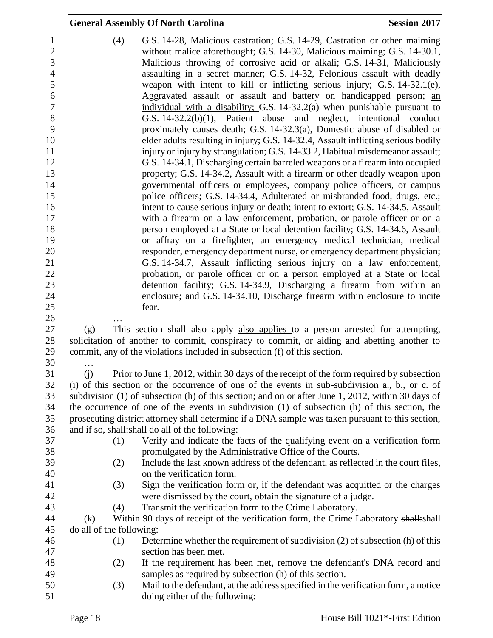|                                                                                                             |                                 | <b>General Assembly Of North Carolina</b>                                                                                                                                                                                                                                                                                                                                                                                                                                                                                                                                                                                                                                                                                                                                                                                                                                  | <b>Session 2017</b> |
|-------------------------------------------------------------------------------------------------------------|---------------------------------|----------------------------------------------------------------------------------------------------------------------------------------------------------------------------------------------------------------------------------------------------------------------------------------------------------------------------------------------------------------------------------------------------------------------------------------------------------------------------------------------------------------------------------------------------------------------------------------------------------------------------------------------------------------------------------------------------------------------------------------------------------------------------------------------------------------------------------------------------------------------------|---------------------|
| $\mathbf{1}$<br>$\boldsymbol{2}$<br>3<br>$\overline{4}$<br>5<br>6<br>$\boldsymbol{7}$<br>8<br>9<br>10<br>11 | (4)                             | G.S. 14-28, Malicious castration; G.S. 14-29, Castration or other maiming<br>without malice aforethought; G.S. 14-30, Malicious maiming; G.S. 14-30.1,<br>Malicious throwing of corrosive acid or alkali; G.S. 14-31, Maliciously<br>assaulting in a secret manner; G.S. 14-32, Felonious assault with deadly<br>weapon with intent to kill or inflicting serious injury; G.S. 14-32.1(e),<br>Aggravated assault or assault and battery on handicapped person; an<br>individual with a disability; G.S. 14-32.2(a) when punishable pursuant to<br>G.S. $14-32.2(b)(1)$ , Patient abuse and neglect, intentional conduct<br>proximately causes death; G.S. 14-32.3(a), Domestic abuse of disabled or<br>elder adults resulting in injury; G.S. 14-32.4, Assault inflicting serious bodily<br>injury or injury by strangulation; G.S. 14-33.2, Habitual misdemeanor assault; |                     |
| 12                                                                                                          |                                 | G.S. 14-34.1, Discharging certain barreled weapons or a firearm into occupied                                                                                                                                                                                                                                                                                                                                                                                                                                                                                                                                                                                                                                                                                                                                                                                              |                     |
| 13<br>14                                                                                                    |                                 | property; G.S. 14-34.2, Assault with a firearm or other deadly weapon upon<br>governmental officers or employees, company police officers, or campus                                                                                                                                                                                                                                                                                                                                                                                                                                                                                                                                                                                                                                                                                                                       |                     |
| 15                                                                                                          |                                 | police officers; G.S. 14-34.4, Adulterated or misbranded food, drugs, etc.;                                                                                                                                                                                                                                                                                                                                                                                                                                                                                                                                                                                                                                                                                                                                                                                                |                     |
| 16                                                                                                          |                                 | intent to cause serious injury or death; intent to extort; G.S. 14-34.5, Assault                                                                                                                                                                                                                                                                                                                                                                                                                                                                                                                                                                                                                                                                                                                                                                                           |                     |
| 17                                                                                                          |                                 | with a firearm on a law enforcement, probation, or parole officer or on a                                                                                                                                                                                                                                                                                                                                                                                                                                                                                                                                                                                                                                                                                                                                                                                                  |                     |
| 18                                                                                                          |                                 | person employed at a State or local detention facility; G.S. 14-34.6, Assault                                                                                                                                                                                                                                                                                                                                                                                                                                                                                                                                                                                                                                                                                                                                                                                              |                     |
| 19                                                                                                          |                                 | or affray on a firefighter, an emergency medical technician, medical                                                                                                                                                                                                                                                                                                                                                                                                                                                                                                                                                                                                                                                                                                                                                                                                       |                     |
| 20<br>21                                                                                                    |                                 | responder, emergency department nurse, or emergency department physician;                                                                                                                                                                                                                                                                                                                                                                                                                                                                                                                                                                                                                                                                                                                                                                                                  |                     |
| 22                                                                                                          |                                 | G.S. 14-34.7, Assault inflicting serious injury on a law enforcement,<br>probation, or parole officer or on a person employed at a State or local                                                                                                                                                                                                                                                                                                                                                                                                                                                                                                                                                                                                                                                                                                                          |                     |
| 23                                                                                                          |                                 | detention facility; G.S. 14-34.9, Discharging a firearm from within an                                                                                                                                                                                                                                                                                                                                                                                                                                                                                                                                                                                                                                                                                                                                                                                                     |                     |
| 24                                                                                                          |                                 | enclosure; and G.S. 14-34.10, Discharge firearm within enclosure to incite                                                                                                                                                                                                                                                                                                                                                                                                                                                                                                                                                                                                                                                                                                                                                                                                 |                     |
| 25                                                                                                          |                                 | fear.                                                                                                                                                                                                                                                                                                                                                                                                                                                                                                                                                                                                                                                                                                                                                                                                                                                                      |                     |
| 26                                                                                                          |                                 |                                                                                                                                                                                                                                                                                                                                                                                                                                                                                                                                                                                                                                                                                                                                                                                                                                                                            |                     |
| 27                                                                                                          | (g)                             | This section shall also apply also applies to a person arrested for attempting,                                                                                                                                                                                                                                                                                                                                                                                                                                                                                                                                                                                                                                                                                                                                                                                            |                     |
| 28<br>29                                                                                                    |                                 | solicitation of another to commit, conspiracy to commit, or aiding and abetting another to<br>commit, any of the violations included in subsection (f) of this section.                                                                                                                                                                                                                                                                                                                                                                                                                                                                                                                                                                                                                                                                                                    |                     |
| 30                                                                                                          | $\cdots$                        |                                                                                                                                                                                                                                                                                                                                                                                                                                                                                                                                                                                                                                                                                                                                                                                                                                                                            |                     |
| 31                                                                                                          | (i)                             | Prior to June 1, 2012, within 30 days of the receipt of the form required by subsection                                                                                                                                                                                                                                                                                                                                                                                                                                                                                                                                                                                                                                                                                                                                                                                    |                     |
| 32                                                                                                          |                                 | (i) of this section or the occurrence of one of the events in sub-subdivision a., b., or c. of                                                                                                                                                                                                                                                                                                                                                                                                                                                                                                                                                                                                                                                                                                                                                                             |                     |
| 33                                                                                                          |                                 | subdivision (1) of subsection (h) of this section; and on or after June 1, 2012, within 30 days of                                                                                                                                                                                                                                                                                                                                                                                                                                                                                                                                                                                                                                                                                                                                                                         |                     |
| 34                                                                                                          |                                 | the occurrence of one of the events in subdivision (1) of subsection (h) of this section, the                                                                                                                                                                                                                                                                                                                                                                                                                                                                                                                                                                                                                                                                                                                                                                              |                     |
| 35                                                                                                          |                                 | prosecuting district attorney shall determine if a DNA sample was taken pursuant to this section,                                                                                                                                                                                                                                                                                                                                                                                                                                                                                                                                                                                                                                                                                                                                                                          |                     |
| 36<br>37                                                                                                    | (1)                             | and if so, shall: shall do all of the following:<br>Verify and indicate the facts of the qualifying event on a verification form                                                                                                                                                                                                                                                                                                                                                                                                                                                                                                                                                                                                                                                                                                                                           |                     |
| 38                                                                                                          |                                 | promulgated by the Administrative Office of the Courts.                                                                                                                                                                                                                                                                                                                                                                                                                                                                                                                                                                                                                                                                                                                                                                                                                    |                     |
| 39                                                                                                          | (2)                             | Include the last known address of the defendant, as reflected in the court files,                                                                                                                                                                                                                                                                                                                                                                                                                                                                                                                                                                                                                                                                                                                                                                                          |                     |
| 40                                                                                                          |                                 | on the verification form.                                                                                                                                                                                                                                                                                                                                                                                                                                                                                                                                                                                                                                                                                                                                                                                                                                                  |                     |
| 41                                                                                                          | (3)                             | Sign the verification form or, if the defendant was acquitted or the charges                                                                                                                                                                                                                                                                                                                                                                                                                                                                                                                                                                                                                                                                                                                                                                                               |                     |
| 42                                                                                                          |                                 | were dismissed by the court, obtain the signature of a judge.                                                                                                                                                                                                                                                                                                                                                                                                                                                                                                                                                                                                                                                                                                                                                                                                              |                     |
| 43                                                                                                          | (4)                             | Transmit the verification form to the Crime Laboratory.                                                                                                                                                                                                                                                                                                                                                                                                                                                                                                                                                                                                                                                                                                                                                                                                                    |                     |
| 44                                                                                                          | (k)                             | Within 90 days of receipt of the verification form, the Crime Laboratory shall: shall                                                                                                                                                                                                                                                                                                                                                                                                                                                                                                                                                                                                                                                                                                                                                                                      |                     |
| 45<br>46                                                                                                    | do all of the following:<br>(1) | Determine whether the requirement of subdivision $(2)$ of subsection $(h)$ of this                                                                                                                                                                                                                                                                                                                                                                                                                                                                                                                                                                                                                                                                                                                                                                                         |                     |
| 47                                                                                                          |                                 | section has been met.                                                                                                                                                                                                                                                                                                                                                                                                                                                                                                                                                                                                                                                                                                                                                                                                                                                      |                     |
| 48                                                                                                          | (2)                             | If the requirement has been met, remove the defendant's DNA record and                                                                                                                                                                                                                                                                                                                                                                                                                                                                                                                                                                                                                                                                                                                                                                                                     |                     |
| 49                                                                                                          |                                 | samples as required by subsection (h) of this section.                                                                                                                                                                                                                                                                                                                                                                                                                                                                                                                                                                                                                                                                                                                                                                                                                     |                     |
| 50                                                                                                          | (3)                             | Mail to the defendant, at the address specified in the verification form, a notice                                                                                                                                                                                                                                                                                                                                                                                                                                                                                                                                                                                                                                                                                                                                                                                         |                     |
| 51                                                                                                          |                                 | doing either of the following:                                                                                                                                                                                                                                                                                                                                                                                                                                                                                                                                                                                                                                                                                                                                                                                                                                             |                     |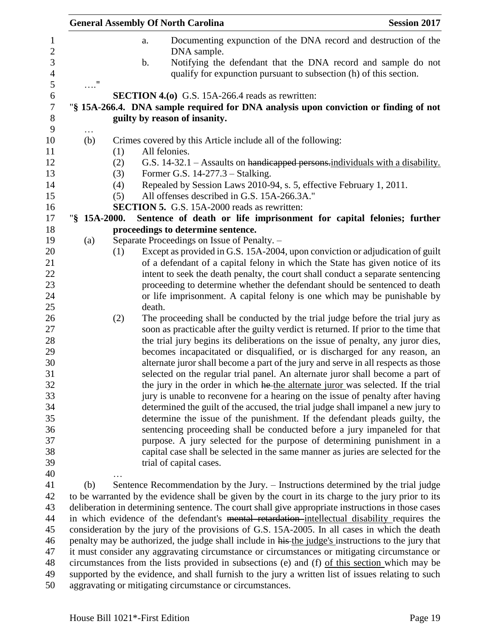|              |            | <b>General Assembly Of North Carolina</b>                                                                                                                          | <b>Session 2017</b> |
|--------------|------------|--------------------------------------------------------------------------------------------------------------------------------------------------------------------|---------------------|
|              |            | Documenting expunction of the DNA record and destruction of the<br>a.<br>DNA sample.                                                                               |                     |
|              |            | Notifying the defendant that the DNA record and sample do not<br>b.<br>qualify for expunction pursuant to subsection (h) of this section.                          |                     |
| $\ldots$ "   |            |                                                                                                                                                                    |                     |
|              |            | <b>SECTION 4.(0)</b> G.S. 15A-266.4 reads as rewritten:                                                                                                            |                     |
|              |            | "§ 15A-266.4. DNA sample required for DNA analysis upon conviction or finding of not                                                                               |                     |
|              |            | guilty by reason of insanity.                                                                                                                                      |                     |
|              |            |                                                                                                                                                                    |                     |
| (b)          |            | Crimes covered by this Article include all of the following:                                                                                                       |                     |
|              | (1)        | All felonies.                                                                                                                                                      |                     |
|              | (2)        | G.S. 14-32.1 – Assaults on handicapped persons-individuals with a disability.                                                                                      |                     |
|              | (3)<br>(4) | Former G.S. $14-277.3$ – Stalking.<br>Repealed by Session Laws 2010-94, s. 5, effective February 1, 2011.                                                          |                     |
|              | (5)        | All offenses described in G.S. 15A-266.3A."                                                                                                                        |                     |
|              |            | <b>SECTION 5.</b> G.S. 15A-2000 reads as rewritten:                                                                                                                |                     |
| "§ 15A-2000. |            | Sentence of death or life imprisonment for capital felonies; further                                                                                               |                     |
|              |            | proceedings to determine sentence.                                                                                                                                 |                     |
| (a)          |            | Separate Proceedings on Issue of Penalty. -                                                                                                                        |                     |
|              | (1)        | Except as provided in G.S. 15A-2004, upon conviction or adjudication of guilt                                                                                      |                     |
|              |            | of a defendant of a capital felony in which the State has given notice of its                                                                                      |                     |
|              |            | intent to seek the death penalty, the court shall conduct a separate sentencing                                                                                    |                     |
|              |            | proceeding to determine whether the defendant should be sentenced to death                                                                                         |                     |
|              |            | or life imprisonment. A capital felony is one which may be punishable by                                                                                           |                     |
|              |            | death.                                                                                                                                                             |                     |
|              | (2)        | The proceeding shall be conducted by the trial judge before the trial jury as                                                                                      |                     |
|              |            | soon as practicable after the guilty verdict is returned. If prior to the time that                                                                                |                     |
|              |            | the trial jury begins its deliberations on the issue of penalty, any juror dies,                                                                                   |                     |
|              |            | becomes incapacitated or disqualified, or is discharged for any reason, an                                                                                         |                     |
|              |            | alternate juror shall become a part of the jury and serve in all respects as those                                                                                 |                     |
|              |            | selected on the regular trial panel. An alternate juror shall become a part of                                                                                     |                     |
|              |            | the jury in the order in which he the alternate juror was selected. If the trial<br>jury is unable to reconvene for a hearing on the issue of penalty after having |                     |
|              |            | determined the guilt of the accused, the trial judge shall impanel a new jury to                                                                                   |                     |
|              |            | determine the issue of the punishment. If the defendant pleads guilty, the                                                                                         |                     |
|              |            | sentencing proceeding shall be conducted before a jury impaneled for that                                                                                          |                     |
|              |            | purpose. A jury selected for the purpose of determining punishment in a                                                                                            |                     |
|              |            | capital case shall be selected in the same manner as juries are selected for the                                                                                   |                     |
|              |            | trial of capital cases.                                                                                                                                            |                     |
|              |            |                                                                                                                                                                    |                     |
| (b)          |            | Sentence Recommendation by the Jury. - Instructions determined by the trial judge                                                                                  |                     |
|              |            | to be warranted by the evidence shall be given by the court in its charge to the jury prior to its                                                                 |                     |
|              |            | deliberation in determining sentence. The court shall give appropriate instructions in those cases                                                                 |                     |
|              |            | in which evidence of the defendant's mental retardation-intellectual disability requires the                                                                       |                     |
|              |            | consideration by the jury of the provisions of G.S. 15A-2005. In all cases in which the death                                                                      |                     |
|              |            | penalty may be authorized, the judge shall include in his the judge's instructions to the jury that                                                                |                     |
|              |            | it must consider any aggravating circumstance or circumstances or mitigating circumstance or                                                                       |                     |
|              |            | circumstances from the lists provided in subsections (e) and (f) of this section which may be                                                                      |                     |
|              |            | supported by the evidence, and shall furnish to the jury a written list of issues relating to such                                                                 |                     |
|              |            | aggravating or mitigating circumstance or circumstances.                                                                                                           |                     |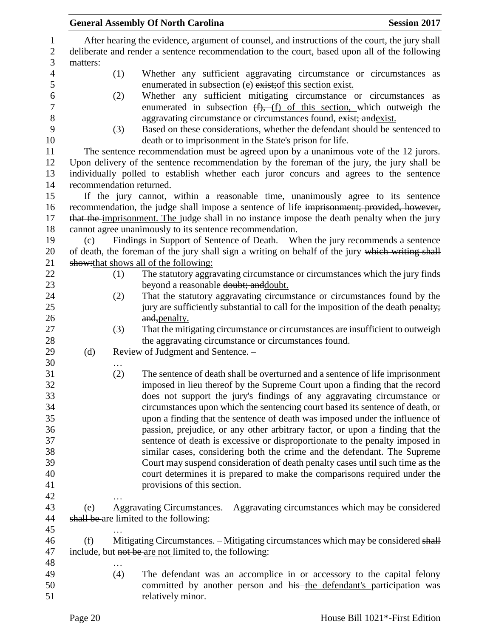|                          |          |     | <b>General Assembly Of North Carolina</b>                                                        | <b>Session 2017</b> |
|--------------------------|----------|-----|--------------------------------------------------------------------------------------------------|---------------------|
| 1                        |          |     | After hearing the evidence, argument of counsel, and instructions of the court, the jury shall   |                     |
| $\mathbf{2}$             |          |     | deliberate and render a sentence recommendation to the court, based upon all of the following    |                     |
| 3                        | matters: |     |                                                                                                  |                     |
| $\overline{\mathcal{A}}$ |          | (1) | Whether any sufficient aggravating circumstance or circumstances as                              |                     |
| 5                        |          |     | enumerated in subsection (e) exist; of this section exist.                                       |                     |
| 6                        |          | (2) | Whether any sufficient mitigating circumstance or circumstances as                               |                     |
| 7                        |          |     | enumerated in subsection $(f)$ , $(f)$ of this section, which outweigh the                       |                     |
| 8                        |          |     | aggravating circumstance or circumstances found, exist; and exist.                               |                     |
| 9                        |          | (3) | Based on these considerations, whether the defendant should be sentenced to                      |                     |
| 10                       |          |     | death or to imprisonment in the State's prison for life.                                         |                     |
| 11                       |          |     | The sentence recommendation must be agreed upon by a unanimous vote of the 12 jurors.            |                     |
| 12                       |          |     | Upon delivery of the sentence recommendation by the foreman of the jury, the jury shall be       |                     |
| 13                       |          |     | individually polled to establish whether each juror concurs and agrees to the sentence           |                     |
| 14                       |          |     | recommendation returned.                                                                         |                     |
| 15                       |          |     | If the jury cannot, within a reasonable time, unanimously agree to its sentence                  |                     |
| 16                       |          |     | recommendation, the judge shall impose a sentence of life imprisonment; provided, however,       |                     |
| 17                       |          |     | that the imprisonment. The judge shall in no instance impose the death penalty when the jury     |                     |
| 18                       |          |     | cannot agree unanimously to its sentence recommendation.                                         |                     |
| 19                       | (c)      |     | Findings in Support of Sentence of Death. - When the jury recommends a sentence                  |                     |
| 20                       |          |     | of death, the foreman of the jury shall sign a writing on behalf of the jury which writing shall |                     |
| 21                       |          |     | show: that shows all of the following:                                                           |                     |
| 22                       |          | (1) | The statutory aggravating circumstance or circumstances which the jury finds                     |                     |
| 23                       |          |     | beyond a reasonable doubt; and doubt.                                                            |                     |
| 24                       |          | (2) | That the statutory aggravating circumstance or circumstances found by the                        |                     |
| 25                       |          |     | jury are sufficiently substantial to call for the imposition of the death penalty;               |                     |
| 26                       |          |     | and, penalty.                                                                                    |                     |
| 27                       |          | (3) | That the mitigating circumstance or circumstances are insufficient to outweigh                   |                     |
| 28                       |          |     | the aggravating circumstance or circumstances found.                                             |                     |
| 29                       | (d)      |     | Review of Judgment and Sentence. -                                                               |                     |
| 30                       |          | .   |                                                                                                  |                     |
| 31                       |          | (2) | The sentence of death shall be overturned and a sentence of life imprisonment                    |                     |
| 32                       |          |     | imposed in lieu thereof by the Supreme Court upon a finding that the record                      |                     |
| 33                       |          |     | does not support the jury's findings of any aggravating circumstance or                          |                     |
| 34                       |          |     | circumstances upon which the sentencing court based its sentence of death, or                    |                     |
| 35                       |          |     | upon a finding that the sentence of death was imposed under the influence of                     |                     |
| 36                       |          |     | passion, prejudice, or any other arbitrary factor, or upon a finding that the                    |                     |
| 37                       |          |     | sentence of death is excessive or disproportionate to the penalty imposed in                     |                     |
| 38                       |          |     | similar cases, considering both the crime and the defendant. The Supreme                         |                     |
| 39                       |          |     | Court may suspend consideration of death penalty cases until such time as the                    |                     |
| 40                       |          |     | court determines it is prepared to make the comparisons required under the                       |                     |
| 41                       |          |     | provisions of this section.                                                                      |                     |
| 42                       |          |     |                                                                                                  |                     |
| 43                       | (e)      |     | Aggravating Circumstances. - Aggravating circumstances which may be considered                   |                     |
| 44                       |          |     | shall be are limited to the following:                                                           |                     |
| 45                       |          |     |                                                                                                  |                     |
| 46                       | (f)      |     | Mitigating Circumstances. - Mitigating circumstances which may be considered shall               |                     |
| 47                       |          |     | include, but not be are not limited to, the following:                                           |                     |
| 48                       |          |     |                                                                                                  |                     |
| 49                       |          | (4) | The defendant was an accomplice in or accessory to the capital felony                            |                     |
| 50<br>51                 |          |     | committed by another person and his the defendant's participation was<br>relatively minor.       |                     |
|                          |          |     |                                                                                                  |                     |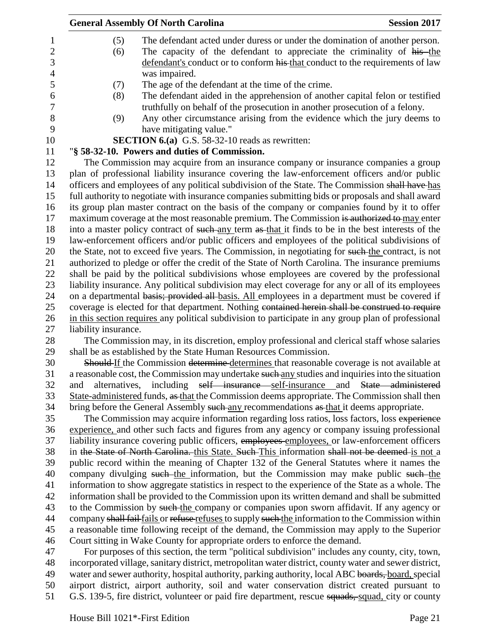|                      | <b>General Assembly Of North Carolina</b>                                                              | <b>Session 2017</b> |
|----------------------|--------------------------------------------------------------------------------------------------------|---------------------|
| (5)                  | The defendant acted under duress or under the domination of another person.                            |                     |
| (6)                  | The capacity of the defendant to appreciate the criminality of his the                                 |                     |
|                      | defendant's conduct or to conform his that conduct to the requirements of law                          |                     |
|                      | was impaired.                                                                                          |                     |
| (7)                  | The age of the defendant at the time of the crime.                                                     |                     |
| (8)                  | The defendant aided in the apprehension of another capital felon or testified                          |                     |
|                      | truthfully on behalf of the prosecution in another prosecution of a felony.                            |                     |
| (9)                  | Any other circumstance arising from the evidence which the jury deems to                               |                     |
|                      | have mitigating value."                                                                                |                     |
|                      | <b>SECTION 6.(a)</b> G.S. 58-32-10 reads as rewritten:                                                 |                     |
|                      | "§ 58-32-10. Powers and duties of Commission.                                                          |                     |
|                      | The Commission may acquire from an insurance company or insurance companies a group                    |                     |
|                      | plan of professional liability insurance covering the law-enforcement officers and/or public           |                     |
|                      | officers and employees of any political subdivision of the State. The Commission shall have has        |                     |
|                      | full authority to negotiate with insurance companies submitting bids or proposals and shall award      |                     |
|                      | its group plan master contract on the basis of the company or companies found by it to offer           |                     |
|                      | maximum coverage at the most reasonable premium. The Commission is authorized to may enter             |                     |
|                      | into a master policy contract of such any term as that it finds to be in the best interests of the     |                     |
|                      | law-enforcement officers and/or public officers and employees of the political subdivisions of         |                     |
|                      | the State, not to exceed five years. The Commission, in negotiating for such the contract, is not      |                     |
|                      | authorized to pledge or offer the credit of the State of North Carolina. The insurance premiums        |                     |
|                      | shall be paid by the political subdivisions whose employees are covered by the professional            |                     |
|                      | liability insurance. Any political subdivision may elect coverage for any or all of its employees      |                     |
|                      | on a departmental basis; provided all basis. All employees in a department must be covered if          |                     |
|                      | coverage is elected for that department. Nothing contained herein shall be construed to require        |                     |
|                      | in this section requires any political subdivision to participate in any group plan of professional    |                     |
| liability insurance. |                                                                                                        |                     |
|                      | The Commission may, in its discretion, employ professional and clerical staff whose salaries           |                     |
|                      | shall be as established by the State Human Resources Commission.                                       |                     |
|                      | Should If the Commission determine determines that reasonable coverage is not available at             |                     |
|                      | a reasonable cost, the Commission may undertake such any studies and inquiries into the situation      |                     |
| and                  | alternatives, including self insurance self-insurance and State administered                           |                     |
|                      | State-administered funds, as that the Commission deems appropriate. The Commission shall then          |                     |
|                      | bring before the General Assembly such any recommendations as that it deems appropriate.               |                     |
|                      | The Commission may acquire information regarding loss ratios, loss factors, loss experience            |                     |
|                      | experience, and other such facts and figures from any agency or company issuing professional           |                     |
|                      | liability insurance covering public officers, employees employees, or law-enforcement officers         |                     |
|                      | in the State of North Carolina. this State. Such This information shall not be deemed is not a         |                     |
|                      | public record within the meaning of Chapter 132 of the General Statutes where it names the             |                     |
|                      | company divulging such the information, but the Commission may make public such the                    |                     |
|                      | information to show aggregate statistics in respect to the experience of the State as a whole. The     |                     |
|                      | information shall be provided to the Commission upon its written demand and shall be submitted         |                     |
|                      | to the Commission by such the company or companies upon sworn affidavit. If any agency or              |                     |
|                      | company shall fail fails or refuse refuses to supply such the information to the Commission within     |                     |
|                      | a reasonable time following receipt of the demand, the Commission may apply to the Superior            |                     |
|                      | Court sitting in Wake County for appropriate orders to enforce the demand.                             |                     |
|                      | For purposes of this section, the term "political subdivision" includes any county, city, town,        |                     |
|                      | incorporated village, sanitary district, metropolitan water district, county water and sewer district, |                     |
|                      | water and sewer authority, hospital authority, parking authority, local ABC boards, board, special     |                     |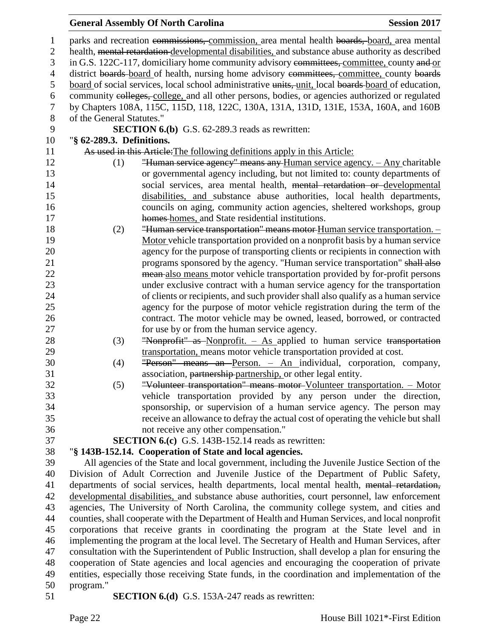| $\mathbf{1}$     | parks and recreation commissions, commission, area mental health boards, board, area mental                                                                                                         |
|------------------|-----------------------------------------------------------------------------------------------------------------------------------------------------------------------------------------------------|
| $\overline{2}$   | health, mental retardation-developmental disabilities, and substance abuse authority as described                                                                                                   |
| 3                | in G.S. 122C-117, domiciliary home community advisory committees, committee, county and or                                                                                                          |
| $\overline{4}$   | district boards board of health, nursing home advisory committees, committee, county boards                                                                                                         |
| 5                | board of social services, local school administrative units, unit, local boards board of education,                                                                                                 |
| 6                | community colleges, college, and all other persons, bodies, or agencies authorized or regulated                                                                                                     |
| $\boldsymbol{7}$ | by Chapters 108A, 115C, 115D, 118, 122C, 130A, 131A, 131D, 131E, 153A, 160A, and 160B                                                                                                               |
| $8\,$            | of the General Statutes."                                                                                                                                                                           |
| $\boldsymbol{9}$ | <b>SECTION 6.(b)</b> G.S. 62-289.3 reads as rewritten:                                                                                                                                              |
| 10               | "§ 62-289.3. Definitions.                                                                                                                                                                           |
| 11               | As used in this Article: The following definitions apply in this Article:                                                                                                                           |
| 12               | "Human service agency" means any Human service agency. - Any charitable<br>(1)                                                                                                                      |
| 13               | or governmental agency including, but not limited to: county departments of                                                                                                                         |
| 14               | social services, area mental health, mental retardation or developmental                                                                                                                            |
| 15               | disabilities, and substance abuse authorities, local health departments,                                                                                                                            |
| 16               | councils on aging, community action agencies, sheltered workshops, group                                                                                                                            |
| 17               | homes-homes, and State residential institutions.                                                                                                                                                    |
| 18               | "Human service transportation" means motor Human service transportation. -<br>(2)                                                                                                                   |
| 19               | Motor vehicle transportation provided on a nonprofit basis by a human service                                                                                                                       |
| 20               | agency for the purpose of transporting clients or recipients in connection with                                                                                                                     |
| 21               | programs sponsored by the agency. "Human service transportation" shall also                                                                                                                         |
| 22               | mean-also means motor vehicle transportation provided by for-profit persons                                                                                                                         |
| 23               | under exclusive contract with a human service agency for the transportation                                                                                                                         |
| 24               | of clients or recipients, and such provider shall also qualify as a human service                                                                                                                   |
| 25               | agency for the purpose of motor vehicle registration during the term of the                                                                                                                         |
| 26               | contract. The motor vehicle may be owned, leased, borrowed, or contracted                                                                                                                           |
| 27               | for use by or from the human service agency.                                                                                                                                                        |
| $28\,$           | "Nonprofit" as Nonprofit. - As applied to human service transportation<br>(3)                                                                                                                       |
| 29               | transportation, means motor vehicle transportation provided at cost.                                                                                                                                |
| 30               | "Person" means an Person. - An individual, corporation, company,<br>(4)                                                                                                                             |
| 31               | association, partnership-partnership, or other legal entity.                                                                                                                                        |
| 32               | "Volunteer transportation" means motor Volunteer transportation. - Motor<br>(5)                                                                                                                     |
| 33               | vehicle transportation provided by any person under the direction,                                                                                                                                  |
| 34               | sponsorship, or supervision of a human service agency. The person may                                                                                                                               |
| 35               | receive an allowance to defray the actual cost of operating the vehicle but shall                                                                                                                   |
| 36               | not receive any other compensation."                                                                                                                                                                |
| 37               | <b>SECTION 6.(c)</b> G.S. 143B-152.14 reads as rewritten:                                                                                                                                           |
| 38               | "§ 143B-152.14. Cooperation of State and local agencies.                                                                                                                                            |
| 39               | All agencies of the State and local government, including the Juvenile Justice Section of the                                                                                                       |
| 40               | Division of Adult Correction and Juvenile Justice of the Department of Public Safety,                                                                                                               |
| 41               | departments of social services, health departments, local mental health, mental retardation,                                                                                                        |
| 42               | developmental disabilities, and substance abuse authorities, court personnel, law enforcement                                                                                                       |
| 43               | agencies, The University of North Carolina, the community college system, and cities and                                                                                                            |
| 44<br>45         | counties, shall cooperate with the Department of Health and Human Services, and local nonprofit                                                                                                     |
| 46               | corporations that receive grants in coordinating the program at the State level and in                                                                                                              |
| 47               | implementing the program at the local level. The Secretary of Health and Human Services, after<br>consultation with the Superintendent of Public Instruction, shall develop a plan for ensuring the |
| 48               | cooperation of State agencies and local agencies and encouraging the cooperation of private                                                                                                         |
| 49               | entities, especially those receiving State funds, in the coordination and implementation of the                                                                                                     |
| 50               | program."                                                                                                                                                                                           |
| 51               | <b>SECTION 6.(d)</b> G.S. 153A-247 reads as rewritten:                                                                                                                                              |
|                  |                                                                                                                                                                                                     |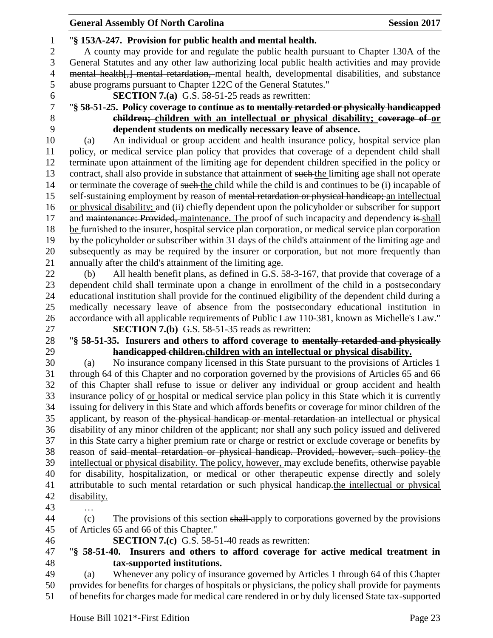"**§ 153A-247. Provision for public health and mental health.** A county may provide for and regulate the public health pursuant to Chapter 130A of the General Statutes and any other law authorizing local public health activities and may provide mental health[,] mental retardation, mental health, developmental disabilities, and substance abuse programs pursuant to Chapter 122C of the General Statutes." **SECTION 7.(a)** G.S. 58-51-25 reads as rewritten: "**§ 58-51-25. Policy coverage to continue as to mentally retarded or physically handicapped children;** children with an intellectual or physical disability; coverage of or **dependent students on medically necessary leave of absence.** (a) An individual or group accident and health insurance policy, hospital service plan policy, or medical service plan policy that provides that coverage of a dependent child shall terminate upon attainment of the limiting age for dependent children specified in the policy or 13 contract, shall also provide in substance that attainment of such the limiting age shall not operate or terminate the coverage of such the child while the child is and continues to be (i) incapable of 15 self-sustaining employment by reason of mental retardation or physical handicap; an intellectual or physical disability; and (ii) chiefly dependent upon the policyholder or subscriber for support 17 and maintenance: Provided, maintenance. The proof of such incapacity and dependency is shall be furnished to the insurer, hospital service plan corporation, or medical service plan corporation by the policyholder or subscriber within 31 days of the child's attainment of the limiting age and subsequently as may be required by the insurer or corporation, but not more frequently than annually after the child's attainment of the limiting age. (b) All health benefit plans, as defined in G.S. 58-3-167, that provide that coverage of a dependent child shall terminate upon a change in enrollment of the child in a postsecondary educational institution shall provide for the continued eligibility of the dependent child during a medically necessary leave of absence from the postsecondary educational institution in accordance with all applicable requirements of Public Law 110-381, known as Michelle's Law." **SECTION 7.(b)** G.S. 58-51-35 reads as rewritten: "**§ 58-51-35. Insurers and others to afford coverage to mentally retarded and physically handicapped children.children with an intellectual or physical disability.** (a) No insurance company licensed in this State pursuant to the provisions of Articles 1 through 64 of this Chapter and no corporation governed by the provisions of Articles 65 and 66 of this Chapter shall refuse to issue or deliver any individual or group accident and health 33 insurance policy  $\theta$ -or hospital or medical service plan policy in this State which it is currently issuing for delivery in this State and which affords benefits or coverage for minor children of the 35 applicant, by reason of the physical handicap or mental retardation an intellectual or physical disability of any minor children of the applicant; nor shall any such policy issued and delivered in this State carry a higher premium rate or charge or restrict or exclude coverage or benefits by reason of said mental retardation or physical handicap. Provided, however, such policy the intellectual or physical disability. The policy, however, may exclude benefits, otherwise payable for disability, hospitalization, or medical or other therapeutic expense directly and solely 41 attributable to such mental retardation or such physical handicap.the intellectual or physical disability. … (c) The provisions of this section shall apply to corporations governed by the provisions of Articles 65 and 66 of this Chapter." **SECTION 7.(c)** G.S. 58-51-40 reads as rewritten: "**§ 58-51-40. Insurers and others to afford coverage for active medical treatment in tax-supported institutions.**

 (a) Whenever any policy of insurance governed by Articles 1 through 64 of this Chapter provides for benefits for charges of hospitals or physicians, the policy shall provide for payments of benefits for charges made for medical care rendered in or by duly licensed State tax-supported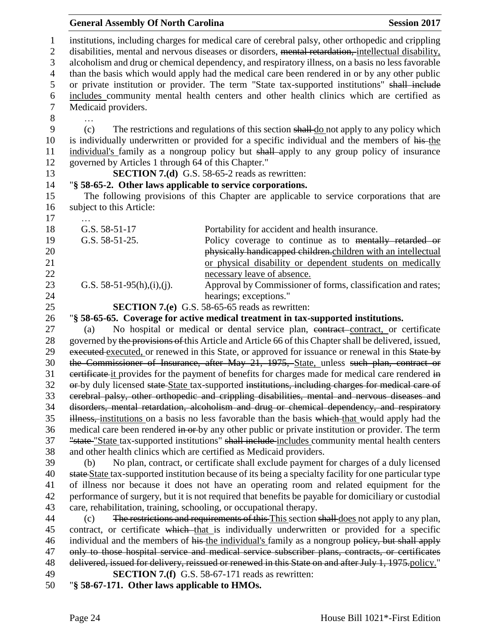|                | <b>General Assembly Of North Carolina</b>                           |                                                                                                         | <b>Session 2017</b> |
|----------------|---------------------------------------------------------------------|---------------------------------------------------------------------------------------------------------|---------------------|
| $\mathbf{1}$   |                                                                     | institutions, including charges for medical care of cerebral palsy, other orthopedic and crippling      |                     |
| $\overline{2}$ |                                                                     | disabilities, mental and nervous diseases or disorders, mental retardation, intellectual disability,    |                     |
| 3              |                                                                     | alcoholism and drug or chemical dependency, and respiratory illness, on a basis no less favorable       |                     |
| $\overline{4}$ |                                                                     | than the basis which would apply had the medical care been rendered in or by any other public           |                     |
| 5              |                                                                     | or private institution or provider. The term "State tax-supported institutions" shall include           |                     |
| 6              |                                                                     | includes community mental health centers and other health clinics which are certified as                |                     |
| $\tau$         | Medicaid providers.                                                 |                                                                                                         |                     |
| $8\,$          |                                                                     |                                                                                                         |                     |
| 9              | (c)                                                                 | The restrictions and regulations of this section shall do not apply to any policy which                 |                     |
| 10             |                                                                     | is individually underwritten or provided for a specific individual and the members of his-the           |                     |
| 11             |                                                                     | individual's family as a nongroup policy but shall-apply to any group policy of insurance               |                     |
| 12             | governed by Articles 1 through 64 of this Chapter."                 |                                                                                                         |                     |
| 13             |                                                                     | <b>SECTION 7.(d)</b> G.S. 58-65-2 reads as rewritten:                                                   |                     |
| 14             | "§ 58-65-2. Other laws applicable to service corporations.          |                                                                                                         |                     |
| 15             |                                                                     | The following provisions of this Chapter are applicable to service corporations that are                |                     |
| 16             | subject to this Article:                                            |                                                                                                         |                     |
| 17             |                                                                     |                                                                                                         |                     |
| 18             | G.S. 58-51-17                                                       | Portability for accident and health insurance.                                                          |                     |
| 19             | G.S. 58-51-25.                                                      | Policy coverage to continue as to mentally retarded or                                                  |                     |
| 20             |                                                                     | physically handicapped children.children with an intellectual                                           |                     |
| 21             |                                                                     | or physical disability or dependent students on medically                                               |                     |
| 22             |                                                                     | necessary leave of absence.                                                                             |                     |
| 23             | G.S. $58-51-95(h),(i),(j)$ .                                        | Approval by Commissioner of forms, classification and rates;                                            |                     |
| 24             |                                                                     | hearings; exceptions."                                                                                  |                     |
| 25             |                                                                     | <b>SECTION 7.(e)</b> G.S. 58-65-65 reads as rewritten:                                                  |                     |
| 26             |                                                                     | "§ 58-65-65. Coverage for active medical treatment in tax-supported institutions.                       |                     |
| 27             | (a)                                                                 | No hospital or medical or dental service plan, contract-contract, or certificate                        |                     |
| 28             |                                                                     | governed by the provisions of this Article and Article 66 of this Chapter shall be delivered, issued,   |                     |
| 29             |                                                                     | executed executed, or renewed in this State, or approved for issuance or renewal in this State by       |                     |
| 30             |                                                                     | the Commissioner of Insurance, after May 21, 1975, State, unless such plan, contract or                 |                     |
| 31             |                                                                     | eertificate it provides for the payment of benefits for charges made for medical care rendered in       |                     |
| 32             |                                                                     | or-by duly licensed state State tax-supported institutions, including charges for medical care of       |                     |
| 33             |                                                                     | cerebral palsy, other orthopedic and crippling disabilities, mental and nervous diseases and            |                     |
| 34             |                                                                     | disorders, mental retardation, alcoholism and drug or chemical dependency, and respiratory              |                     |
| 35             |                                                                     | illness, institutions on a basis no less favorable than the basis which that would apply had the        |                     |
| 36             |                                                                     | medical care been rendered in or by any other public or private institution or provider. The term       |                     |
| 37             |                                                                     | "state-"State tax-supported institutions" shall include includes community mental health centers        |                     |
| 38             | and other health clinics which are certified as Medicaid providers. |                                                                                                         |                     |
| 39             | (b)                                                                 | No plan, contract, or certificate shall exclude payment for charges of a duly licensed                  |                     |
| 40             |                                                                     | state State tax-supported institution because of its being a specialty facility for one particular type |                     |
| 41             |                                                                     | of illness nor because it does not have an operating room and related equipment for the                 |                     |
| 42             |                                                                     | performance of surgery, but it is not required that benefits be payable for domiciliary or custodial    |                     |
| 43             | care, rehabilitation, training, schooling, or occupational therapy. |                                                                                                         |                     |
| 44             | (c)                                                                 | The restrictions and requirements of this This section shall does not apply to any plan,                |                     |
| 45             |                                                                     | contract, or certificate which that is individually underwritten or provided for a specific             |                     |
| 46             |                                                                     | individual and the members of his-the individual's family as a nongroup policy, but shall apply         |                     |
| 47             |                                                                     | only to those hospital service and medical service subscriber plans, contracts, or certificates         |                     |
| 48             |                                                                     | delivered, issued for delivery, reissued or renewed in this State on and after July 1, 1975.policy."    |                     |
| 49<br>50       |                                                                     | <b>SECTION 7.(f)</b> G.S. 58-67-171 reads as rewritten:                                                 |                     |
|                | "§ 58-67-171. Other laws applicable to HMOs.                        |                                                                                                         |                     |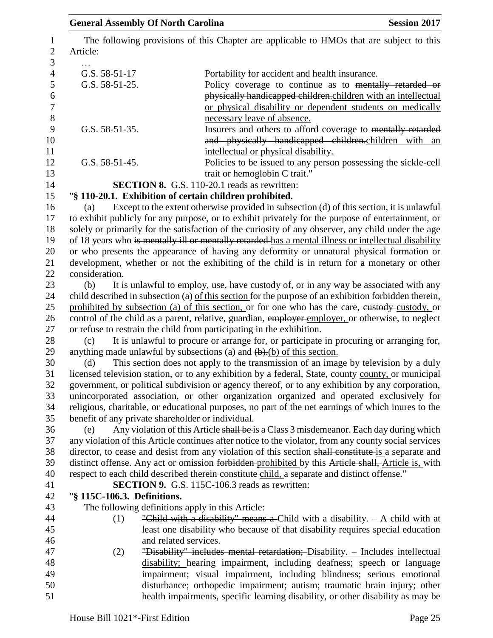| Article:<br>(a)<br>consideration.<br>(b) | G.S. 58-51-17<br>G.S. 58-51-25.<br>G.S. 58-51-35.<br>G.S. 58-51-45. |                             | The following provisions of this Chapter are applicable to HMOs that are subject to this<br>Portability for accident and health insurance.<br>Policy coverage to continue as to mentally retarded or<br>physically handicapped children.children with an intellectual<br>or physical disability or dependent students on medically<br>necessary leave of absence.<br>Insurers and others to afford coverage to mentally retarded<br>and physically handicapped children.children with an<br>intellectual or physical disability.<br>Policies to be issued to any person possessing the sickle-cell<br>trait or hemoglobin C trait."<br><b>SECTION 8.</b> G.S. 110-20.1 reads as rewritten:<br>"§ 110-20.1. Exhibition of certain children prohibited.<br>Except to the extent otherwise provided in subsection (d) of this section, it is unlawful<br>to exhibit publicly for any purpose, or to exhibit privately for the purpose of entertainment, or |
|------------------------------------------|---------------------------------------------------------------------|-----------------------------|---------------------------------------------------------------------------------------------------------------------------------------------------------------------------------------------------------------------------------------------------------------------------------------------------------------------------------------------------------------------------------------------------------------------------------------------------------------------------------------------------------------------------------------------------------------------------------------------------------------------------------------------------------------------------------------------------------------------------------------------------------------------------------------------------------------------------------------------------------------------------------------------------------------------------------------------------------|
|                                          |                                                                     |                             |                                                                                                                                                                                                                                                                                                                                                                                                                                                                                                                                                                                                                                                                                                                                                                                                                                                                                                                                                         |
|                                          |                                                                     |                             |                                                                                                                                                                                                                                                                                                                                                                                                                                                                                                                                                                                                                                                                                                                                                                                                                                                                                                                                                         |
|                                          |                                                                     |                             |                                                                                                                                                                                                                                                                                                                                                                                                                                                                                                                                                                                                                                                                                                                                                                                                                                                                                                                                                         |
|                                          |                                                                     |                             |                                                                                                                                                                                                                                                                                                                                                                                                                                                                                                                                                                                                                                                                                                                                                                                                                                                                                                                                                         |
|                                          |                                                                     |                             |                                                                                                                                                                                                                                                                                                                                                                                                                                                                                                                                                                                                                                                                                                                                                                                                                                                                                                                                                         |
|                                          |                                                                     |                             |                                                                                                                                                                                                                                                                                                                                                                                                                                                                                                                                                                                                                                                                                                                                                                                                                                                                                                                                                         |
|                                          |                                                                     |                             |                                                                                                                                                                                                                                                                                                                                                                                                                                                                                                                                                                                                                                                                                                                                                                                                                                                                                                                                                         |
|                                          |                                                                     |                             |                                                                                                                                                                                                                                                                                                                                                                                                                                                                                                                                                                                                                                                                                                                                                                                                                                                                                                                                                         |
|                                          |                                                                     |                             |                                                                                                                                                                                                                                                                                                                                                                                                                                                                                                                                                                                                                                                                                                                                                                                                                                                                                                                                                         |
|                                          |                                                                     |                             |                                                                                                                                                                                                                                                                                                                                                                                                                                                                                                                                                                                                                                                                                                                                                                                                                                                                                                                                                         |
|                                          |                                                                     |                             |                                                                                                                                                                                                                                                                                                                                                                                                                                                                                                                                                                                                                                                                                                                                                                                                                                                                                                                                                         |
|                                          |                                                                     |                             |                                                                                                                                                                                                                                                                                                                                                                                                                                                                                                                                                                                                                                                                                                                                                                                                                                                                                                                                                         |
|                                          |                                                                     |                             |                                                                                                                                                                                                                                                                                                                                                                                                                                                                                                                                                                                                                                                                                                                                                                                                                                                                                                                                                         |
|                                          |                                                                     |                             |                                                                                                                                                                                                                                                                                                                                                                                                                                                                                                                                                                                                                                                                                                                                                                                                                                                                                                                                                         |
|                                          |                                                                     |                             |                                                                                                                                                                                                                                                                                                                                                                                                                                                                                                                                                                                                                                                                                                                                                                                                                                                                                                                                                         |
|                                          |                                                                     |                             |                                                                                                                                                                                                                                                                                                                                                                                                                                                                                                                                                                                                                                                                                                                                                                                                                                                                                                                                                         |
|                                          |                                                                     |                             | solely or primarily for the satisfaction of the curiosity of any observer, any child under the age                                                                                                                                                                                                                                                                                                                                                                                                                                                                                                                                                                                                                                                                                                                                                                                                                                                      |
|                                          |                                                                     |                             | of 18 years who is mentally ill or mentally retarded-has a mental illness or intellectual disability                                                                                                                                                                                                                                                                                                                                                                                                                                                                                                                                                                                                                                                                                                                                                                                                                                                    |
|                                          |                                                                     |                             | or who presents the appearance of having any deformity or unnatural physical formation or                                                                                                                                                                                                                                                                                                                                                                                                                                                                                                                                                                                                                                                                                                                                                                                                                                                               |
|                                          |                                                                     |                             | development, whether or not the exhibiting of the child is in return for a monetary or other                                                                                                                                                                                                                                                                                                                                                                                                                                                                                                                                                                                                                                                                                                                                                                                                                                                            |
|                                          |                                                                     |                             |                                                                                                                                                                                                                                                                                                                                                                                                                                                                                                                                                                                                                                                                                                                                                                                                                                                                                                                                                         |
|                                          |                                                                     |                             | It is unlawful to employ, use, have custody of, or in any way be associated with any                                                                                                                                                                                                                                                                                                                                                                                                                                                                                                                                                                                                                                                                                                                                                                                                                                                                    |
|                                          |                                                                     |                             | child described in subsection (a) of this section for the purpose of an exhibition forbidden therein,                                                                                                                                                                                                                                                                                                                                                                                                                                                                                                                                                                                                                                                                                                                                                                                                                                                   |
|                                          |                                                                     |                             | prohibited by subsection (a) of this section, or for one who has the care, eustody-custody, or                                                                                                                                                                                                                                                                                                                                                                                                                                                                                                                                                                                                                                                                                                                                                                                                                                                          |
|                                          |                                                                     |                             | control of the child as a parent, relative, guardian, employer employer, or otherwise, to neglect                                                                                                                                                                                                                                                                                                                                                                                                                                                                                                                                                                                                                                                                                                                                                                                                                                                       |
|                                          |                                                                     |                             | or refuse to restrain the child from participating in the exhibition.                                                                                                                                                                                                                                                                                                                                                                                                                                                                                                                                                                                                                                                                                                                                                                                                                                                                                   |
| (c)                                      |                                                                     |                             | It is unlawful to procure or arrange for, or participate in procuring or arranging for,                                                                                                                                                                                                                                                                                                                                                                                                                                                                                                                                                                                                                                                                                                                                                                                                                                                                 |
|                                          |                                                                     |                             | anything made unlawful by subsections (a) and $(\theta)$ . (b) of this section.                                                                                                                                                                                                                                                                                                                                                                                                                                                                                                                                                                                                                                                                                                                                                                                                                                                                         |
| (d)                                      |                                                                     |                             | This section does not apply to the transmission of an image by television by a duly                                                                                                                                                                                                                                                                                                                                                                                                                                                                                                                                                                                                                                                                                                                                                                                                                                                                     |
|                                          |                                                                     |                             | licensed television station, or to any exhibition by a federal, State, eounty-county, or municipal                                                                                                                                                                                                                                                                                                                                                                                                                                                                                                                                                                                                                                                                                                                                                                                                                                                      |
|                                          |                                                                     |                             | government, or political subdivision or agency thereof, or to any exhibition by any corporation,                                                                                                                                                                                                                                                                                                                                                                                                                                                                                                                                                                                                                                                                                                                                                                                                                                                        |
|                                          |                                                                     |                             | unincorporated association, or other organization organized and operated exclusively for                                                                                                                                                                                                                                                                                                                                                                                                                                                                                                                                                                                                                                                                                                                                                                                                                                                                |
|                                          |                                                                     |                             | religious, charitable, or educational purposes, no part of the net earnings of which inures to the                                                                                                                                                                                                                                                                                                                                                                                                                                                                                                                                                                                                                                                                                                                                                                                                                                                      |
|                                          |                                                                     |                             | benefit of any private shareholder or individual.                                                                                                                                                                                                                                                                                                                                                                                                                                                                                                                                                                                                                                                                                                                                                                                                                                                                                                       |
| (e)                                      |                                                                     |                             | Any violation of this Article shall be is a Class 3 misdemeanor. Each day during which                                                                                                                                                                                                                                                                                                                                                                                                                                                                                                                                                                                                                                                                                                                                                                                                                                                                  |
|                                          |                                                                     |                             | any violation of this Article continues after notice to the violator, from any county social services                                                                                                                                                                                                                                                                                                                                                                                                                                                                                                                                                                                                                                                                                                                                                                                                                                                   |
|                                          |                                                                     |                             | director, to cease and desist from any violation of this section shall constitute is a separate and                                                                                                                                                                                                                                                                                                                                                                                                                                                                                                                                                                                                                                                                                                                                                                                                                                                     |
|                                          |                                                                     |                             | distinct offense. Any act or omission forbidden prohibited by this Article shall, Article is, with                                                                                                                                                                                                                                                                                                                                                                                                                                                                                                                                                                                                                                                                                                                                                                                                                                                      |
|                                          |                                                                     |                             | respect to each child described therein constitute child, a separate and distinct offense."                                                                                                                                                                                                                                                                                                                                                                                                                                                                                                                                                                                                                                                                                                                                                                                                                                                             |
|                                          |                                                                     |                             | <b>SECTION 9.</b> G.S. 115C-106.3 reads as rewritten:                                                                                                                                                                                                                                                                                                                                                                                                                                                                                                                                                                                                                                                                                                                                                                                                                                                                                                   |
|                                          |                                                                     | "§ 115C-106.3. Definitions. |                                                                                                                                                                                                                                                                                                                                                                                                                                                                                                                                                                                                                                                                                                                                                                                                                                                                                                                                                         |
|                                          |                                                                     |                             | The following definitions apply in this Article:                                                                                                                                                                                                                                                                                                                                                                                                                                                                                                                                                                                                                                                                                                                                                                                                                                                                                                        |
|                                          | (1)                                                                 |                             | "Child with a disability" means a Child with a disability. $- A$ child with at                                                                                                                                                                                                                                                                                                                                                                                                                                                                                                                                                                                                                                                                                                                                                                                                                                                                          |
|                                          |                                                                     | and related services.       | least one disability who because of that disability requires special education                                                                                                                                                                                                                                                                                                                                                                                                                                                                                                                                                                                                                                                                                                                                                                                                                                                                          |
|                                          |                                                                     |                             |                                                                                                                                                                                                                                                                                                                                                                                                                                                                                                                                                                                                                                                                                                                                                                                                                                                                                                                                                         |
|                                          | (2)                                                                 |                             | "Disability" includes mental retardation; Disability. - Includes intellectual                                                                                                                                                                                                                                                                                                                                                                                                                                                                                                                                                                                                                                                                                                                                                                                                                                                                           |
|                                          |                                                                     |                             |                                                                                                                                                                                                                                                                                                                                                                                                                                                                                                                                                                                                                                                                                                                                                                                                                                                                                                                                                         |
|                                          |                                                                     |                             |                                                                                                                                                                                                                                                                                                                                                                                                                                                                                                                                                                                                                                                                                                                                                                                                                                                                                                                                                         |
|                                          |                                                                     |                             | health impairments, specific learning disability, or other disability as may be                                                                                                                                                                                                                                                                                                                                                                                                                                                                                                                                                                                                                                                                                                                                                                                                                                                                         |
|                                          |                                                                     |                             | disability; hearing impairment, including deafness; speech or language<br>impairment; visual impairment, including blindness; serious emotional<br>disturbance; orthopedic impairment; autism; traumatic brain injury; other                                                                                                                                                                                                                                                                                                                                                                                                                                                                                                                                                                                                                                                                                                                            |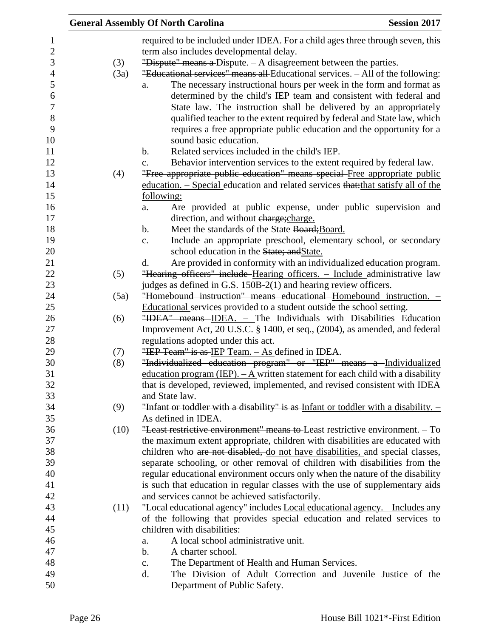|                  |      | <b>Session 2017</b><br><b>General Assembly Of North Carolina</b>                                                                                                |
|------------------|------|-----------------------------------------------------------------------------------------------------------------------------------------------------------------|
| $\mathbf{1}$     |      | required to be included under IDEA. For a child ages three through seven, this                                                                                  |
| $\sqrt{2}$       |      | term also includes developmental delay.                                                                                                                         |
| 3                | (3)  | "Dispute" means a Dispute. $-A$ disagreement between the parties.                                                                                               |
| $\overline{4}$   | (3a) | "Educational services" means all Educational services. - All of the following:                                                                                  |
| 5                |      | The necessary instructional hours per week in the form and format as<br>a.                                                                                      |
| $\boldsymbol{6}$ |      | determined by the child's IEP team and consistent with federal and                                                                                              |
| $\overline{7}$   |      | State law. The instruction shall be delivered by an appropriately                                                                                               |
| $8\,$            |      | qualified teacher to the extent required by federal and State law, which                                                                                        |
| 9                |      | requires a free appropriate public education and the opportunity for a                                                                                          |
| 10               |      | sound basic education.<br>Related services included in the child's IEP.                                                                                         |
| 11<br>12         |      | b.                                                                                                                                                              |
| 13               | (4)  | Behavior intervention services to the extent required by federal law.<br>c.<br>"Free appropriate public education" means special Free appropriate public        |
| 14               |      | education. – Special education and related services that that satisfy all of the                                                                                |
| 15               |      | following:                                                                                                                                                      |
| 16               |      | Are provided at public expense, under public supervision and<br>a.                                                                                              |
| 17               |      | direction, and without eharge; charge.                                                                                                                          |
| 18               |      | Meet the standards of the State Board; Board.<br>$\mathbf b$ .                                                                                                  |
| 19               |      | Include an appropriate preschool, elementary school, or secondary<br>c.                                                                                         |
| 20               |      | school education in the State; and State.                                                                                                                       |
| 21               |      | Are provided in conformity with an individualized education program.<br>d.                                                                                      |
| 22               | (5)  | "Hearing officers" include Hearing officers. - Include administrative law                                                                                       |
| 23               |      | judges as defined in G.S. 150B-2(1) and hearing review officers.                                                                                                |
| 24               | (5a) | "Homebound instruction" means educational Homebound instruction. -                                                                                              |
| 25               |      | Educational services provided to a student outside the school setting.                                                                                          |
| 26               | (6)  | "IDEA" means IDEA. - The Individuals with Disabilities Education                                                                                                |
| 27               |      | Improvement Act, 20 U.S.C. § 1400, et seq., (2004), as amended, and federal                                                                                     |
| 28               |      | regulations adopted under this act.                                                                                                                             |
| 29               | (7)  | "IEP Team" is as IEP Team. $-$ As defined in IDEA.                                                                                                              |
| 30<br>31         | (8)  | "Individualized education program" or "IEP" means a Individualized                                                                                              |
| 32               |      | education program (IEP). $-$ A written statement for each child with a disability<br>that is developed, reviewed, implemented, and revised consistent with IDEA |
| 33               |      | and State law.                                                                                                                                                  |
| 34               | (9)  | "Infant or toddler with a disability" is as Infant or toddler with a disability. -                                                                              |
| 35               |      | As defined in IDEA.                                                                                                                                             |
| 36               | (10) | "Least restrictive environment" means to Least restrictive environment. $-$ To                                                                                  |
| 37               |      | the maximum extent appropriate, children with disabilities are educated with                                                                                    |
| 38               |      | children who are not disabled, do not have disabilities, and special classes,                                                                                   |
| 39               |      | separate schooling, or other removal of children with disabilities from the                                                                                     |
| 40               |      | regular educational environment occurs only when the nature of the disability                                                                                   |
| 41               |      | is such that education in regular classes with the use of supplementary aids                                                                                    |
| 42               |      | and services cannot be achieved satisfactorily.                                                                                                                 |
| 43               | (11) | "Local educational agency" includes Local educational agency. - Includes any                                                                                    |
| 44               |      | of the following that provides special education and related services to                                                                                        |
| 45               |      | children with disabilities:                                                                                                                                     |
| 46               |      | A local school administrative unit.<br>a.                                                                                                                       |
| 47               |      | A charter school.<br>b.                                                                                                                                         |
| 48               |      | The Department of Health and Human Services.<br>$\mathbf{c}$ .                                                                                                  |
| 49<br>50         |      | The Division of Adult Correction and Juvenile Justice of the<br>d.                                                                                              |
|                  |      | Department of Public Safety.                                                                                                                                    |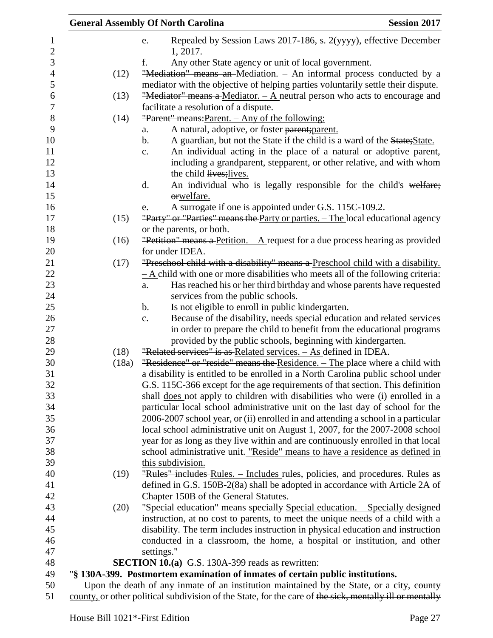|       | <b>General Assembly Of North Carolina</b>                                                               | <b>Session 2017</b> |
|-------|---------------------------------------------------------------------------------------------------------|---------------------|
|       | Repealed by Session Laws 2017-186, s. 2(yyyy), effective December<br>e.<br>1, 2017.                     |                     |
|       | f.<br>Any other State agency or unit of local government.                                               |                     |
| (12)  | "Mediation" means an Mediation. - An informal process conducted by a                                    |                     |
|       | mediator with the objective of helping parties voluntarily settle their dispute.                        |                     |
| (13)  | "Mediator" means a Mediator. $- A$ neutral person who acts to encourage and                             |                     |
|       | facilitate a resolution of a dispute.                                                                   |                     |
| (14)  | "Parent" means: Parent. - Any of the following:                                                         |                     |
|       | A natural, adoptive, or foster parent; parent.<br>a.                                                    |                     |
|       | A guardian, but not the State if the child is a ward of the State; State.<br>$\mathbf b$ .              |                     |
|       | An individual acting in the place of a natural or adoptive parent,<br>c.                                |                     |
|       | including a grandparent, stepparent, or other relative, and with whom                                   |                     |
|       | the child lives; lives.                                                                                 |                     |
|       | An individual who is legally responsible for the child's welfare;<br>d.                                 |                     |
|       | orwelfare.                                                                                              |                     |
|       | A surrogate if one is appointed under G.S. 115C-109.2.<br>e.                                            |                     |
| (15)  | "Party" or "Parties" means the Party or parties. - The local educational agency                         |                     |
|       | or the parents, or both.                                                                                |                     |
| (16)  | "Petition" means a Petition. $- A$ request for a due process hearing as provided                        |                     |
|       | for under IDEA.                                                                                         |                     |
| (17)  | "Preschool child with a disability" means a Preschool child with a disability.                          |                     |
|       | $-\mathbf{A}$ child with one or more disabilities who meets all of the following criteria:              |                     |
|       | Has reached his or her third birthday and whose parents have requested<br>a.                            |                     |
|       | services from the public schools.                                                                       |                     |
|       | $\mathbf b$ .<br>Is not eligible to enroll in public kindergarten.                                      |                     |
|       | Because of the disability, needs special education and related services<br>$C_{\bullet}$                |                     |
|       | in order to prepare the child to benefit from the educational programs                                  |                     |
|       | provided by the public schools, beginning with kindergarten.                                            |                     |
| (18)  | "Related services" is as Related services. - As defined in IDEA.                                        |                     |
| (18a) | "Residence" or "reside" means the Residence. - The place where a child with                             |                     |
|       | a disability is entitled to be enrolled in a North Carolina public school under                         |                     |
|       | G.S. 115C-366 except for the age requirements of that section. This definition                          |                     |
|       | shall does not apply to children with disabilities who were (i) enrolled in a                           |                     |
|       | particular local school administrative unit on the last day of school for the                           |                     |
|       | 2006-2007 school year, or (ii) enrolled in and attending a school in a particular                       |                     |
|       | local school administrative unit on August 1, 2007, for the 2007-2008 school                            |                     |
|       | year for as long as they live within and are continuously enrolled in that local                        |                     |
|       | school administrative unit. "Reside" means to have a residence as defined in<br>this subdivision.       |                     |
| (19)  | "Rules" includes-Rules. - Includes rules, policies, and procedures. Rules as                            |                     |
|       | defined in G.S. 150B-2(8a) shall be adopted in accordance with Article 2A of                            |                     |
|       | Chapter 150B of the General Statutes.                                                                   |                     |
| (20)  | "Special education" means specially Special education. - Specially designed                             |                     |
|       | instruction, at no cost to parents, to meet the unique needs of a child with a                          |                     |
|       | disability. The term includes instruction in physical education and instruction                         |                     |
|       | conducted in a classroom, the home, a hospital or institution, and other                                |                     |
|       | settings."                                                                                              |                     |
|       | <b>SECTION 10.(a)</b> G.S. 130A-399 reads as rewritten:                                                 |                     |
|       | "§ 130A-399. Postmortem examination of inmates of certain public institutions.                          |                     |
|       | Upon the death of any inmate of an institution maintained by the State, or a city, eounty               |                     |
|       | county, or other political subdivision of the State, for the care of the sick, mentally ill or mentally |                     |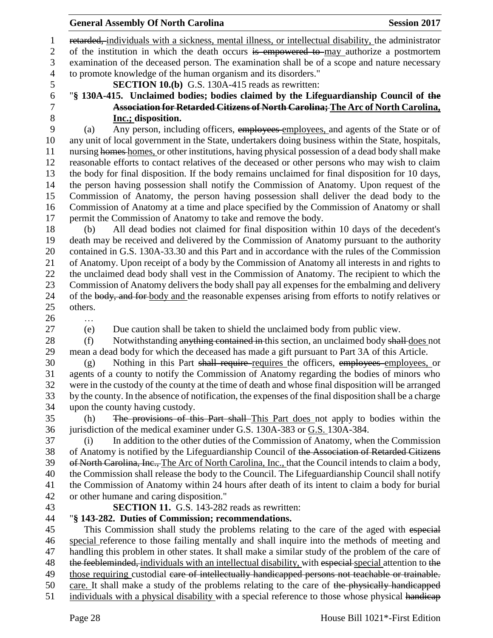retarded, individuals with a sickness, mental illness, or intellectual disability, the administrator 2 of the institution in which the death occurs is empowered to may authorize a postmortem examination of the deceased person. The examination shall be of a scope and nature necessary to promote knowledge of the human organism and its disorders."

**SECTION 10.(b)** G.S. 130A-415 reads as rewritten:

 "**§ 130A-415. Unclaimed bodies; bodies claimed by the Lifeguardianship Council of the Association for Retarded Citizens of North Carolina; The Arc of North Carolina,**  8 **Inc.; disposition.**<br>9 (a) Any person, inclu-

(a) Any person, including officers, employees employees, and agents of the State or of any unit of local government in the State, undertakers doing business within the State, hospitals, nursing homes homes, or other institutions, having physical possession of a dead body shall make reasonable efforts to contact relatives of the deceased or other persons who may wish to claim the body for final disposition. If the body remains unclaimed for final disposition for 10 days, the person having possession shall notify the Commission of Anatomy. Upon request of the Commission of Anatomy, the person having possession shall deliver the dead body to the Commission of Anatomy at a time and place specified by the Commission of Anatomy or shall permit the Commission of Anatomy to take and remove the body.

 (b) All dead bodies not claimed for final disposition within 10 days of the decedent's death may be received and delivered by the Commission of Anatomy pursuant to the authority contained in G.S. 130A-33.30 and this Part and in accordance with the rules of the Commission of Anatomy. Upon receipt of a body by the Commission of Anatomy all interests in and rights to the unclaimed dead body shall vest in the Commission of Anatomy. The recipient to which the Commission of Anatomy delivers the body shall pay all expenses for the embalming and delivery 24 of the body, and for body and the reasonable expenses arising from efforts to notify relatives or others.

- …
	-

 (e) Due caution shall be taken to shield the unclaimed body from public view. 28 (f) Notwithstanding anything contained in this section, an unclaimed body shall does not mean a dead body for which the deceased has made a gift pursuant to Part 3A of this Article.

 (g) Nothing in this Part shall require requires the officers, employees employees, or agents of a county to notify the Commission of Anatomy regarding the bodies of minors who were in the custody of the county at the time of death and whose final disposition will be arranged by the county. In the absence of notification, the expenses of the final disposition shall be a charge upon the county having custody.

 (h) The provisions of this Part shall This Part does not apply to bodies within the jurisdiction of the medical examiner under G.S. 130A-383 or G.S. 130A-384.

 (i) In addition to the other duties of the Commission of Anatomy, when the Commission of Anatomy is notified by the Lifeguardianship Council of the Association of Retarded Citizens 39 of North Carolina, Inc., The Arc of North Carolina, Inc., that the Council intends to claim a body, the Commission shall release the body to the Council. The Lifeguardianship Council shall notify the Commission of Anatomy within 24 hours after death of its intent to claim a body for burial or other humane and caring disposition."

## **SECTION 11.** G.S. 143-282 reads as rewritten:

## "**§ 143-282. Duties of Commission; recommendations.**

45 This Commission shall study the problems relating to the care of the aged with especial special reference to those failing mentally and shall inquire into the methods of meeting and handling this problem in other states. It shall make a similar study of the problem of the care of 48 the feebleminded, individuals with an intellectual disability, with especial special attention to the 49 those requiring custodial eare of intellectually handicapped persons not teachable or trainable. care. It shall make a study of the problems relating to the care of the physically handicapped 51 individuals with a physical disability with a special reference to those whose physical handicap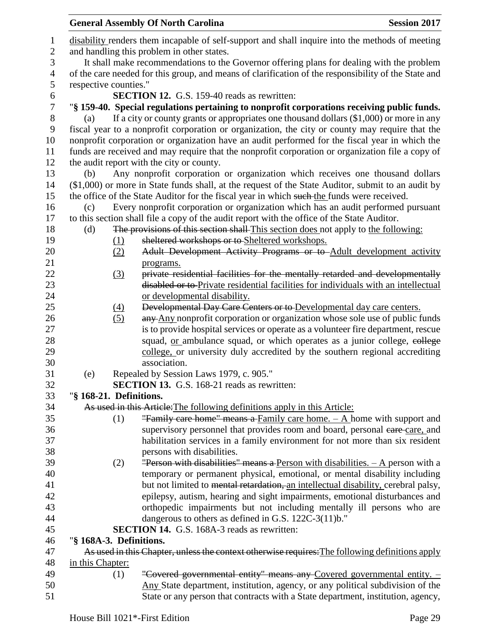|     |                         | <b>General Assembly Of North Carolina</b>                                                            | <b>Session 2017</b> |
|-----|-------------------------|------------------------------------------------------------------------------------------------------|---------------------|
|     |                         | disability renders them incapable of self-support and shall inquire into the methods of meeting      |                     |
|     |                         | and handling this problem in other states.                                                           |                     |
|     |                         | It shall make recommendations to the Governor offering plans for dealing with the problem            |                     |
|     |                         | of the care needed for this group, and means of clarification of the responsibility of the State and |                     |
|     | respective counties."   |                                                                                                      |                     |
|     |                         | <b>SECTION 12.</b> G.S. 159-40 reads as rewritten:                                                   |                     |
|     |                         | "§ 159-40. Special regulations pertaining to nonprofit corporations receiving public funds.          |                     |
| (a) |                         | If a city or county grants or appropriates one thousand dollars $(\$1,000)$ or more in any           |                     |
|     |                         | fiscal year to a nonprofit corporation or organization, the city or county may require that the      |                     |
|     |                         | nonprofit corporation or organization have an audit performed for the fiscal year in which the       |                     |
|     |                         | funds are received and may require that the nonprofit corporation or organization file a copy of     |                     |
|     |                         | the audit report with the city or county.                                                            |                     |
| (b) |                         | Any nonprofit corporation or organization which receives one thousand dollars                        |                     |
|     |                         | (\$1,000) or more in State funds shall, at the request of the State Auditor, submit to an audit by   |                     |
|     |                         | the office of the State Auditor for the fiscal year in which such the funds were received.           |                     |
| (c) |                         | Every nonprofit corporation or organization which has an audit performed pursuant                    |                     |
|     |                         | to this section shall file a copy of the audit report with the office of the State Auditor.          |                     |
| (d) |                         | The provisions of this section shall-This section does not apply to the following:                   |                     |
|     | (1)                     | sheltered workshops or to Sheltered workshops.                                                       |                     |
|     | (2)                     | Adult Development Activity Programs or to-Adult development activity                                 |                     |
|     |                         | programs.                                                                                            |                     |
|     | (3)                     | private residential facilities for the mentally retarded and developmentally                         |                     |
|     |                         | disabled or to Private residential facilities for individuals with an intellectual                   |                     |
|     |                         | or developmental disability.                                                                         |                     |
|     | <u>(4)</u>              | Developmental Day Care Centers or to Developmental day care centers.                                 |                     |
|     | (5)                     | any Any nonprofit corporation or organization whose sole use of public funds                         |                     |
|     |                         | is to provide hospital services or operate as a volunteer fire department, rescue                    |                     |
|     |                         | squad, <u>or</u> ambulance squad, or which operates as a junior college, eollege                     |                     |
|     |                         | college, or university duly accredited by the southern regional accrediting                          |                     |
|     |                         | association.                                                                                         |                     |
| (e) |                         | Repealed by Session Laws 1979, c. 905."                                                              |                     |
|     |                         | <b>SECTION 13.</b> G.S. 168-21 reads as rewritten:                                                   |                     |
|     | "§ 168-21. Definitions. |                                                                                                      |                     |
|     |                         | As used in this Article: The following definitions apply in this Article:                            |                     |
|     | (1)                     | "Family care home" means a Family care home. $-$ A home with support and                             |                     |
|     |                         | supervisory personnel that provides room and board, personal care care, and                          |                     |
|     |                         | habilitation services in a family environment for not more than six resident                         |                     |
|     |                         | persons with disabilities.                                                                           |                     |
|     | (2)                     | "Person with disabilities" means a Person with disabilities. $- A$ person with a                     |                     |
|     |                         | temporary or permanent physical, emotional, or mental disability including                           |                     |
|     |                         | but not limited to mental retardation, an intellectual disability, cerebral palsy,                   |                     |
|     |                         | epilepsy, autism, hearing and sight impairments, emotional disturbances and                          |                     |
|     |                         | orthopedic impairments but not including mentally ill persons who are                                |                     |
|     |                         | dangerous to others as defined in G.S. 122C-3(11)b."                                                 |                     |
|     |                         | <b>SECTION 14.</b> G.S. 168A-3 reads as rewritten:                                                   |                     |
|     | "§ 168A-3. Definitions. |                                                                                                      |                     |
|     |                         | As used in this Chapter, unless the context otherwise requires: The following definitions apply      |                     |
|     | in this Chapter:        |                                                                                                      |                     |
|     | (1)                     | "Covered governmental entity" means any Covered governmental entity. -                               |                     |
|     |                         | Any State department, institution, agency, or any political subdivision of the                       |                     |
|     |                         | State or any person that contracts with a State department, institution, agency,                     |                     |
|     |                         |                                                                                                      |                     |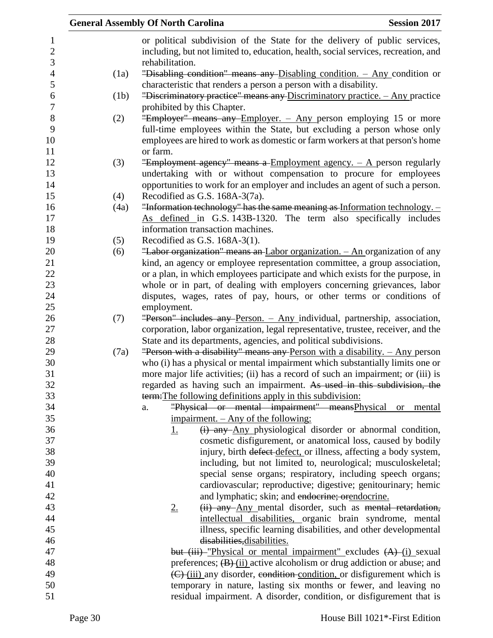|      | <b>Session 2017</b><br><b>General Assembly Of North Carolina</b>                               |
|------|------------------------------------------------------------------------------------------------|
|      | or political subdivision of the State for the delivery of public services,                     |
|      | including, but not limited to, education, health, social services, recreation, and             |
|      | rehabilitation.                                                                                |
| (1a) | "Disabling condition" means any Disabling condition. - Any condition or                        |
|      | characteristic that renders a person a person with a disability.                               |
| (1b) | "Discriminatory practice" means any Discriminatory practice. - Any practice                    |
|      | prohibited by this Chapter.                                                                    |
| (2)  | "Employer" means any Employer. - Any person employing 15 or more                               |
|      | full-time employees within the State, but excluding a person whose only                        |
|      | employees are hired to work as domestic or farm workers at that person's home                  |
|      | or farm.                                                                                       |
| (3)  | "Employment agency" means a Employment agency. $-$ A person regularly                          |
|      | undertaking with or without compensation to procure for employees                              |
|      | opportunities to work for an employer and includes an agent of such a person.                  |
| (4)  | Recodified as G.S. 168A-3(7a).                                                                 |
| (4a) | "Information technology" has the same meaning as Information technology. $-$                   |
|      | As defined in G.S. 143B-1320. The term also specifically includes                              |
|      | information transaction machines.                                                              |
| (5)  | Recodified as G.S. 168A-3(1).                                                                  |
| (6)  | "Labor organization" means an Labor organization. - An organization of any                     |
|      | kind, an agency or employee representation committee, a group association,                     |
|      | or a plan, in which employees participate and which exists for the purpose, in                 |
|      | whole or in part, of dealing with employers concerning grievances, labor                       |
|      | disputes, wages, rates of pay, hours, or other terms or conditions of<br>employment.           |
| (7)  | "Person" includes any Person. - Any individual, partnership, association,                      |
|      | corporation, labor organization, legal representative, trustee, receiver, and the              |
|      | State and its departments, agencies, and political subdivisions.                               |
| (7a) | "Person with a disability" means any Person with a disability. $-$ Any person                  |
|      | who (i) has a physical or mental impairment which substantially limits one or                  |
|      | more major life activities; (ii) has a record of such an impairment; or (iii) is               |
|      | regarded as having such an impairment. As used in this subdivision, the                        |
|      | term: The following definitions apply in this subdivision:                                     |
|      | "Physical or mental impairment" meansPhysical or mental<br>a.                                  |
|      | impairment. - Any of the following:                                                            |
|      | (i) any Any physiological disorder or abnormal condition,<br>$\perp$                           |
|      | cosmetic disfigurement, or anatomical loss, caused by bodily                                   |
|      | injury, birth defect defect, or illness, affecting a body system,                              |
|      | including, but not limited to, neurological; musculoskeletal;                                  |
|      | special sense organs; respiratory, including speech organs;                                    |
|      | cardiovascular; reproductive; digestive; genitourinary; hemic                                  |
|      | and lymphatic; skin; and endocrine; orendocrine.                                               |
|      | (ii) any Any mental disorder, such as mental retardation,<br>$2_{\cdot}$                       |
|      | intellectual disabilities, organic brain syndrome, mental                                      |
|      | illness, specific learning disabilities, and other developmental                               |
|      | disabilities, disabilities.                                                                    |
|      | but $(iii)$ -"Physical or mental impairment" excludes $(A)$ - $(i)$ sexual                     |
|      | preferences; $\left(\frac{B}{i}\right)$ (ii) active alcoholism or drug addiction or abuse; and |
|      | (C) (iii) any disorder, condition condition, or disfigurement which is                         |
|      | temporary in nature, lasting six months or fewer, and leaving no                               |
|      | residual impairment. A disorder, condition, or disfigurement that is                           |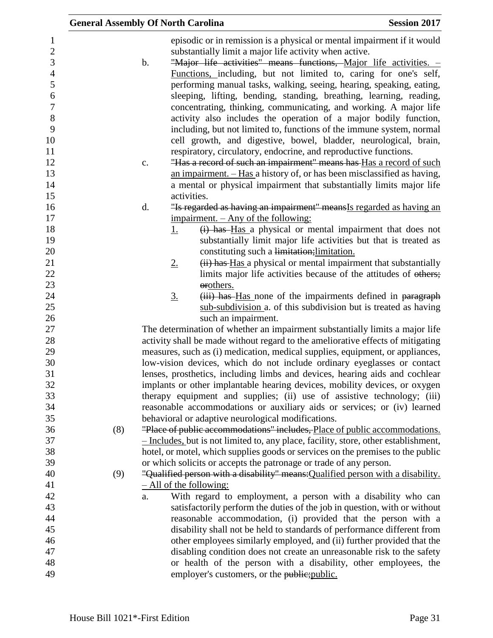|     | <b>General Assembly Of North Carolina</b>                                                                                                                                                                                                                                                                                                                                                                                                                                                                                                                                                                                                                                                                                                                                                                                                                                                                                                     | <b>Session 2017</b> |
|-----|-----------------------------------------------------------------------------------------------------------------------------------------------------------------------------------------------------------------------------------------------------------------------------------------------------------------------------------------------------------------------------------------------------------------------------------------------------------------------------------------------------------------------------------------------------------------------------------------------------------------------------------------------------------------------------------------------------------------------------------------------------------------------------------------------------------------------------------------------------------------------------------------------------------------------------------------------|---------------------|
| c.  | episodic or in remission is a physical or mental impairment if it would<br>substantially limit a major life activity when active.<br>"Major life activities" means functions, Major life activities. -<br>b.<br>Functions, including, but not limited to, caring for one's self,<br>performing manual tasks, walking, seeing, hearing, speaking, eating,<br>sleeping, lifting, bending, standing, breathing, learning, reading,<br>concentrating, thinking, communicating, and working. A major life<br>activity also includes the operation of a major bodily function,<br>including, but not limited to, functions of the immune system, normal<br>cell growth, and digestive, bowel, bladder, neurological, brain,<br>respiratory, circulatory, endocrine, and reproductive functions.<br>"Has a record of such an impairment" means has Has a record of such<br>an impairment. $-$ Has a history of, or has been misclassified as having, |                     |
|     | a mental or physical impairment that substantially limits major life                                                                                                                                                                                                                                                                                                                                                                                                                                                                                                                                                                                                                                                                                                                                                                                                                                                                          |                     |
|     | activities.                                                                                                                                                                                                                                                                                                                                                                                                                                                                                                                                                                                                                                                                                                                                                                                                                                                                                                                                   |                     |
|     | d.<br>"Is regarded as having an impairment" means Is regarded as having an                                                                                                                                                                                                                                                                                                                                                                                                                                                                                                                                                                                                                                                                                                                                                                                                                                                                    |                     |
|     | <u>impairment. – Any of the following:</u><br>(i) has Has a physical or mental impairment that does not                                                                                                                                                                                                                                                                                                                                                                                                                                                                                                                                                                                                                                                                                                                                                                                                                                       |                     |
|     | <u>1.</u><br>substantially limit major life activities but that is treated as                                                                                                                                                                                                                                                                                                                                                                                                                                                                                                                                                                                                                                                                                                                                                                                                                                                                 |                     |
|     | constituting such a limitation; limitation.                                                                                                                                                                                                                                                                                                                                                                                                                                                                                                                                                                                                                                                                                                                                                                                                                                                                                                   |                     |
|     | (ii) has Has a physical or mental impairment that substantially<br>2.                                                                                                                                                                                                                                                                                                                                                                                                                                                                                                                                                                                                                                                                                                                                                                                                                                                                         |                     |
|     | limits major life activities because of the attitudes of others;                                                                                                                                                                                                                                                                                                                                                                                                                                                                                                                                                                                                                                                                                                                                                                                                                                                                              |                     |
|     | orothers.                                                                                                                                                                                                                                                                                                                                                                                                                                                                                                                                                                                                                                                                                                                                                                                                                                                                                                                                     |                     |
|     | (iii) has Has none of the impairments defined in paragraph<br><u>3.</u>                                                                                                                                                                                                                                                                                                                                                                                                                                                                                                                                                                                                                                                                                                                                                                                                                                                                       |                     |
|     | sub-subdivision a. of this subdivision but is treated as having                                                                                                                                                                                                                                                                                                                                                                                                                                                                                                                                                                                                                                                                                                                                                                                                                                                                               |                     |
|     | such an impairment.                                                                                                                                                                                                                                                                                                                                                                                                                                                                                                                                                                                                                                                                                                                                                                                                                                                                                                                           |                     |
|     | The determination of whether an impairment substantially limits a major life                                                                                                                                                                                                                                                                                                                                                                                                                                                                                                                                                                                                                                                                                                                                                                                                                                                                  |                     |
|     | activity shall be made without regard to the ameliorative effects of mitigating                                                                                                                                                                                                                                                                                                                                                                                                                                                                                                                                                                                                                                                                                                                                                                                                                                                               |                     |
|     | measures, such as (i) medication, medical supplies, equipment, or appliances,                                                                                                                                                                                                                                                                                                                                                                                                                                                                                                                                                                                                                                                                                                                                                                                                                                                                 |                     |
|     | low-vision devices, which do not include ordinary eyeglasses or contact                                                                                                                                                                                                                                                                                                                                                                                                                                                                                                                                                                                                                                                                                                                                                                                                                                                                       |                     |
|     | lenses, prosthetics, including limbs and devices, hearing aids and cochlear                                                                                                                                                                                                                                                                                                                                                                                                                                                                                                                                                                                                                                                                                                                                                                                                                                                                   |                     |
|     | implants or other implantable hearing devices, mobility devices, or oxygen                                                                                                                                                                                                                                                                                                                                                                                                                                                                                                                                                                                                                                                                                                                                                                                                                                                                    |                     |
|     | therapy equipment and supplies; (ii) use of assistive technology; (iii)                                                                                                                                                                                                                                                                                                                                                                                                                                                                                                                                                                                                                                                                                                                                                                                                                                                                       |                     |
|     | reasonable accommodations or auxiliary aids or services; or (iv) learned                                                                                                                                                                                                                                                                                                                                                                                                                                                                                                                                                                                                                                                                                                                                                                                                                                                                      |                     |
|     | behavioral or adaptive neurological modifications.                                                                                                                                                                                                                                                                                                                                                                                                                                                                                                                                                                                                                                                                                                                                                                                                                                                                                            |                     |
| (8) | "Place of public accommodations" includes, Place of public accommodations.                                                                                                                                                                                                                                                                                                                                                                                                                                                                                                                                                                                                                                                                                                                                                                                                                                                                    |                     |
|     | - Includes, but is not limited to, any place, facility, store, other establishment,                                                                                                                                                                                                                                                                                                                                                                                                                                                                                                                                                                                                                                                                                                                                                                                                                                                           |                     |
|     | hotel, or motel, which supplies goods or services on the premises to the public                                                                                                                                                                                                                                                                                                                                                                                                                                                                                                                                                                                                                                                                                                                                                                                                                                                               |                     |
| (9) | or which solicits or accepts the patronage or trade of any person.<br>"Qualified person with a disability" means: Qualified person with a disability.                                                                                                                                                                                                                                                                                                                                                                                                                                                                                                                                                                                                                                                                                                                                                                                         |                     |
|     | - All of the following:                                                                                                                                                                                                                                                                                                                                                                                                                                                                                                                                                                                                                                                                                                                                                                                                                                                                                                                       |                     |
|     | With regard to employment, a person with a disability who can<br>a.                                                                                                                                                                                                                                                                                                                                                                                                                                                                                                                                                                                                                                                                                                                                                                                                                                                                           |                     |
|     | satisfactorily perform the duties of the job in question, with or without                                                                                                                                                                                                                                                                                                                                                                                                                                                                                                                                                                                                                                                                                                                                                                                                                                                                     |                     |
|     | reasonable accommodation, (i) provided that the person with a                                                                                                                                                                                                                                                                                                                                                                                                                                                                                                                                                                                                                                                                                                                                                                                                                                                                                 |                     |
|     | disability shall not be held to standards of performance different from                                                                                                                                                                                                                                                                                                                                                                                                                                                                                                                                                                                                                                                                                                                                                                                                                                                                       |                     |
|     | other employees similarly employed, and (ii) further provided that the                                                                                                                                                                                                                                                                                                                                                                                                                                                                                                                                                                                                                                                                                                                                                                                                                                                                        |                     |
|     | disabling condition does not create an unreasonable risk to the safety                                                                                                                                                                                                                                                                                                                                                                                                                                                                                                                                                                                                                                                                                                                                                                                                                                                                        |                     |
|     | or health of the person with a disability, other employees, the                                                                                                                                                                                                                                                                                                                                                                                                                                                                                                                                                                                                                                                                                                                                                                                                                                                                               |                     |
|     | employer's customers, or the public; public.                                                                                                                                                                                                                                                                                                                                                                                                                                                                                                                                                                                                                                                                                                                                                                                                                                                                                                  |                     |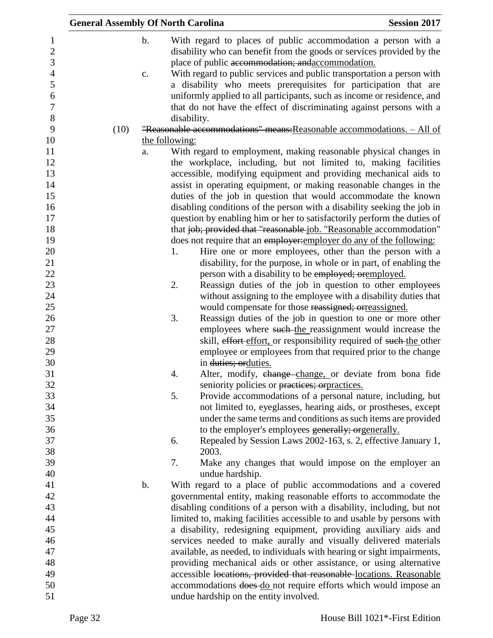| <b>General Assembly Of North Carolina</b> |               |                |                                                                                                                                             | <b>Session 2017</b> |
|-------------------------------------------|---------------|----------------|---------------------------------------------------------------------------------------------------------------------------------------------|---------------------|
|                                           | $\mathbf b$ . |                | With regard to places of public accommodation a person with a<br>disability who can benefit from the goods or services provided by the      |                     |
|                                           |               |                | place of public accommodation; and accommodation.                                                                                           |                     |
|                                           | c.            |                | With regard to public services and public transportation a person with                                                                      |                     |
|                                           |               |                | a disability who meets prerequisites for participation that are                                                                             |                     |
|                                           |               |                | uniformly applied to all participants, such as income or residence, and                                                                     |                     |
|                                           |               |                | that do not have the effect of discriminating against persons with a                                                                        |                     |
| (10)                                      |               | disability.    | "Reasonable accommodations" means: Reasonable accommodations. - All of                                                                      |                     |
|                                           |               | the following: |                                                                                                                                             |                     |
|                                           | a.            |                | With regard to employment, making reasonable physical changes in                                                                            |                     |
|                                           |               |                | the workplace, including, but not limited to, making facilities                                                                             |                     |
|                                           |               |                | accessible, modifying equipment and providing mechanical aids to                                                                            |                     |
|                                           |               |                | assist in operating equipment, or making reasonable changes in the                                                                          |                     |
|                                           |               |                | duties of the job in question that would accommodate the known                                                                              |                     |
|                                           |               |                | disabling conditions of the person with a disability seeking the job in                                                                     |                     |
|                                           |               |                | question by enabling him or her to satisfactorily perform the duties of                                                                     |                     |
|                                           |               |                | that job; provided that "reasonable job. "Reasonable accommodation"                                                                         |                     |
|                                           |               | 1.             | does not require that an employer: employer do any of the following:<br>Hire one or more employees, other than the person with a            |                     |
|                                           |               |                | disability, for the purpose, in whole or in part, of enabling the                                                                           |                     |
|                                           |               |                | person with a disability to be employed; organized.                                                                                         |                     |
|                                           |               | 2.             | Reassign duties of the job in question to other employees                                                                                   |                     |
|                                           |               |                | without assigning to the employee with a disability duties that                                                                             |                     |
|                                           |               |                | would compensate for those reassigned; orreassigned.                                                                                        |                     |
|                                           |               | 3.             | Reassign duties of the job in question to one or more other                                                                                 |                     |
|                                           |               |                | employees where such the reassignment would increase the                                                                                    |                     |
|                                           |               |                | skill, effort effort, or responsibility required of such-the other                                                                          |                     |
|                                           |               |                | employee or employees from that required prior to the change                                                                                |                     |
|                                           |               | 4.             | in duties; orduties.<br>Alter, modify, change change, or deviate from bona fide                                                             |                     |
|                                           |               |                | seniority policies or practices; or practices.                                                                                              |                     |
|                                           |               | 5.             | Provide accommodations of a personal nature, including, but                                                                                 |                     |
|                                           |               |                | not limited to, eyeglasses, hearing aids, or prostheses, except                                                                             |                     |
|                                           |               |                | under the same terms and conditions as such items are provided                                                                              |                     |
|                                           |               |                | to the employer's employees generally; orgenerally.                                                                                         |                     |
|                                           |               | 6.             | Repealed by Session Laws 2002-163, s. 2, effective January 1,                                                                               |                     |
|                                           |               |                | 2003.                                                                                                                                       |                     |
|                                           |               | 7.             | Make any changes that would impose on the employer an                                                                                       |                     |
|                                           |               |                | undue hardship.                                                                                                                             |                     |
|                                           | $\mathbf b$ . |                | With regard to a place of public accommodations and a covered                                                                               |                     |
|                                           |               |                | governmental entity, making reasonable efforts to accommodate the<br>disabling conditions of a person with a disability, including, but not |                     |
|                                           |               |                | limited to, making facilities accessible to and usable by persons with                                                                      |                     |
|                                           |               |                | a disability, redesigning equipment, providing auxiliary aids and                                                                           |                     |
|                                           |               |                | services needed to make aurally and visually delivered materials                                                                            |                     |
|                                           |               |                | available, as needed, to individuals with hearing or sight impairments,                                                                     |                     |
|                                           |               |                | providing mechanical aids or other assistance, or using alternative                                                                         |                     |
|                                           |               |                | accessible locations, provided that reasonable locations. Reasonable                                                                        |                     |
|                                           |               |                | accommodations does do not require efforts which would impose an                                                                            |                     |
|                                           |               |                | undue hardship on the entity involved.                                                                                                      |                     |